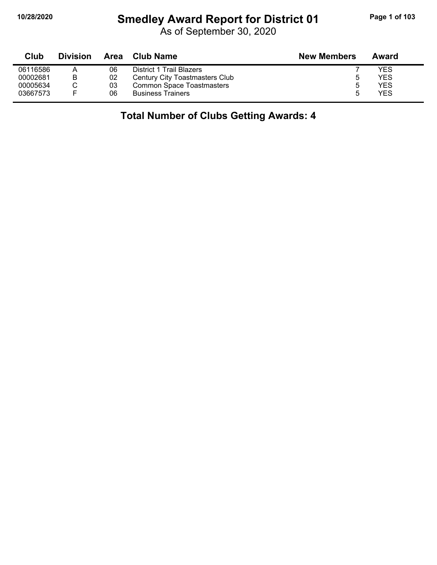$\blacksquare$ 

## **10/28/2020 Smedley Award Report for District 01 Page 1 of 103**

As of September 30, 2020

| Club     | <b>Division</b> | Area | <b>Club Name</b>                 | <b>New Members</b> | Award |
|----------|-----------------|------|----------------------------------|--------------------|-------|
| 06116586 | A               | 06   | District 1 Trail Blazers         |                    | YES   |
| 00002681 | В               | 02   | Century City Toastmasters Club   |                    | YES   |
| 00005634 |                 | 03   | <b>Common Space Toastmasters</b> |                    | YES   |
| 03667573 | E               | 06   | <b>Business Trainers</b>         |                    | YES   |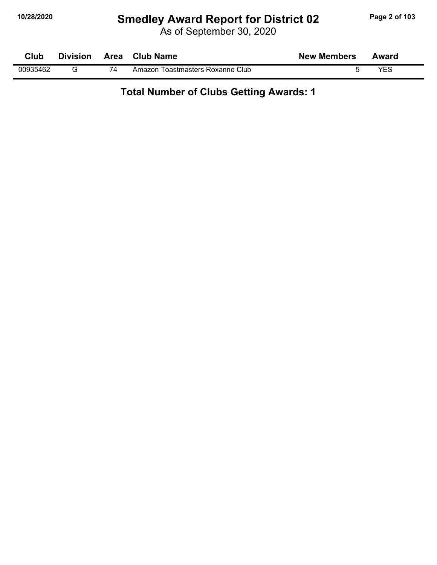## **10/28/2020 Smedley Award Report for District 02 Page 2 of 103**

As of September 30, 2020

| Club     | <b>Division</b> | <b>Area</b> | <b>Club Name</b>                 | <b>New Members</b> | Award |  |
|----------|-----------------|-------------|----------------------------------|--------------------|-------|--|
| 00935462 |                 | 74          | Amazon Toastmasters Roxanne Club |                    | VES   |  |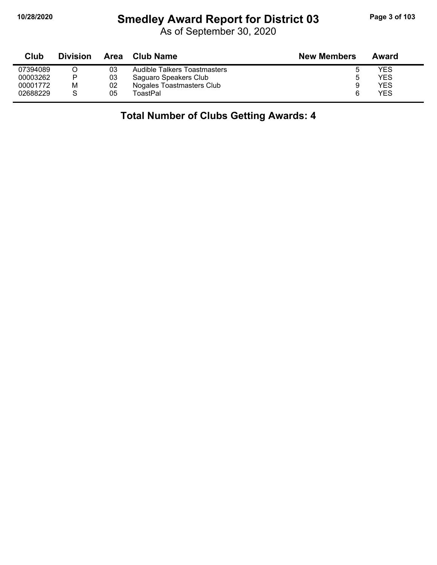# **10/28/2020 Smedley Award Report for District 03 Page 3 of 103**

As of September 30, 2020

| Club     | <b>Division</b> | Area | Club Name                    | <b>New Members</b> | Award |
|----------|-----------------|------|------------------------------|--------------------|-------|
| 07394089 |                 | 03   | Audible Talkers Toastmasters |                    | YES   |
| 00003262 |                 | 03   | Saguaro Speakers Club        |                    | YES   |
| 00001772 | M               | 02   | Nogales Toastmasters Club    |                    | YES   |
| 02688229 |                 | 05   | ToastPal                     |                    | YES   |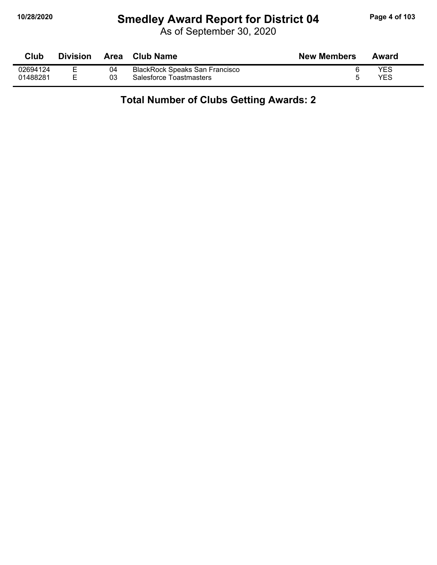## **10/28/2020 Smedley Award Report for District 04 Page 4 of 103**

As of September 30, 2020

| Club     | <b>Division</b> | Area | Club Name                             | <b>New Members</b> | Award |
|----------|-----------------|------|---------------------------------------|--------------------|-------|
| 02694124 | -               | 04   | <b>BlackRock Speaks San Francisco</b> |                    | YES   |
| 01488281 |                 | 03   | Salesforce Toastmasters               |                    | YES   |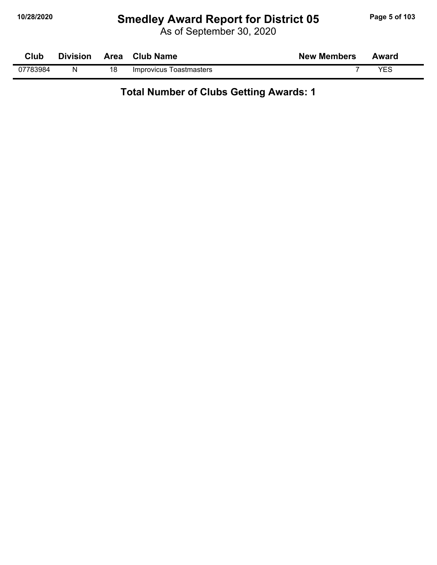## **10/28/2020 Smedley Award Report for District 05 Page 5 of 103**

As of September 30, 2020

| Club     | <b>Division</b> |    | Area Club Name          | <b>New Members</b> | Award |
|----------|-----------------|----|-------------------------|--------------------|-------|
| 07783984 | N               | 18 | Improvicus Toastmasters |                    | YES   |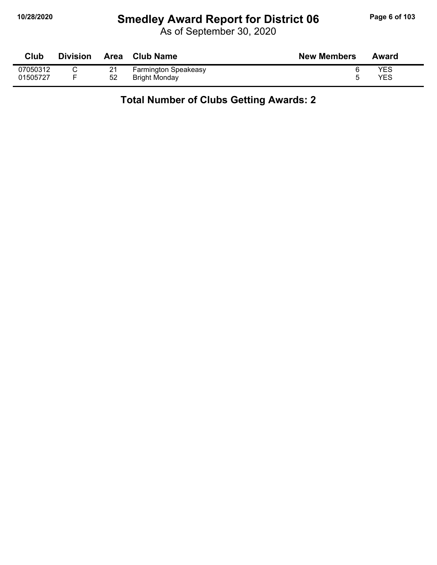## **10/28/2020 Smedley Award Report for District 06 Page 6 of 103**

As of September 30, 2020

| Club     | <b>Division</b> | <b>Area</b> | Club Name                   | <b>New Members</b> | Award |
|----------|-----------------|-------------|-----------------------------|--------------------|-------|
| 07050312 |                 | 21          | <b>Farmington Speakeasy</b> |                    | YES   |
| 01505727 |                 | 52          | <b>Bright Monday</b>        |                    | YES   |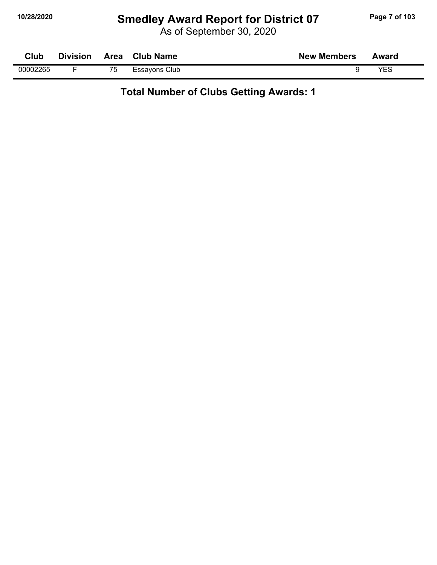## **10/28/2020 Smedley Award Report for District 07 Page 7 of 103**

As of September 30, 2020

| Club     | <b>Division</b> | Area | <b>Club Name</b><br><b>New Members</b> | Award |
|----------|-----------------|------|----------------------------------------|-------|
| 00002265 |                 | 75   | Essayons Club                          | VES   |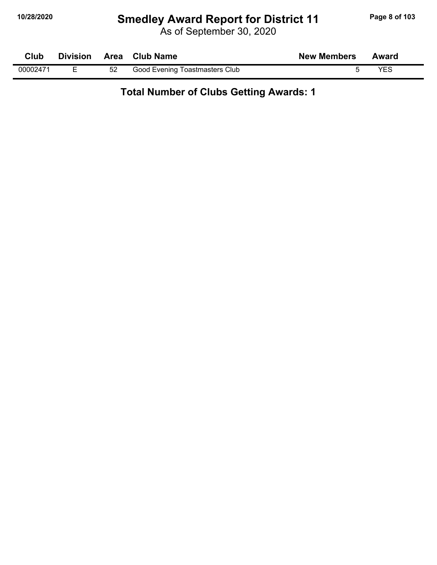## **10/28/2020 Smedley Award Report for District 11 Page 8 of 103**

As of September 30, 2020

| Club     |    | Division Area Club Name        | <b>New Members</b> | Award |  |
|----------|----|--------------------------------|--------------------|-------|--|
| 00002471 | 52 | Good Evening Toastmasters Club |                    | YES   |  |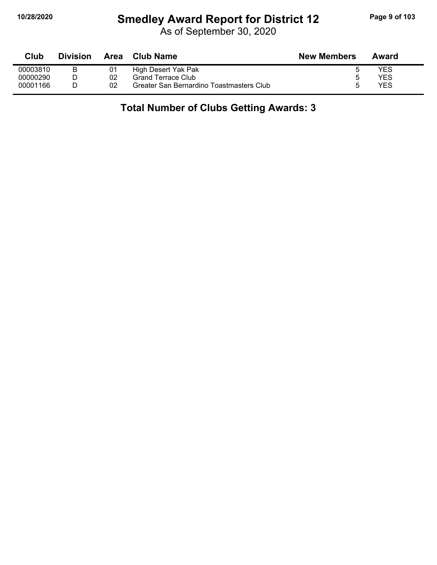## **10/28/2020 Smedley Award Report for District 12 Page 9 of 103**

As of September 30, 2020

| Club     | <b>Division</b> | Area | <b>Club Name</b>                         | <b>New Members</b> | Award |
|----------|-----------------|------|------------------------------------------|--------------------|-------|
| 00003810 |                 |      | High Desert Yak Pak                      |                    | YES   |
| 00000290 |                 | 02   | <b>Grand Terrace Club</b>                |                    | YES   |
| 00001166 |                 | 02   | Greater San Bernardino Toastmasters Club |                    | YES   |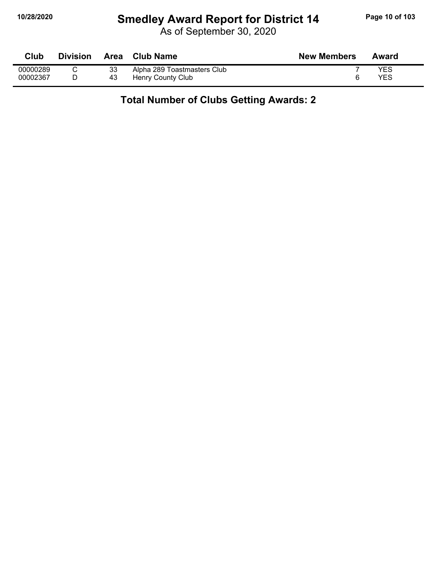## **10/28/2020 Smedley Award Report for District 14 Page 10 of 103**

As of September 30, 2020

| Club     | <b>Division</b> | <b>Area</b> | <b>Club Name</b>            | <b>New Members</b> | Award |
|----------|-----------------|-------------|-----------------------------|--------------------|-------|
| 00000289 |                 | 33          | Alpha 289 Toastmasters Club |                    | YES   |
| 00002367 |                 | 43          | Henry County Club           |                    | YES   |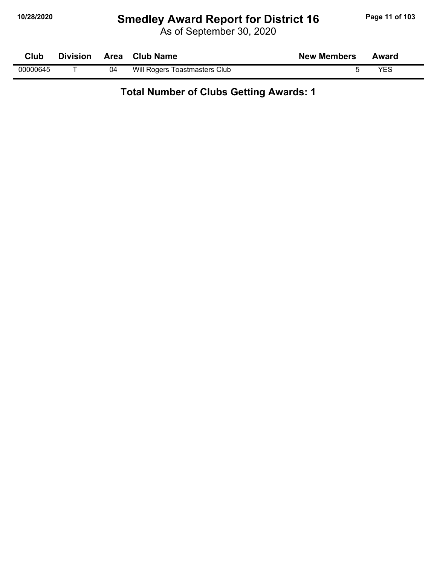## **10/28/2020 Smedley Award Report for District 16 Page 11 of 103**

As of September 30, 2020

| Club     | <b>Division</b> |    | Area Club Name                | <b>New Members</b> | Award |
|----------|-----------------|----|-------------------------------|--------------------|-------|
| 00000645 |                 | 04 | Will Rogers Toastmasters Club |                    | YES   |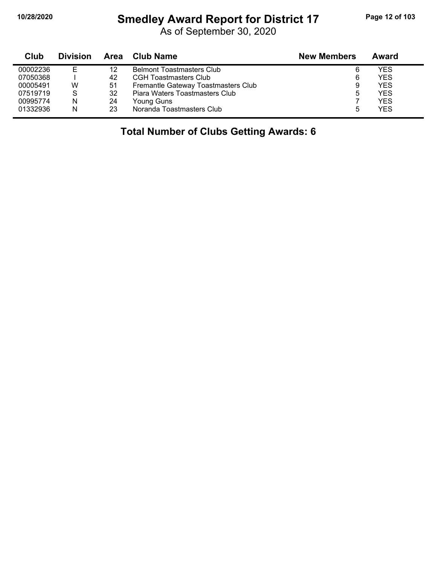#### **10/28/2020 Smedley Award Report for District 17 Page 12 of 103**

As of September 30, 2020

| Club     | <b>Division</b> |    | Area Club Name                      | <b>New Members</b> | Award      |
|----------|-----------------|----|-------------------------------------|--------------------|------------|
| 00002236 | E               | 12 | <b>Belmont Toastmasters Club</b>    | 6                  | YES        |
| 07050368 |                 | 42 | <b>CGH Toastmasters Club</b>        | 6                  | <b>YES</b> |
| 00005491 | W               | 51 | Fremantle Gateway Toastmasters Club | 9                  | YES        |
| 07519719 | S               | 32 | Piara Waters Toastmasters Club      |                    | <b>YES</b> |
| 00995774 | N               | 24 | Young Guns                          |                    | YFS        |
| 01332936 | N               | 23 | Noranda Toastmasters Club           |                    | <b>YES</b> |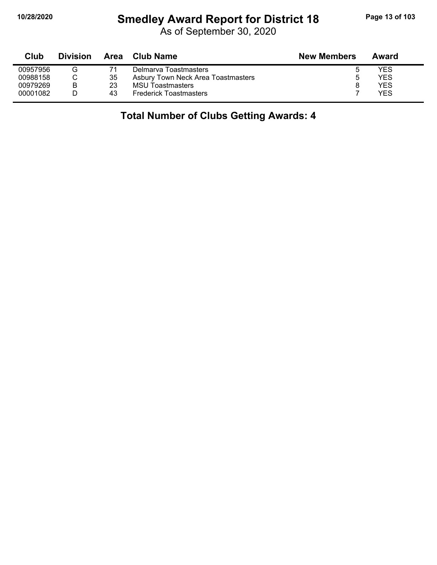#### **10/28/2020 Smedley Award Report for District 18 Page 13 of 103**

As of September 30, 2020

| Club     | <b>Division</b> | Area | <b>Club Name</b>                   | <b>New Members</b> | Award |
|----------|-----------------|------|------------------------------------|--------------------|-------|
| 00957956 |                 |      | Delmarva Toastmasters              |                    | YES   |
| 00988158 |                 | 35   | Asbury Town Neck Area Toastmasters | ۰.                 | YES   |
| 00979269 | B               | 23   | <b>MSU Toastmasters</b>            |                    | YES   |
| 00001082 |                 | 43   | <b>Frederick Toastmasters</b>      |                    | YFS   |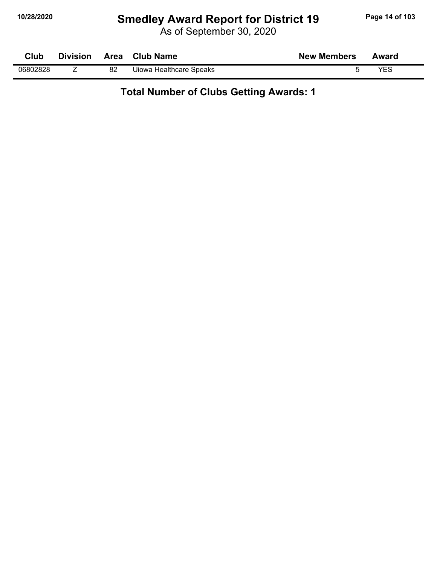## **10/28/2020 Smedley Award Report for District 19 Page 14 of 103**

As of September 30, 2020

| Club     | <b>Division</b> |    | Area Club Name          | <b>New Members</b> | Award |  |
|----------|-----------------|----|-------------------------|--------------------|-------|--|
| 06802828 | -               | 82 | Uiowa Healthcare Speaks |                    | YES   |  |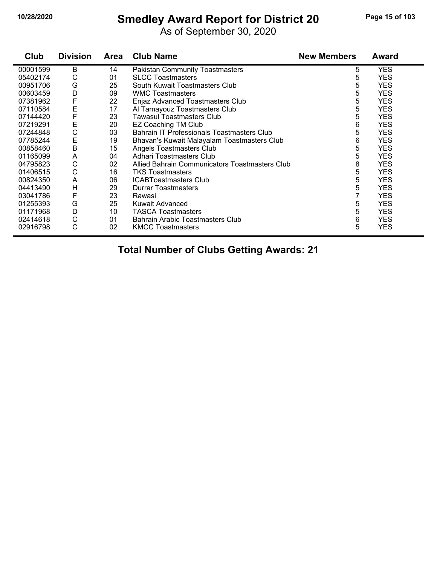## **10/28/2020 Smedley Award Report for District 20 Page 15 of 103**

As of September 30, 2020

| Club     | <b>Division</b> | Area | <b>Club Name</b>                               | <b>New Members</b> | Award      |
|----------|-----------------|------|------------------------------------------------|--------------------|------------|
| 00001599 | В               | 14   | <b>Pakistan Community Toastmasters</b>         | 5                  | <b>YES</b> |
| 05402174 | С               | 01   | <b>SLCC Toastmasters</b>                       | 5                  | <b>YES</b> |
| 00951706 | G               | 25   | South Kuwait Toastmasters Club                 | 5                  | <b>YES</b> |
| 00603459 | D               | 09   | <b>WMC Toastmasters</b>                        | 5                  | <b>YES</b> |
| 07381962 | F               | 22   | Enjaz Advanced Toastmasters Club               | 5                  | <b>YES</b> |
| 07110584 | Ε               | 17   | Al Tamayouz Toastmasters Club                  | 5                  | <b>YES</b> |
| 07144420 | F               | 23   | Tawasul Toastmasters Club                      | 5                  | <b>YES</b> |
| 07219291 | Е               | 20   | <b>EZ Coaching TM Club</b>                     | 6                  | <b>YES</b> |
| 07244848 | C               | 03   | Bahrain IT Professionals Toastmasters Club     | 5                  | <b>YES</b> |
| 07785244 | E               | 19   | Bhavan's Kuwait Malayalam Toastmasters Club    | 6                  | <b>YES</b> |
| 00858460 | B               | 15   | Angels Toastmasters Club                       | 5                  | <b>YES</b> |
| 01165099 | A               | 04   | Adhari Toastmasters Club                       | 5                  | <b>YES</b> |
| 04795823 | C               | 02   | Allied Bahrain Communicators Toastmasters Club | 8                  | <b>YES</b> |
| 01406515 | C               | 16   | <b>TKS Toastmasters</b>                        | 5                  | <b>YES</b> |
| 00824350 | A               | 06   | <b>ICABToastmasters Club</b>                   | 5                  | <b>YES</b> |
| 04413490 | H               | 29   | <b>Durrar Toastmasters</b>                     | 5                  | <b>YES</b> |
| 03041786 | F               | 23   | Rawasi                                         |                    | <b>YES</b> |
| 01255393 | G               | 25   | Kuwait Advanced                                | 5                  | <b>YES</b> |
| 01171968 | D               | 10   | <b>TASCA Toastmasters</b>                      | 5                  | <b>YES</b> |
| 02414618 | C               | 01   | Bahrain Arabic Toastmasters Club               | 6                  | <b>YES</b> |
| 02916798 | C               | 02   | <b>KMCC Toastmasters</b>                       | 5                  | <b>YES</b> |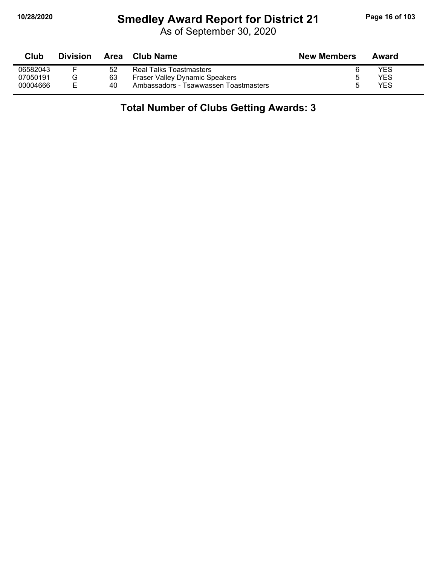## **10/28/2020 Smedley Award Report for District 21 Page 16 of 103**

As of September 30, 2020

| Club     | <b>Division</b> |    | Area Club Name                        | <b>New Members</b> | Award |
|----------|-----------------|----|---------------------------------------|--------------------|-------|
| 06582043 |                 | 52 | Real Talks Toastmasters               |                    | YES   |
| 07050191 | G               | 63 | <b>Fraser Valley Dynamic Speakers</b> |                    | YES   |
| 00004666 | F.              | 40 | Ambassadors - Tsawwassen Toastmasters |                    | YES   |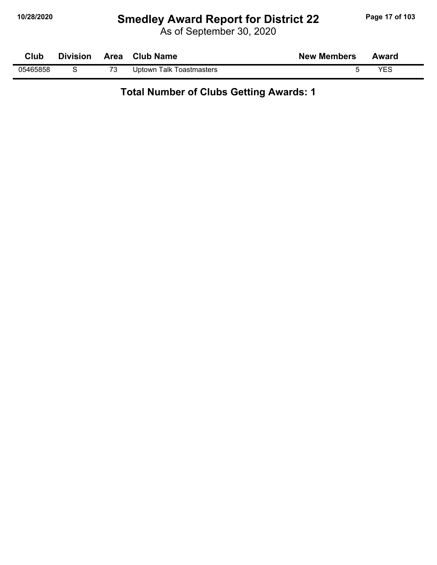## **10/28/2020 Smedley Award Report for District 22 Page 17 of 103**

As of September 30, 2020

| Club     |  | Division Area Club Name  | <b>New Members</b> | Award |
|----------|--|--------------------------|--------------------|-------|
| 05465858 |  | Uptown Talk Toastmasters |                    | YES   |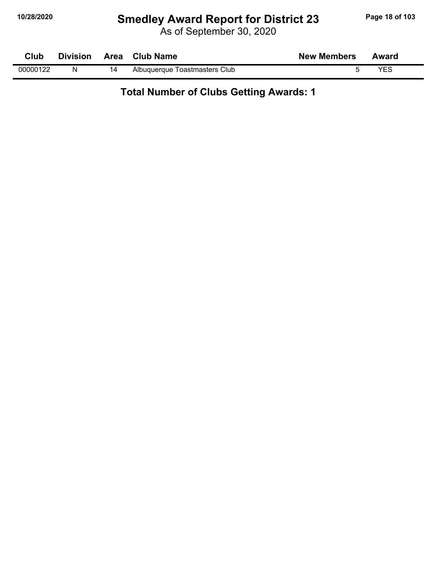## **10/28/2020 Smedley Award Report for District 23 Page 18 of 103**

As of September 30, 2020

| Club     | <b>Division</b> |    | Area Club Name                | <b>New Members</b> | Award |  |
|----------|-----------------|----|-------------------------------|--------------------|-------|--|
| 00000122 | N               | 14 | Albuquerque Toastmasters Club |                    | VES   |  |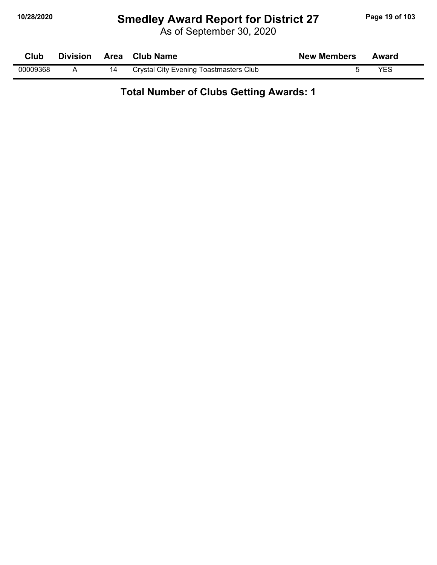## **10/28/2020 Smedley Award Report for District 27 Page 19 of 103**

As of September 30, 2020

| Club     | <b>Division</b> | Area Club Name                         | <b>New Members</b> | Award |  |
|----------|-----------------|----------------------------------------|--------------------|-------|--|
| 00009368 |                 | Crystal City Evening Toastmasters Club |                    | VES   |  |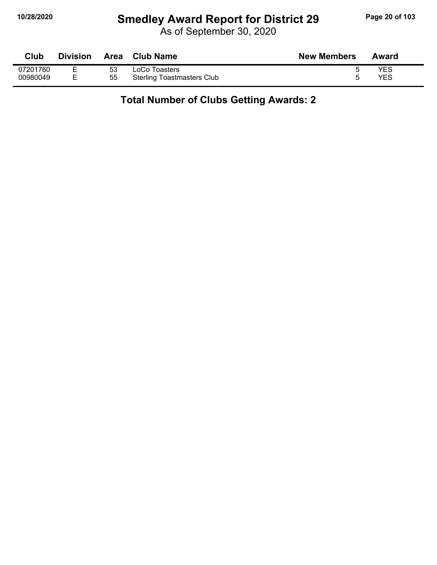## **10/28/2020 Smedley Award Report for District 29 Page 20 of 103**

As of September 30, 2020

| Club     | <b>Division</b> | Area | <b>Club Name</b>                  | <b>New Members</b> | Award |
|----------|-----------------|------|-----------------------------------|--------------------|-------|
| 07201760 | F<br>-          | 53   | LoCo Toasters                     |                    | YES   |
| 00980049 | E.              | 55   | <b>Sterling Toastmasters Club</b> |                    | YES   |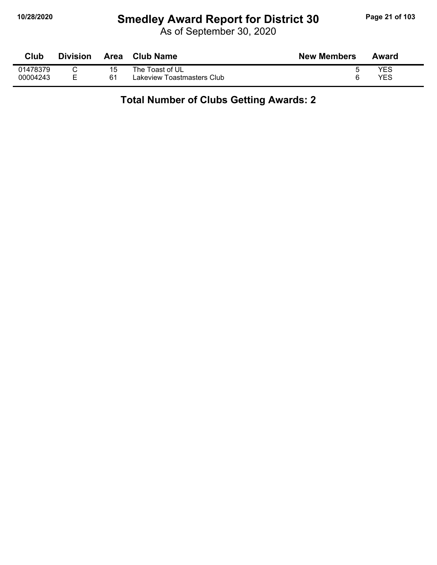## **10/28/2020 Smedley Award Report for District 30 Page 21 of 103**

As of September 30, 2020

| Club     | <b>Division</b> | <b>Area</b> | <b>Club Name</b>           | <b>New Members</b> | Award |
|----------|-----------------|-------------|----------------------------|--------------------|-------|
| 01478379 |                 | 15          | The Toast of UL            |                    | YES   |
| 00004243 | F               | 61          | Lakeview Toastmasters Club |                    | YES   |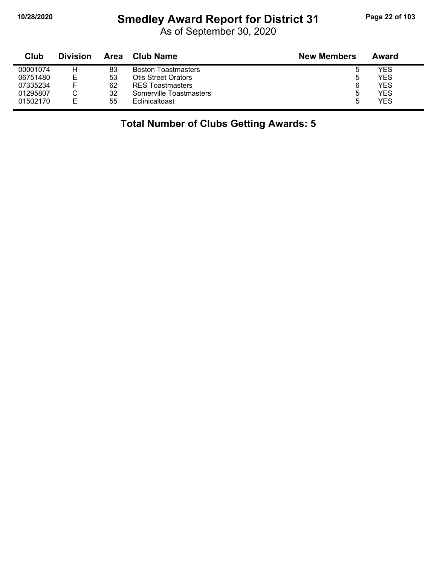## **10/28/2020 Smedley Award Report for District 31 Page 22 of 103**

As of September 30, 2020

| Club     | <b>Division</b> | Area | <b>Club Name</b>           | <b>New Members</b> | Award      |
|----------|-----------------|------|----------------------------|--------------------|------------|
| 00001074 | н               | 83   | <b>Boston Toastmasters</b> |                    | YES        |
| 06751480 | E               | 53   | Otis Street Orators        | b                  | YES        |
| 07335234 |                 | 62   | <b>RES Toastmasters</b>    | 6                  | <b>YES</b> |
| 01295807 |                 | 32   | Somerville Toastmasters    | b                  | YES        |
| 01502170 | E               | 55   | Eclinicaltoast             | ۰.                 | <b>YES</b> |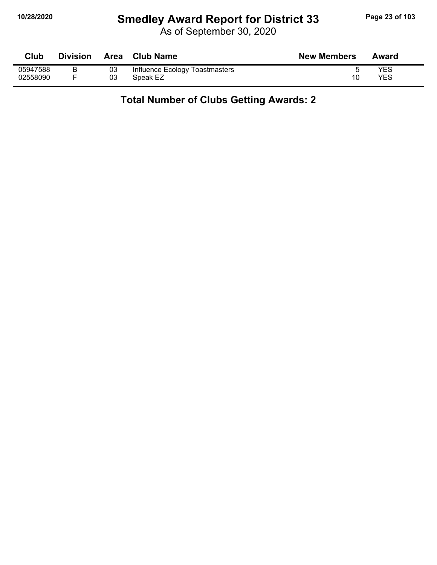## **10/28/2020 Smedley Award Report for District 33 Page 23 of 103**

As of September 30, 2020

| Club     | <b>Division</b> | Area | <b>Club Name</b>               | <b>New Members</b> | Award      |
|----------|-----------------|------|--------------------------------|--------------------|------------|
| 05947588 |                 | 03   | Influence Ecology Toastmasters |                    | <b>YES</b> |
| 02558090 |                 | 03   | Speak EZ                       | 10                 | YES        |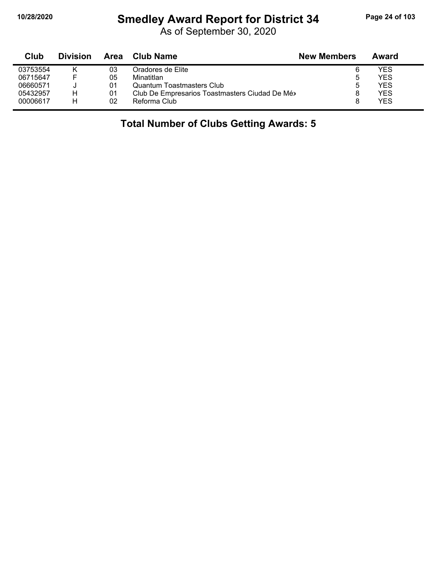## **10/28/2020 Smedley Award Report for District 34 Page 24 of 103**

As of September 30, 2020

| Club     | <b>Division</b> | Area | <b>Club Name</b>                              | <b>New Members</b> | Award |
|----------|-----------------|------|-----------------------------------------------|--------------------|-------|
| 03753554 | ĸ               | 03   | Oradores de Elite                             | 6                  | YES   |
| 06715647 |                 | 05   | Minatitlan                                    | ა                  | YES   |
| 06660571 |                 | 01   | Quantum Toastmasters Club                     | 5                  | YES   |
| 05432957 | н               | 01   | Club De Empresarios Toastmasters Ciudad De Mé |                    | YES   |
| 00006617 | н               | 02   | Reforma Club                                  |                    | YES   |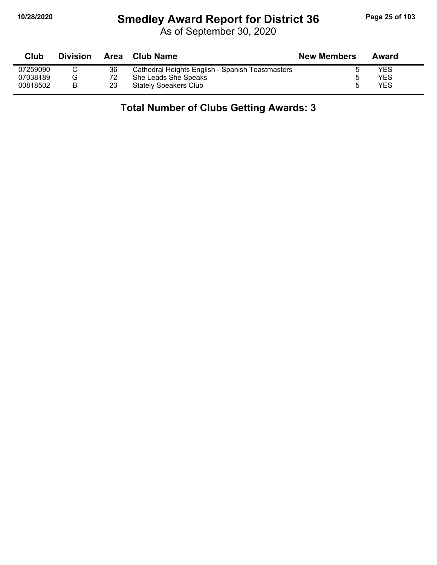## **10/28/2020 Smedley Award Report for District 36 Page 25 of 103**

As of September 30, 2020

| Club     | <b>Division</b> | Area | Club Name                                        | <b>New Members</b> | Award      |
|----------|-----------------|------|--------------------------------------------------|--------------------|------------|
| 07259090 |                 | 36   | Cathedral Heights English - Spanish Toastmasters |                    | <b>YES</b> |
| 07038189 | G               | 72   | She Leads She Speaks                             |                    | YES        |
| 00818502 |                 | 23   | <b>Stately Speakers Club</b>                     |                    | YES        |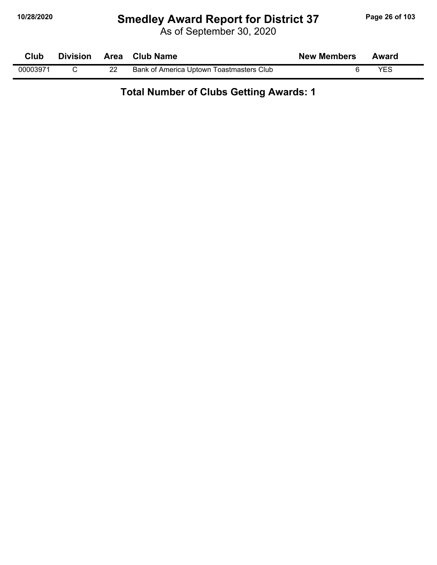## **10/28/2020 Smedley Award Report for District 37 Page 26 of 103**

As of September 30, 2020

| <b>Club</b> |  | Division Area Club Name                  | <b>New Members</b> | Award |  |
|-------------|--|------------------------------------------|--------------------|-------|--|
| 00003971    |  | Bank of America Uptown Toastmasters Club |                    | YFS   |  |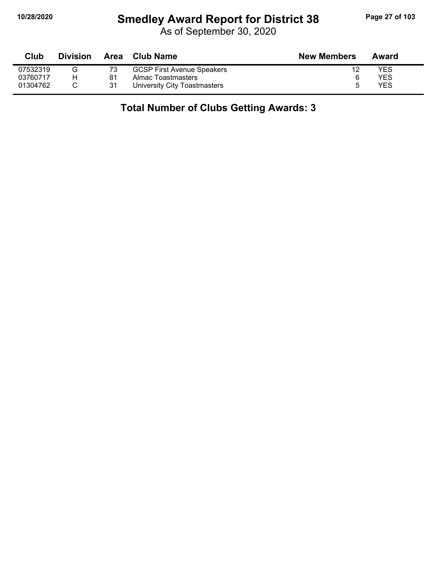## **10/28/2020 Smedley Award Report for District 38 Page 27 of 103**

As of September 30, 2020

| Club     | <b>Division</b> | Area | Club Name                         | <b>New Members</b> | Award |
|----------|-----------------|------|-----------------------------------|--------------------|-------|
| 07532319 | G               |      | <b>GCSP First Avenue Speakers</b> |                    | YES   |
| 03760717 | н               | 81   | Almac Toastmasters                |                    | YES   |
| 01304762 |                 | 31   | University City Toastmasters      |                    | YES   |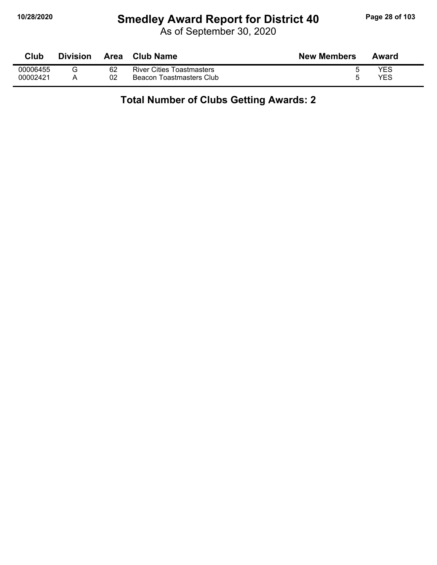## **10/28/2020 Smedley Award Report for District 40 Page 28 of 103**

As of September 30, 2020

| Club     | <b>Division</b> | Area | Club Name                        | <b>New Members</b> | Award |
|----------|-----------------|------|----------------------------------|--------------------|-------|
| 00006455 |                 | 62   | <b>River Cities Toastmasters</b> |                    | YES   |
| 00002421 |                 | 02   | Beacon Toastmasters Club         |                    | YES   |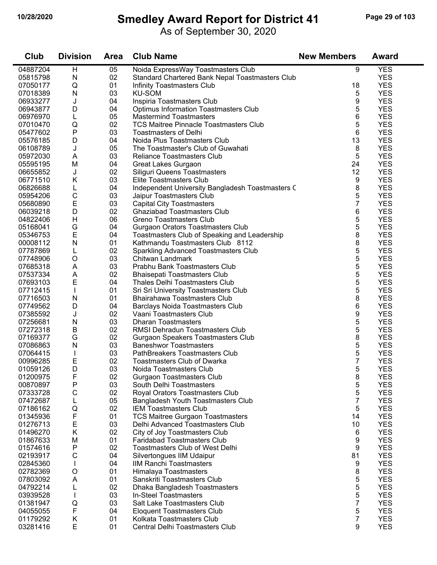#### **10/28/2020 Smedley Award Report for District 41 Page 29 of 103**

As of September 30, 2020

| Club     | <b>Division</b> | <b>Area</b> | <b>Club Name</b>                                 | <b>New Members</b> | <b>Award</b> |
|----------|-----------------|-------------|--------------------------------------------------|--------------------|--------------|
| 04887204 | H               | 05          | Noida ExpressWay Toastmasters Club               | 9                  | <b>YES</b>   |
| 05815798 | N               | 02          | Standard Chartered Bank Nepal Toastmasters Club  |                    | <b>YES</b>   |
| 07050177 | Q               | 01          | Infinity Toastmasters Club                       | 18                 | <b>YES</b>   |
| 07018389 | N               | 03          | <b>KU-SOM</b>                                    | 5                  | <b>YES</b>   |
| 06933277 | J               | 04          | Inspiria Toastmasters Club                       | 9                  | <b>YES</b>   |
| 06943877 | D               | 04          | <b>Optimus Information Toastmasters Club</b>     | 5                  | <b>YES</b>   |
| 06976970 | L               | 05          | <b>Mastermind Toastmasters</b>                   | 6                  | <b>YES</b>   |
| 07010470 | Q               | 02          | <b>TCS Maitree Pinnacle Toastmasters Club</b>    | 5                  | <b>YES</b>   |
| 05477602 | ${\sf P}$       | 03          | <b>Toastmasters of Delhi</b>                     | 6                  | <b>YES</b>   |
| 05576185 | D               | 04          | Noida Plus Toastmasters Club                     | 13                 | <b>YES</b>   |
| 06108789 | J               | 05          | The Toastmaster's Club of Guwahati               | 8                  | <b>YES</b>   |
| 05972030 | A               | 03          | <b>Reliance Toastmasters Club</b>                | 5                  | <b>YES</b>   |
| 05595195 | M               | 04          | Great Lakes Gurgaon                              | 24                 | <b>YES</b>   |
| 06655852 | J               | 02          | Siliguri Queens Toastmasters                     | 12                 | <b>YES</b>   |
| 06771510 | Κ               | 03          | Elite Toastmasters Club                          | 9                  | <b>YES</b>   |
| 06826688 | L               | 04          | Independent University Bangladesh Toastmasters C | 8                  | <b>YES</b>   |
| 05954206 | $\mathsf C$     | 03          | Jaipur Toastmasters Club                         | 5                  | <b>YES</b>   |
| 05680890 | E               | 03          | <b>Capital City Toastmasters</b>                 | 7                  | <b>YES</b>   |
| 06039218 | D               | 02          | <b>Ghaziabad Toastmasters Club</b>               | 6                  | <b>YES</b>   |
| 04822406 | H               | 06          | Greno Toastmasters Club                          | 5                  | <b>YES</b>   |
| 05168041 | G               | 04          | <b>Gurgaon Orators Toastmasters Club</b>         | 5                  | <b>YES</b>   |
| 05346753 | E               | 04          | Toastmasters Club of Speaking and Leadership     | 8                  | <b>YES</b>   |
| 00008112 | $\mathsf{N}$    | 01          | Kathmandu Toastmasters Club 8112                 | 8                  | <b>YES</b>   |
| 07787869 | L               | 02          | <b>Sparkling Advanced Toastmasters Club</b>      | 5                  | <b>YES</b>   |
| 07748906 | O               | 03          | Chitwan Landmark                                 | 5                  | <b>YES</b>   |
| 07685318 | A               | 03          | Prabhu Bank Toastmasters Club                    | 5                  | <b>YES</b>   |
| 07537334 | A               | 02          | <b>Bhaisepati Toastmasters Club</b>              | 5                  | <b>YES</b>   |
| 07693103 | E               | 04          | Thales Delhi Toastmasters Club                   | 5                  | <b>YES</b>   |
| 07712415 | $\mathbf{I}$    | 01          | Sri Sri University Toastmasters Club             | 5                  | <b>YES</b>   |
| 07716503 | N               | 01          | Bhairahawa Toastmasters Club                     | 8                  | <b>YES</b>   |
| 07749562 | D               | 04          | Barclays Noida Toastmasters Club                 | 6                  | <b>YES</b>   |
| 07385592 | J               | 02          | Vaani Toastmasters Club                          | 9                  | <b>YES</b>   |
| 07256681 | N               | 03          | <b>Dharan Toastmasters</b>                       | 5                  | <b>YES</b>   |
| 07272318 | B               | 02          | RMSI Dehradun Toastmasters Club                  | 5                  | <b>YES</b>   |
| 07169377 | G               | 02          | Gurgaon Speakers Toastmasters Club               | 8                  | <b>YES</b>   |
| 07086863 | N               | 03          | <b>Baneshwor Toastmasters</b>                    | 5                  | <b>YES</b>   |
| 07064415 |                 | 03          | PathBreakers Toastmasters Club                   | 5                  | <b>YES</b>   |
| 00996285 | Ε               | 02          | Toastmasters Club of Dwarka                      | 7                  | <b>YES</b>   |
| 01059126 | D               | 03          | Noida Toastmasters Club                          | 5                  | <b>YES</b>   |
| 01200975 | F               | 02          | <b>Gurgaon Toastmasters Club</b>                 | 8                  | <b>YES</b>   |
| 00870897 | ${\sf P}$       | 03          | South Delhi Toastmasters                         | 5                  | <b>YES</b>   |
| 07333728 | С               | 02          | Royal Orators Toastmasters Club                  | 5                  | <b>YES</b>   |
| 07472687 | L               | 05          | Bangladesh Youth Toastmasters Club               | 7                  | <b>YES</b>   |
| 07186162 | Q               | 02          | <b>IEM Toastmasters Club</b>                     | 5                  | <b>YES</b>   |
| 01345936 | F               | 01          | <b>TCS Maitree Gurgaon Toastmasters</b>          | 14                 | <b>YES</b>   |
| 01276713 | E               | 03          | Delhi Advanced Toastmasters Club                 | 10                 | <b>YES</b>   |
| 01496270 | K               | 02          | City of Joy Toastmasters Club                    | 6                  | <b>YES</b>   |
| 01867633 | M               | 01          | <b>Faridabad Toastmasters Club</b>               | 9                  | <b>YES</b>   |
| 01574616 | Ρ               | 02          | <b>Toastmasters Club of West Delhi</b>           | 9                  | <b>YES</b>   |
| 02193917 | С               | 04          | Silvertongues IIM Udaipur                        | 81                 | <b>YES</b>   |
| 02845360 |                 | 04          | <b>IIM Ranchi Toastmasters</b>                   | 9                  | <b>YES</b>   |
| 02782369 | O               | 01          | Himalaya Toastmasters                            | 8                  | <b>YES</b>   |
| 07803092 | A               | 01          | Sanskriti Toastmasters Club                      | 5                  | <b>YES</b>   |
| 04792214 | L               | 02          | Dhaka Bangladesh Toastmasters                    | 5                  | <b>YES</b>   |
| 03939528 |                 | 03          | In-Steel Toastmasters                            | 5                  | <b>YES</b>   |
| 01381947 | Q               | 03          | Salt Lake Toastmasters Club                      | 7                  | <b>YES</b>   |
| 04055055 | F               | 04          | <b>Eloquent Toastmasters Club</b>                | 5                  | <b>YES</b>   |
| 01179292 | Κ               | 01          | Kolkata Toastmasters Club                        | 7                  | <b>YES</b>   |
| 03281416 | E               | 01          | <b>Central Delhi Toastmasters Club</b>           | 9                  | <b>YES</b>   |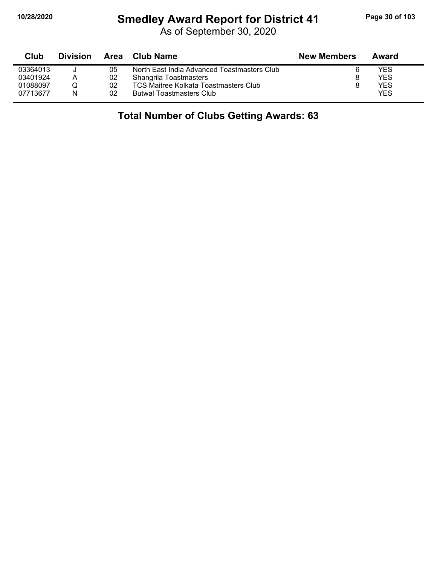## **10/28/2020 Smedley Award Report for District 41 Page 30 of 103**

As of September 30, 2020

| Club     | <b>Division</b> | Area | Club Name                                   | <b>New Members</b> | Award      |  |
|----------|-----------------|------|---------------------------------------------|--------------------|------------|--|
| 03364013 |                 | 05   | North East India Advanced Toastmasters Club |                    | YES        |  |
| 03401924 | A               | 02   | <b>Shangrila Toastmasters</b>               |                    | YES        |  |
| 01088097 |                 | 02   | TCS Maitree Kolkata Toastmasters Club       |                    | YES        |  |
| 07713677 | N               | 02   | <b>Butwal Toastmasters Club</b>             |                    | <b>YES</b> |  |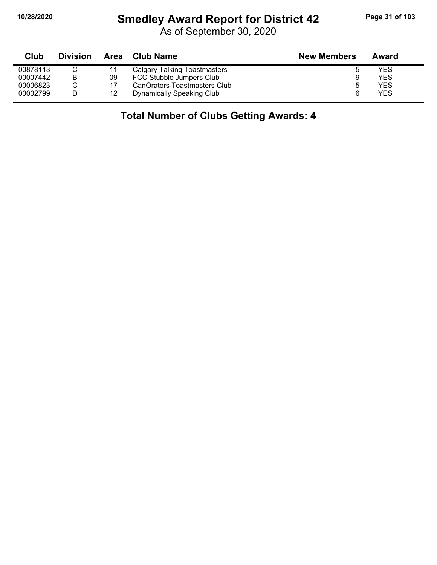# **10/28/2020 Smedley Award Report for District 42 Page 31 of 103**

As of September 30, 2020

| Club     | <b>Division</b> | Area | Club Name                           | <b>New Members</b> | Award |
|----------|-----------------|------|-------------------------------------|--------------------|-------|
| 00878113 |                 |      | <b>Calgary Talking Toastmasters</b> |                    | YES   |
| 00007442 | B               | 09   | FCC Stubble Jumpers Club            | 9                  | YES   |
| 00006823 |                 |      | CanOrators Toastmasters Club        |                    | YES   |
| 00002799 |                 | 12   | Dynamically Speaking Club           |                    | YES   |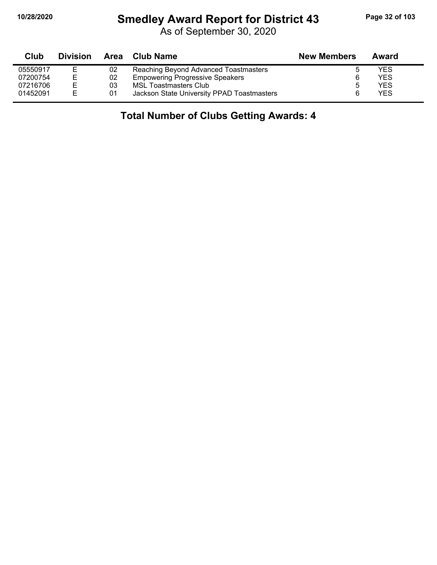# **10/28/2020 Smedley Award Report for District 43 Page 32 of 103**

As of September 30, 2020

| Club     | <b>Division</b> | Area | Club Name                                  | <b>New Members</b> | Award      |
|----------|-----------------|------|--------------------------------------------|--------------------|------------|
| 05550917 | Е               | 02   | Reaching Beyond Advanced Toastmasters      |                    | YES        |
| 07200754 | Е               | 02   | <b>Empowering Progressive Speakers</b>     |                    | YES.       |
| 07216706 | F.              | 03   | MSL Toastmasters Club                      |                    | <b>YES</b> |
| 01452091 | E.              | 01   | Jackson State University PPAD Toastmasters |                    | <b>YES</b> |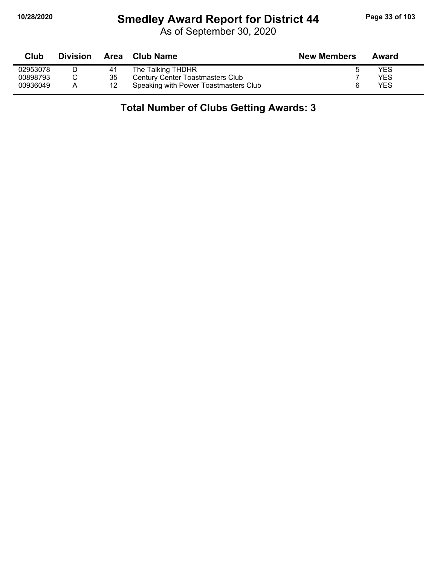## **10/28/2020 Smedley Award Report for District 44 Page 33 of 103**

As of September 30, 2020

| Club     | <b>Division</b> |    | Area Club Name                          | <b>New Members</b> | Award |
|----------|-----------------|----|-----------------------------------------|--------------------|-------|
| 02953078 |                 | 41 | The Talking THDHR                       |                    | YES   |
| 00898793 |                 | 35 | <b>Century Center Toastmasters Club</b> |                    | YES   |
| 00936049 | A               | 12 | Speaking with Power Toastmasters Club   |                    | YES   |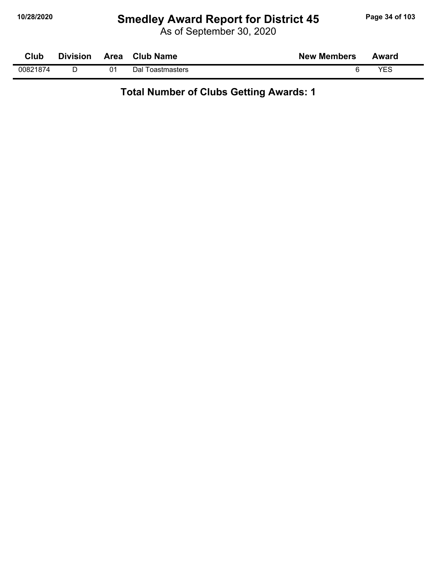## **10/28/2020 Smedley Award Report for District 45 Page 34 of 103**

As of September 30, 2020

| Club     | <b>Division</b> | Area | <b>Club Name</b> | <b>New Members</b> | Award      |
|----------|-----------------|------|------------------|--------------------|------------|
| 00821874 |                 | 01   | Dal Toastmasters |                    | <b>VES</b> |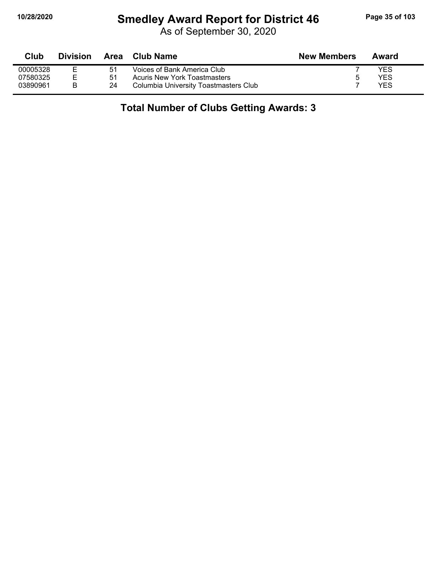## **10/28/2020 Smedley Award Report for District 46 Page 35 of 103**

As of September 30, 2020

| Club     | <b>Division</b> | Area | Club Name                             | <b>New Members</b> | Award |
|----------|-----------------|------|---------------------------------------|--------------------|-------|
| 00005328 |                 | 51   | Voices of Bank America Club           |                    | YES   |
| 07580325 | E               | -51  | <b>Acuris New York Toastmasters</b>   |                    | YES   |
| 03890961 |                 | 24   | Columbia University Toastmasters Club |                    | YES   |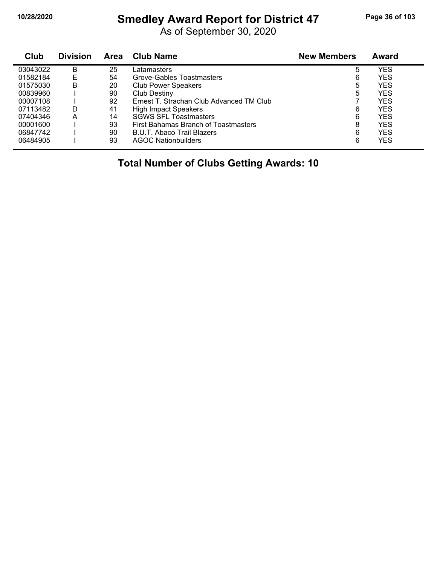## **10/28/2020 Smedley Award Report for District 47 Page 36 of 103**

As of September 30, 2020

| Club     | <b>Division</b> | Area | <b>Club Name</b>                         | <b>New Members</b> | Award |  |
|----------|-----------------|------|------------------------------------------|--------------------|-------|--|
| 03043022 | B               | 25   | Latamasters                              | 5                  | YES   |  |
| 01582184 | Е               | 54   | Grove-Gables Toastmasters                | 6                  | YES   |  |
| 01575030 | В               | 20   | <b>Club Power Speakers</b>               | 5                  | YES   |  |
| 00839960 |                 | 90   | <b>Club Destiny</b>                      | 5                  | YES   |  |
| 00007108 |                 | 92   | Ernest T. Strachan Club Advanced TM Club |                    | YES   |  |
| 07113482 | D               | 41   | <b>High Impact Speakers</b>              | 6                  | YES   |  |
| 07404346 | A               | 14   | <b>SGWS SFL Toastmasters</b>             | 6                  | YES   |  |
| 00001600 |                 | 93   | First Bahamas Branch of Toastmasters     | 8                  | YES   |  |
| 06847742 |                 | 90   | B.U.T. Abaco Trail Blazers               | 6                  | YES   |  |
| 06484905 |                 | 93   | <b>AGOC Nationbuilders</b>               | 6                  | YES   |  |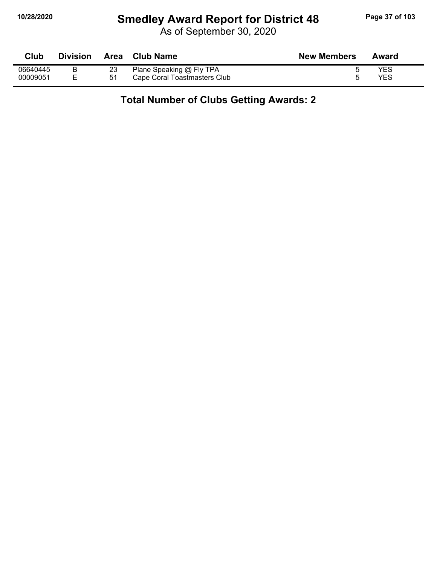### **10/28/2020 Smedley Award Report for District 48 Page 37 of 103**

As of September 30, 2020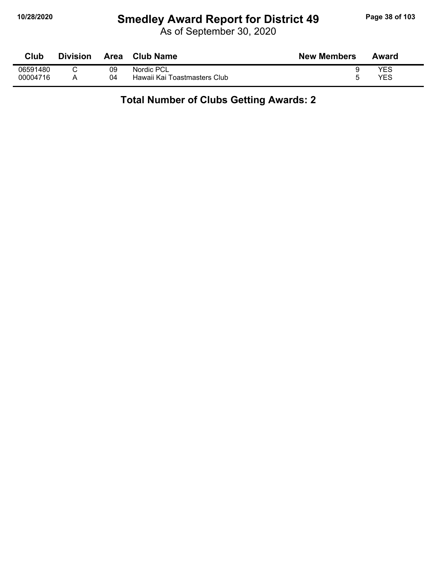# **10/28/2020 Smedley Award Report for District 49 Page 38 of 103**

As of September 30, 2020

| Club     | <b>Division</b> | Area | <b>Club Name</b>             | <b>New Members</b> | Award |
|----------|-----------------|------|------------------------------|--------------------|-------|
| 06591480 |                 | 09   | Nordic PCL                   |                    | YES   |
| 00004716 |                 | 04   | Hawaii Kai Toastmasters Club |                    | YES   |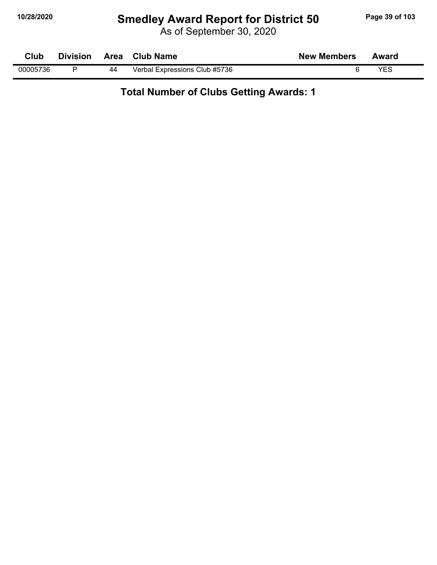# **10/28/2020 Smedley Award Report for District 50 Page 39 of 103**

As of September 30, 2020

| Club     | <b>Division</b> | Area | <b>Club Name</b>              | <b>New Members</b> | Award |
|----------|-----------------|------|-------------------------------|--------------------|-------|
| 00005736 |                 | 44   | Verbal Expressions Club #5736 |                    | YES   |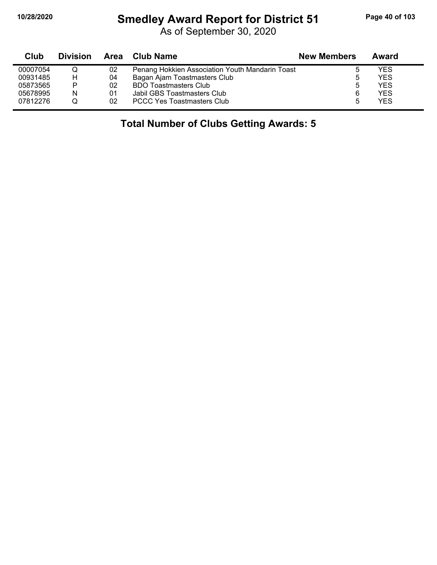# **10/28/2020 Smedley Award Report for District 51 Page 40 of 103**

As of September 30, 2020

| Club     | <b>Division</b> |    | Area Club Name                                  | <b>New Members</b> | Award      |  |
|----------|-----------------|----|-------------------------------------------------|--------------------|------------|--|
| 00007054 |                 | 02 | Penang Hokkien Association Youth Mandarin Toast |                    | YES        |  |
| 00931485 | H               | 04 | Bagan Ajam Toastmasters Club                    |                    | <b>YES</b> |  |
| 05873565 | P               | 02 | <b>BDO Toastmasters Club</b>                    |                    | <b>YES</b> |  |
| 05678995 | N               | 01 | Jabil GBS Toastmasters Club                     | 6                  | <b>YES</b> |  |
| 07812276 |                 | 02 | <b>PCCC Yes Toastmasters Club</b>               |                    | <b>YES</b> |  |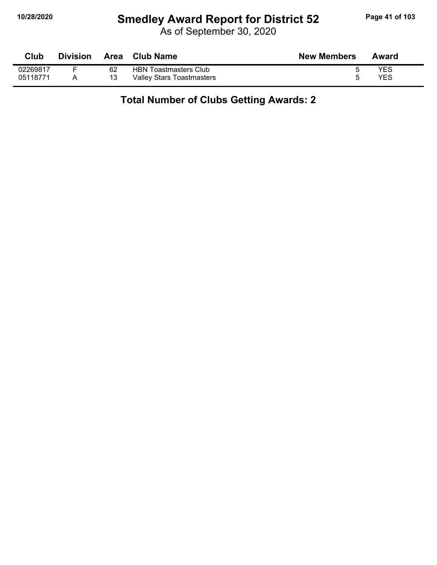# **10/28/2020 Smedley Award Report for District 52 Page 41 of 103**

As of September 30, 2020

| Club     | <b>Division</b> |    | Area Club Name                   | <b>New Members</b> | Award |
|----------|-----------------|----|----------------------------------|--------------------|-------|
| 02269817 |                 | 62 | <b>HBN Toastmasters Club</b>     |                    | YES   |
| 05118771 |                 | 13 | <b>Valley Stars Toastmasters</b> |                    | YES   |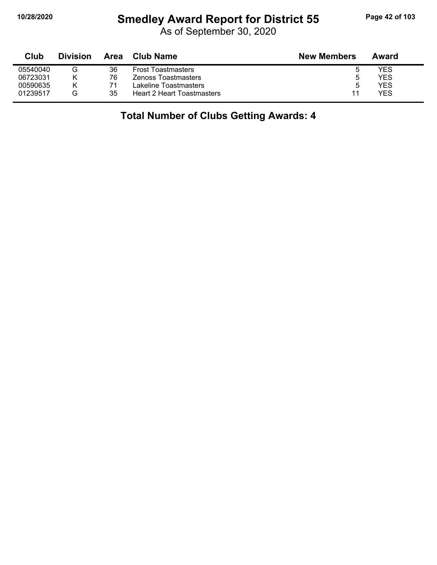# **10/28/2020 Smedley Award Report for District 55 Page 42 of 103**

As of September 30, 2020

| Club     | <b>Division</b> | Area | <b>Club Name</b>                  | <b>New Members</b> | Award |
|----------|-----------------|------|-----------------------------------|--------------------|-------|
| 05540040 | v               | 36   | <b>Frost Toastmasters</b>         |                    | YES   |
| 06723031 |                 | 76   | Zenoss Toastmasters               | ა                  | YES   |
| 00590635 |                 | 71   | Lakeline Toastmasters             | ა                  | YES   |
| 01239517 | G               | 35   | <b>Heart 2 Heart Toastmasters</b> | 11                 | YES   |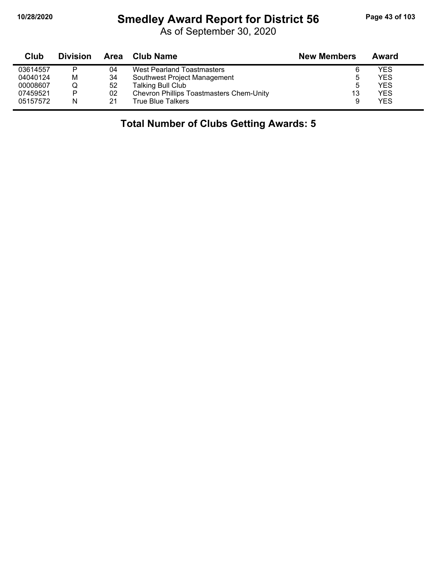# **10/28/2020 Smedley Award Report for District 56 Page 43 of 103**

As of September 30, 2020

| Club     | <b>Division</b> | Area | <b>Club Name</b>                                | <b>New Members</b> | Award |  |
|----------|-----------------|------|-------------------------------------------------|--------------------|-------|--|
| 03614557 |                 | 04   | West Pearland Toastmasters                      | 6                  | YES   |  |
| 04040124 | M               | 34   | Southwest Project Management                    | b                  | YES   |  |
| 00008607 |                 | 52   | <b>Talking Bull Club</b>                        | 5                  | YES   |  |
| 07459521 | Þ               | 02   | <b>Chevron Phillips Toastmasters Chem-Unity</b> | 13                 | YES   |  |
| 05157572 | N               | 21   | True Blue Talkers                               |                    | YES   |  |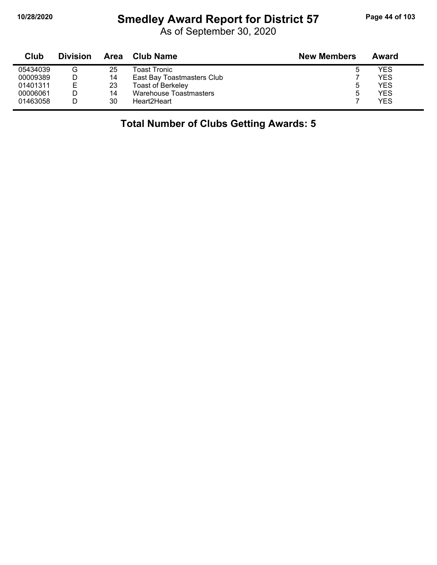# **10/28/2020 Smedley Award Report for District 57 Page 44 of 103**

As of September 30, 2020

| Club     | <b>Division</b> | Area | Club Name                  | <b>New Members</b> | Award |
|----------|-----------------|------|----------------------------|--------------------|-------|
| 05434039 | G               | 25   | Toast Tronic               | ь                  | YES   |
| 00009389 |                 | 14   | East Bay Toastmasters Club |                    | YES   |
| 01401311 | F               | 23   | <b>Toast of Berkeley</b>   | ა                  | YES   |
| 00006061 |                 | 14   | Warehouse Toastmasters     | ხ                  | YES   |
| 01463058 |                 | 30   | Heart2Heart                |                    | YES   |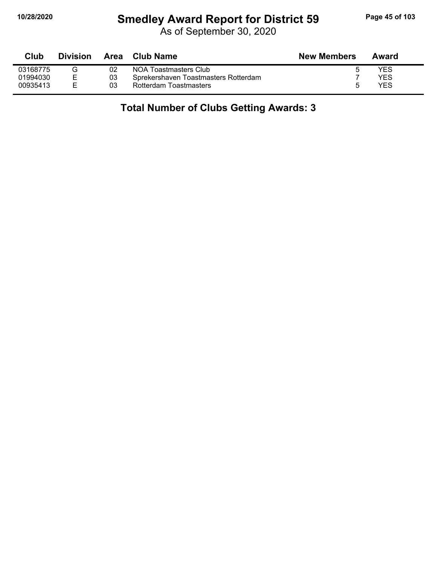# **10/28/2020 Smedley Award Report for District 59 Page 45 of 103**

As of September 30, 2020

| Club     | <b>Division</b> | Area | Club Name                            | <b>New Members</b> | Award |
|----------|-----------------|------|--------------------------------------|--------------------|-------|
| 03168775 | ت               | 02   | NOA Toastmasters Club                | b                  | YES   |
| 01994030 |                 | 03   | Sprekershaven Toastmasters Rotterdam |                    | YES   |
| 00935413 |                 | 03   | Rotterdam Toastmasters               | 5                  | YES   |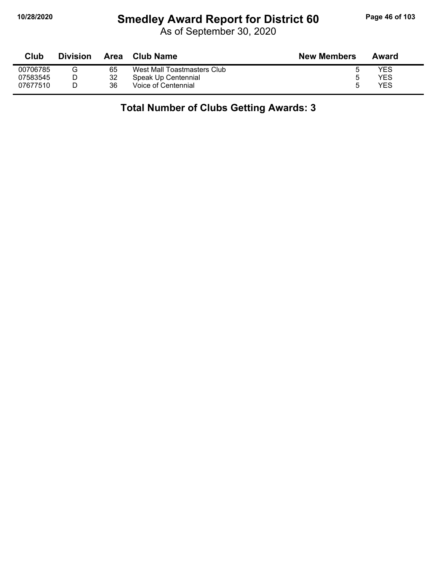# **10/28/2020 Smedley Award Report for District 60 Page 46 of 103**

As of September 30, 2020

| Club     | <b>Division</b> | Area | Club Name                   | <b>New Members</b> | Award |
|----------|-----------------|------|-----------------------------|--------------------|-------|
| 00706785 |                 | 65   | West Mall Toastmasters Club |                    | YES   |
| 07583545 |                 | 32   | Speak Up Centennial         | h                  | YES   |
| 07677510 |                 | 36   | Voice of Centennial         | ა                  | YES   |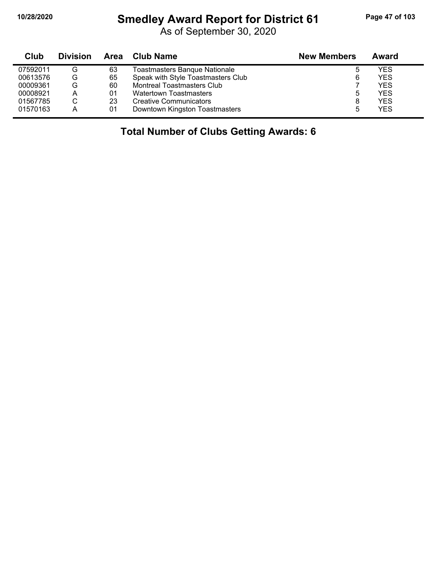### **10/28/2020 Smedley Award Report for District 61 Page 47 of 103**

As of September 30, 2020

| <b>Club</b> | <b>Division</b> | Area | <b>New Members</b><br><b>Club Name</b> |   | Award      |
|-------------|-----------------|------|----------------------------------------|---|------------|
| 07592011    | G               | 63   | <b>Toastmasters Banque Nationale</b>   | b | <b>YES</b> |
| 00613576    | G               | 65   | Speak with Style Toastmasters Club     | 6 | <b>YES</b> |
| 00009361    | G               | 60   | <b>Montreal Toastmasters Club</b>      |   | <b>YES</b> |
| 00008921    | А               | 01   | <b>Watertown Toastmasters</b>          | ხ | <b>YES</b> |
| 01567785    | С               | 23   | <b>Creative Communicators</b>          | 8 | <b>YES</b> |
| 01570163    | А               | 01   | Downtown Kingston Toastmasters         | 5 | <b>YES</b> |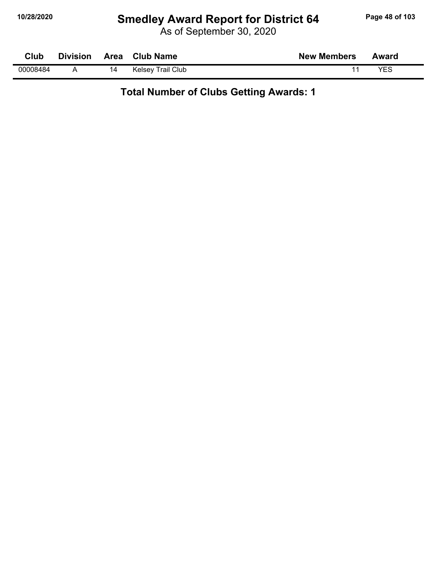# **10/28/2020 Smedley Award Report for District 64 Page 48 of 103**

As of September 30, 2020

| Club     | <b>Division</b> | Area | <b>Club Name</b>         | <b>New Members</b> | Award |  |
|----------|-----------------|------|--------------------------|--------------------|-------|--|
| 00008484 |                 | 14   | <b>Kelsey Trail Club</b> |                    | VES   |  |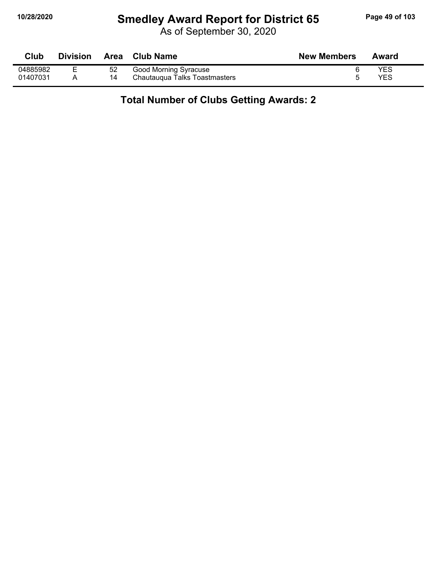# **10/28/2020 Smedley Award Report for District 65 Page 49 of 103**

As of September 30, 2020

| Club     | <b>Division</b> | <b>Area</b> | <b>Club Name</b>              | <b>New Members</b> | Award      |
|----------|-----------------|-------------|-------------------------------|--------------------|------------|
| 04885982 |                 | 52          | Good Morning Syracuse         |                    | <b>YES</b> |
| 01407031 |                 |             | Chautaugua Talks Toastmasters |                    | YES        |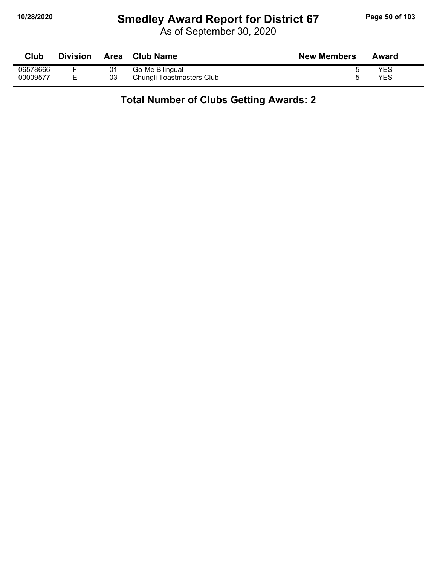# **10/28/2020 Smedley Award Report for District 67 Page 50 of 103**

As of September 30, 2020

| Club     | <b>Division</b> | Area | <b>Club Name</b>          | <b>New Members</b> | Award |
|----------|-----------------|------|---------------------------|--------------------|-------|
| 06578666 |                 | 01   | Go-Me Bilingual           |                    | YES   |
| 00009577 |                 | 03   | Chungli Toastmasters Club |                    | YES   |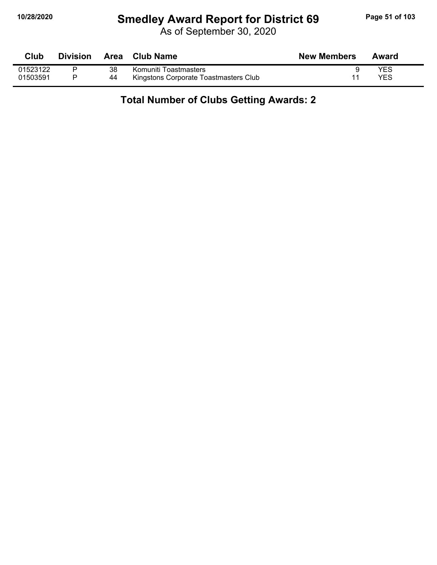# **10/28/2020 Smedley Award Report for District 69 Page 51 of 103**

As of September 30, 2020

| <b>Club</b> | <b>Division</b> |    | Area Club Name                        | <b>New Members</b> | Award |
|-------------|-----------------|----|---------------------------------------|--------------------|-------|
| 01523122    |                 | 38 | Komuniti Toastmasters                 |                    | YES   |
| 01503591    |                 | 44 | Kingstons Corporate Toastmasters Club |                    | YES   |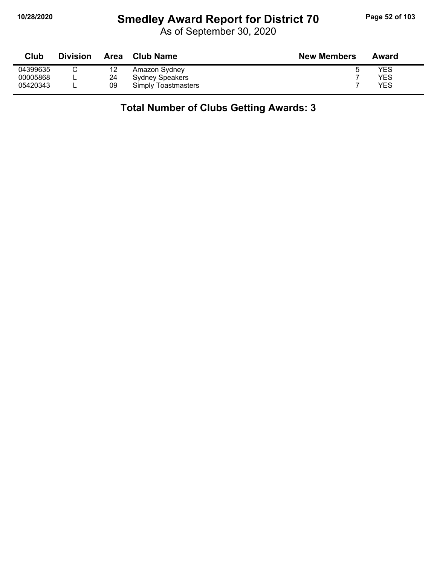# **10/28/2020 Smedley Award Report for District 70 Page 52 of 103**

As of September 30, 2020

| Club     | <b>Division</b> | Area | <b>Club Name</b>           | <b>New Members</b> | Award |
|----------|-----------------|------|----------------------------|--------------------|-------|
| 04399635 |                 | 12   | Amazon Sydney              |                    | YES   |
| 00005868 | −               | 24   | <b>Sydney Speakers</b>     |                    | YES   |
| 05420343 |                 | 09   | <b>Simply Toastmasters</b> |                    | YES   |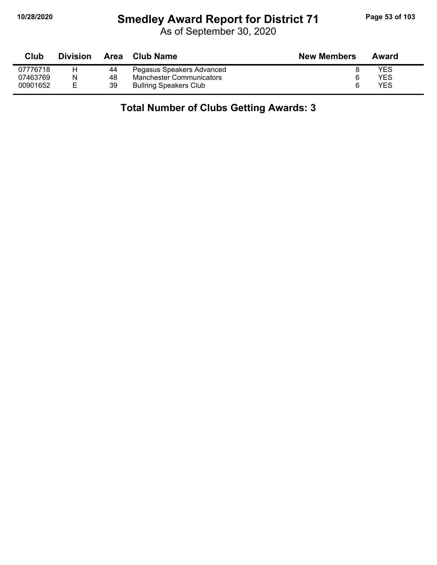# **10/28/2020 Smedley Award Report for District 71 Page 53 of 103**

As of September 30, 2020

| Club     | <b>Division</b> | Area | <b>Club Name</b>                | <b>New Members</b> | Award |
|----------|-----------------|------|---------------------------------|--------------------|-------|
| 07776718 |                 | 44   | Pegasus Speakers Advanced       |                    | YES   |
| 07463769 |                 | 48   | <b>Manchester Communicators</b> |                    | YES   |
| 00901652 |                 | 39   | <b>Bullring Speakers Club</b>   |                    | YES   |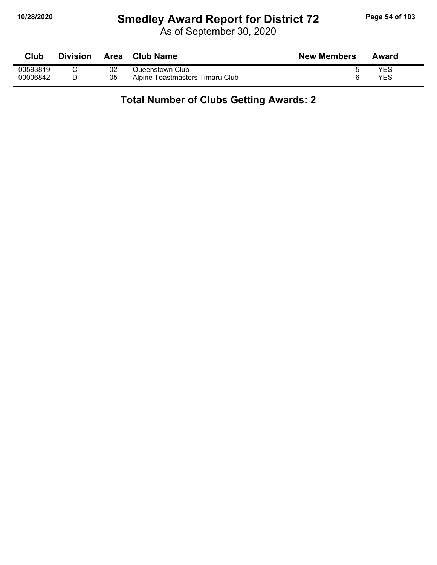# **10/28/2020 Smedley Award Report for District 72 Page 54 of 103**

As of September 30, 2020

| Club     | <b>Division</b> | <b>Area</b> | <b>Club Name</b>                | <b>New Members</b> | Award |
|----------|-----------------|-------------|---------------------------------|--------------------|-------|
| 00593819 |                 | 02          | Queenstown Club                 |                    | YES   |
| 00006842 |                 | 05          | Alpine Toastmasters Timaru Club |                    | YES   |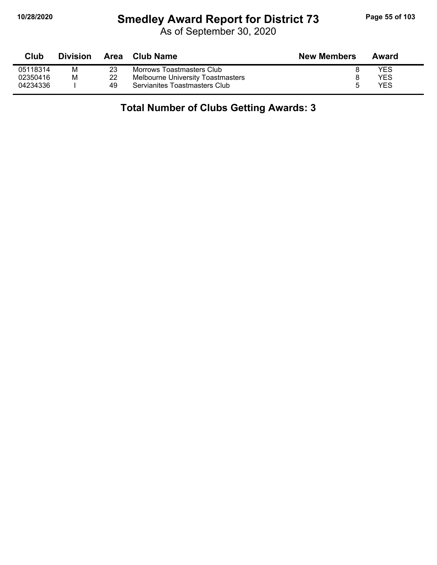### **10/28/2020 Smedley Award Report for District 73 Page 55 of 103**

As of September 30, 2020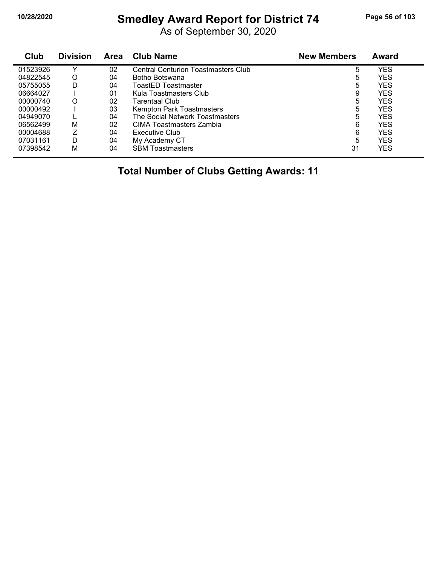# **10/28/2020 Smedley Award Report for District 74 Page 56 of 103**

As of September 30, 2020

| Club     | <b>Division</b> | Area | <b>Club Name</b>                           | <b>New Members</b> | Award      |
|----------|-----------------|------|--------------------------------------------|--------------------|------------|
| 01523926 | v               | 02   | <b>Central Centurion Toastmasters Club</b> | 5                  | YES        |
| 04822545 | O               | 04   | Botho Botswana                             | 5                  | YES        |
| 05755055 | D               | 04   | ToastED Toastmaster                        | 5                  | <b>YES</b> |
| 06664027 |                 | 01   | Kula Toastmasters Club                     | 9                  | YES        |
| 00000740 | O               | 02   | Tarentaal Club                             | 5                  | <b>YES</b> |
| 00000492 |                 | 03   | Kempton Park Toastmasters                  | 5                  | <b>YES</b> |
| 04949070 |                 | 04   | The Social Network Toastmasters            | 5                  | <b>YES</b> |
| 06562499 | M               | 02   | CIMA Toastmasters Zambia                   | 6                  | <b>YES</b> |
| 00004688 |                 | 04   | Executive Club                             | 6                  | YES        |
| 07031161 | D               | 04   | My Academy CT                              | 5                  | <b>YES</b> |
| 07398542 | М               | 04   | <b>SBM Toastmasters</b>                    | 31                 | YES        |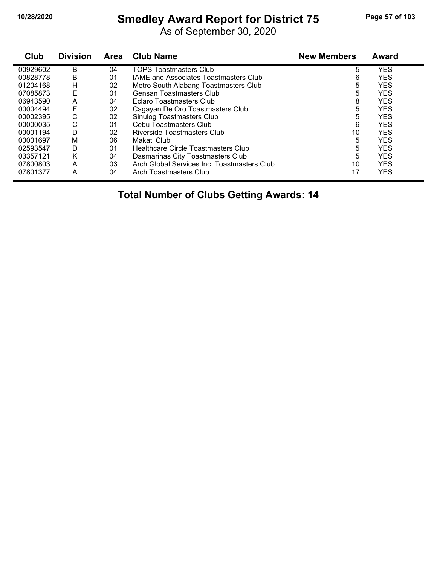# **10/28/2020 Smedley Award Report for District 75 Page 57 of 103**

As of September 30, 2020

| Club     | <b>Division</b> | Area | <b>Club Name</b>                             | <b>New Members</b> | <b>Award</b> |
|----------|-----------------|------|----------------------------------------------|--------------------|--------------|
| 00929602 | B               | 04   | <b>TOPS Toastmasters Club</b>                | 5                  | <b>YES</b>   |
| 00828778 | B               | 01   | <b>IAME and Associates Toastmasters Club</b> | 6                  | <b>YES</b>   |
| 01204168 | Н               | 02   | Metro South Alabang Toastmasters Club        | 5                  | <b>YES</b>   |
| 07085873 | E               | 01   | Gensan Toastmasters Club                     | 5                  | <b>YES</b>   |
| 06943590 | A               | 04   | Eclaro Toastmasters Club                     | 8                  | <b>YES</b>   |
| 00004494 | F               | 02   | Cagayan De Oro Toastmasters Club             | 5                  | <b>YES</b>   |
| 00002395 | С               | 02   | Sinulog Toastmasters Club                    | 5                  | <b>YES</b>   |
| 00000035 | С               | 01   | Cebu Toastmasters Club                       | 6                  | <b>YES</b>   |
| 00001194 | D               | 02   | Riverside Toastmasters Club                  | 10                 | <b>YES</b>   |
| 00001697 | M               | 06   | Makati Club                                  | 5                  | <b>YES</b>   |
| 02593547 | D               | 01   | Healthcare Circle Toastmasters Club          | 5                  | <b>YES</b>   |
| 03357121 | Κ               | 04   | Dasmarinas City Toastmasters Club            | 5                  | <b>YES</b>   |
| 07800803 | A               | 03   | Arch Global Services Inc. Toastmasters Club  | 10                 | <b>YES</b>   |
| 07801377 | A               | 04   | Arch Toastmasters Club                       | 17                 | YES          |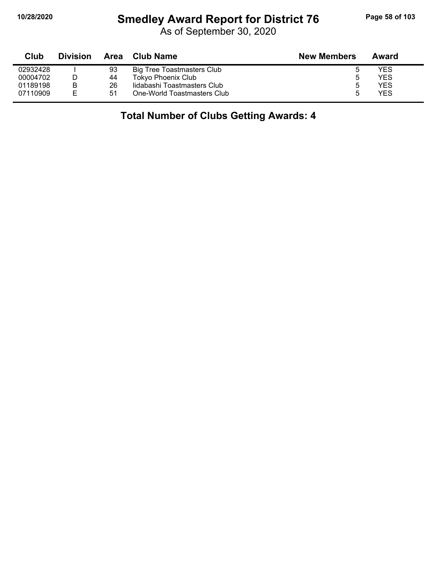### **10/28/2020 Smedley Award Report for District 76 Page 58 of 103**

As of September 30, 2020

| Club     | <b>Division</b> | Area | <b>Club Name</b>            | <b>New Members</b> | Award |
|----------|-----------------|------|-----------------------------|--------------------|-------|
| 02932428 |                 | 93   | Big Tree Toastmasters Club  |                    | YES   |
| 00004702 |                 | 44   | <b>Tokyo Phoenix Club</b>   | 5                  | YES   |
| 01189198 | B               | 26   | lidabashi Toastmasters Club | 5                  | YES   |
| 07110909 | F.              | 51   | One-World Toastmasters Club |                    | YES   |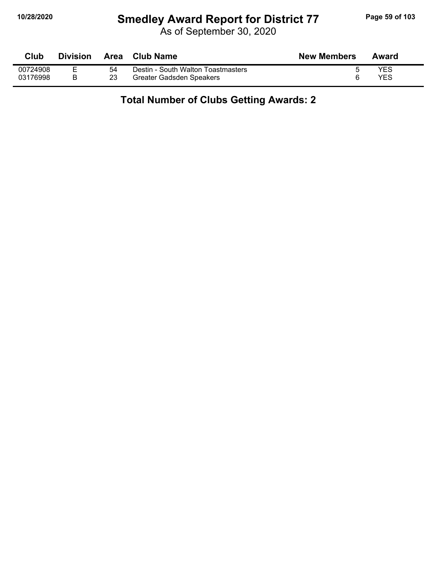# **10/28/2020 Smedley Award Report for District 77 Page 59 of 103**

As of September 30, 2020

| Club     | Division |    | Area Club Name                     | <b>New Members</b> | Award      |
|----------|----------|----|------------------------------------|--------------------|------------|
| 00724908 |          | 54 | Destin - South Walton Toastmasters |                    | <b>YES</b> |
| 03176998 |          | 23 | Greater Gadsden Speakers           |                    | <b>YES</b> |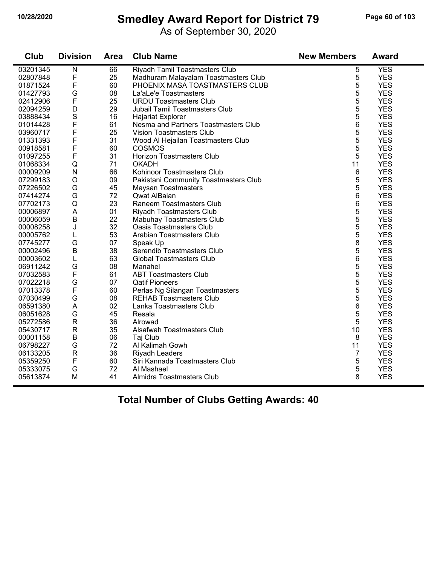# **10/28/2020 Smedley Award Report for District 79 Page 60 of 103**

As of September 30, 2020

| Club     | <b>Division</b> | <b>Area</b> | <b>Club Name</b>                      | <b>New Members</b> | Award      |
|----------|-----------------|-------------|---------------------------------------|--------------------|------------|
| 03201345 | ${\sf N}$       | 66          | Riyadh Tamil Toastmasters Club        | 5                  | <b>YES</b> |
| 02807848 | F               | 25          | Madhuram Malayalam Toastmasters Club  | 5                  | <b>YES</b> |
| 01871524 | F               | 60          | PHOENIX MASA TOASTMASTERS CLUB        | 5                  | <b>YES</b> |
| 01427793 | G               | 08          | La'aLe'e Toastmasters                 | 5                  | <b>YES</b> |
| 02412906 | F               | 25          | <b>URDU Toastmasters Club</b>         | 5                  | <b>YES</b> |
| 02094259 | D               | 29          | Jubail Tamil Toastmasters Club        | 5                  | <b>YES</b> |
| 03888434 | S               | 16          | <b>Hajariat Explorer</b>              | 5                  | <b>YES</b> |
| 01014428 | F               | 61          | Nesma and Partners Toastmasters Club  | 6                  | <b>YES</b> |
| 03960717 | F               | 25          | <b>Vision Toastmasters Club</b>       | 5                  | <b>YES</b> |
| 01331393 | F               | 31          | Wood Al Hejailan Toastmasters Club    | 5                  | <b>YES</b> |
| 00918581 | F               | 60          | <b>COSMOS</b>                         | 5                  | <b>YES</b> |
| 01097255 | F               | 31          | Horizon Toastmasters Club             | 5                  | <b>YES</b> |
| 01068334 | Q               | 71          | <b>OKADH</b>                          | 11                 | <b>YES</b> |
| 00009209 | $\mathsf{N}$    | 66          | Kohinoor Toastmasters Club            | 6                  | <b>YES</b> |
| 07299183 | $\mathsf O$     | 09          | Pakistani Community Toastmasters Club | 5                  | <b>YES</b> |
| 07226502 | G               | 45          | <b>Maysan Toastmasters</b>            | 5                  | <b>YES</b> |
| 07414274 | G               | 72          | Qwat AlBaian                          | 6                  | <b>YES</b> |
| 07702173 | Q               | 23          | Raneem Toastmasters Club              | 6                  | <b>YES</b> |
| 00006897 | $\mathsf A$     | 01          | Riyadh Toastmasters Club              | 5                  | <b>YES</b> |
| 00006059 | B               | 22          | Mabuhay Toastmasters Club             | 5                  | <b>YES</b> |
| 00008258 | J               | 32          | <b>Oasis Toastmasters Club</b>        | 5                  | <b>YES</b> |
| 00005762 | L               | 53          | Arabian Toastmasters Club             | 5                  | <b>YES</b> |
| 07745277 | G               | 07          | Speak Up                              | 8                  | <b>YES</b> |
| 00002496 | $\sf B$         | 38          | Serendib Toastmasters Club            | 5                  | <b>YES</b> |
| 00003602 | L               | 63          | <b>Global Toastmasters Club</b>       | 6                  | <b>YES</b> |
| 06911242 | G               | 08          | Manahel                               | 5                  | <b>YES</b> |
| 07032583 | F               | 61          | <b>ABT Toastmasters Club</b>          | 5                  | <b>YES</b> |
| 07022218 | G               | 07          | <b>Qatif Pioneers</b>                 | 5                  | <b>YES</b> |
| 07013378 | F               | 60          | Perlas Ng Silangan Toastmasters       | 5                  | <b>YES</b> |
| 07030499 | G               | 08          | <b>REHAB Toastmasters Club</b>        | 5                  | <b>YES</b> |
| 06591380 | A               | 02          | Lanka Toastmasters Club               | 6                  | <b>YES</b> |
| 06051628 | G               | 45          | Resala                                | 5                  | <b>YES</b> |
| 05272586 | ${\sf R}$       | 36          | Alrowad                               | 5                  | <b>YES</b> |
| 05430717 | $\mathsf{R}$    | 35          | Alsafwah Toastmasters Club            | 10                 | <b>YES</b> |
| 00001158 | $\sf B$         | 06          | Taj Club                              | 8                  | <b>YES</b> |
| 06798227 | G               | 72          | Al Kalimah Gowh                       | 11                 | <b>YES</b> |
| 06133205 | $\mathsf{R}$    | 36          | Riyadh Leaders                        | 7                  | <b>YES</b> |
| 05359250 | F               | 60          | Siri Kannada Toastmasters Club        | 5                  | <b>YES</b> |
| 05333075 | G               | 72          | Al Mashael                            | 5                  | <b>YES</b> |
| 05613874 | M               | 41          | Almidra Toastmasters Club             | 8                  | <b>YES</b> |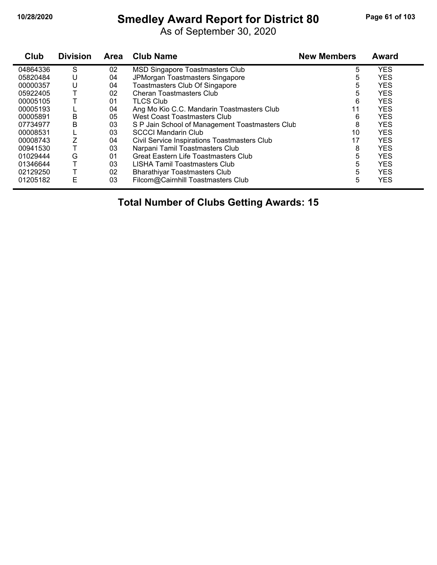# **10/28/2020 Smedley Award Report for District 80 Page 61 of 103**

As of September 30, 2020

| Club     | <b>Division</b> | <b>Area</b> | <b>Club Name</b>                                | <b>New Members</b> | <b>Award</b> |
|----------|-----------------|-------------|-------------------------------------------------|--------------------|--------------|
| 04864336 | S               | 02          | <b>MSD Singapore Toastmasters Club</b>          | 5                  | <b>YES</b>   |
| 05820484 | U               | 04          | JPMorgan Toastmasters Singapore                 | 5                  | <b>YES</b>   |
| 00000357 | U               | 04          | Toastmasters Club Of Singapore                  | 5                  | <b>YES</b>   |
| 05922405 |                 | 02          | Cheran Toastmasters Club                        | 5                  | <b>YES</b>   |
| 00005105 |                 | 01          | <b>TLCS Club</b>                                | 6                  | <b>YES</b>   |
| 00005193 |                 | 04          | Ang Mo Kio C.C. Mandarin Toastmasters Club      | 11                 | <b>YES</b>   |
| 00005891 | B               | 05          | West Coast Toastmasters Club                    | 6                  | <b>YES</b>   |
| 07734977 | B               | 03          | S P Jain School of Management Toastmasters Club | 8                  | <b>YES</b>   |
| 00008531 |                 | 03          | <b>SCCCI Mandarin Club</b>                      | 10                 | <b>YES</b>   |
| 00008743 |                 | 04          | Civil Service Inspirations Toastmasters Club    | 17                 | <b>YES</b>   |
| 00941530 |                 | 03          | Narpani Tamil Toastmasters Club                 | 8                  | <b>YES</b>   |
| 01029444 | G               | 01          | <b>Great Eastern Life Toastmasters Club</b>     | 5                  | <b>YES</b>   |
| 01346644 |                 | 03          | LISHA Tamil Toastmasters Club                   | 5                  | <b>YES</b>   |
| 02129250 |                 | 02          | <b>Bharathiyar Toastmasters Club</b>            | 5                  | <b>YES</b>   |
| 01205182 | E               | 03          | Filcom@Cairnhill Toastmasters Club              | 5                  | <b>YES</b>   |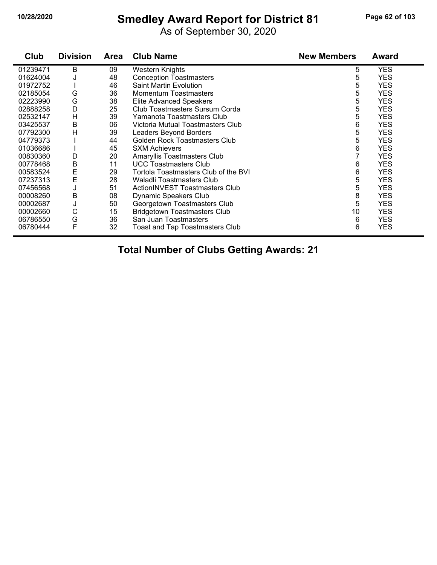# **10/28/2020 Smedley Award Report for District 81 Page 62 of 103**

As of September 30, 2020

| Club     | <b>Division</b> | <b>Area</b> | <b>Club Name</b>                       | <b>New Members</b> | <b>Award</b> |
|----------|-----------------|-------------|----------------------------------------|--------------------|--------------|
| 01239471 | B               | 09          | <b>Western Knights</b>                 | 5                  | <b>YES</b>   |
| 01624004 |                 | 48          | <b>Conception Toastmasters</b>         | 5                  | <b>YES</b>   |
| 01972752 |                 | 46          | Saint Martin Evolution                 | 5                  | <b>YES</b>   |
| 02185054 | G               | 36          | <b>Momentum Toastmasters</b>           | 5                  | <b>YES</b>   |
| 02223990 | G               | 38          | <b>Elite Advanced Speakers</b>         | 5                  | <b>YES</b>   |
| 02888258 | D               | 25          | Club Toastmasters Sursum Corda         | 5                  | <b>YES</b>   |
| 02532147 | H               | 39          | Yamanota Toastmasters Club             | 5                  | <b>YES</b>   |
| 03425537 | В               | 06          | Victoria Mutual Toastmasters Club      | 6                  | <b>YES</b>   |
| 07792300 | H               | 39          | Leaders Beyond Borders                 | 5                  | <b>YES</b>   |
| 04779373 |                 | 44          | Golden Rock Toastmasters Club          | 5                  | <b>YES</b>   |
| 01036686 |                 | 45          | <b>SXM Achievers</b>                   | 6                  | <b>YES</b>   |
| 00830360 | D               | 20          | Amaryllis Toastmasters Club            |                    | <b>YES</b>   |
| 00778468 | B               | 11          | <b>UCC Toastmasters Club</b>           | 6                  | <b>YES</b>   |
| 00583524 | E               | 29          | Tortola Toastmasters Club of the BVI   | 6                  | <b>YES</b>   |
| 07237313 | E               | 28          | Waladli Toastmasters Club              | 5                  | <b>YES</b>   |
| 07456568 | J               | 51          | ActionINVEST Toastmasters Club         | 5                  | <b>YES</b>   |
| 00008260 | B               | 08          | <b>Dynamic Speakers Club</b>           | 8                  | <b>YES</b>   |
| 00002687 | J               | 50          | Georgetown Toastmasters Club           | 5                  | <b>YES</b>   |
| 00002660 | C               | 15          | <b>Bridgetown Toastmasters Club</b>    | 10                 | <b>YES</b>   |
| 06786550 | G               | 36          | San Juan Toastmasters                  | 6                  | <b>YES</b>   |
| 06780444 | F               | 32          | <b>Toast and Tap Toastmasters Club</b> | 6                  | <b>YES</b>   |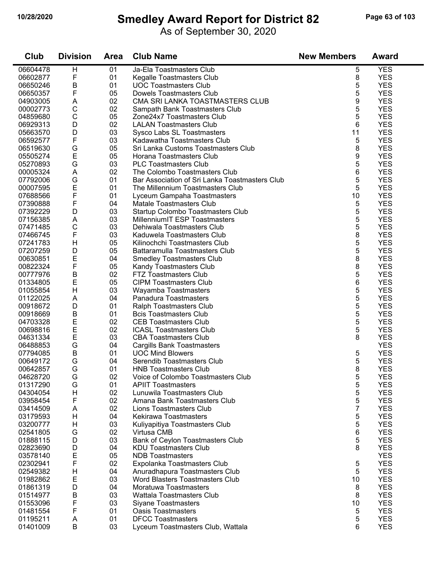#### **10/28/2020 Smedley Award Report for District 82 Page 63 of 103**

As of September 30, 2020

| Club     | <b>Division</b> | <b>Area</b> | <b>Club Name</b>                               | <b>New Members</b> | <b>Award</b> |
|----------|-----------------|-------------|------------------------------------------------|--------------------|--------------|
| 06604478 | H               | 01          | Ja-Ela Toastmasters Club                       | 5                  | <b>YES</b>   |
| 06602877 | F               | 01          | Kegalle Toastmasters Club                      | 8                  | <b>YES</b>   |
| 06650246 | B               | 01          | <b>UOC Toastmasters Club</b>                   | 5                  | <b>YES</b>   |
| 06650357 | F               | 05          | <b>Dowels Toastmasters Club</b>                | 5                  | <b>YES</b>   |
| 04903005 | A               | 02          | CMA SRI LANKA TOASTMASTERS CLUB                | 9                  | <b>YES</b>   |
| 00002773 | $\mathsf C$     | 02          | Sampath Bank Toastmasters Club                 | 5                  | <b>YES</b>   |
| 04859680 | С               | 05          | Zone24x7 Toastmasters Club                     | 5                  | <b>YES</b>   |
| 06929313 | D               | 02          | <b>LALAN Toastmasters Club</b>                 | 6                  | <b>YES</b>   |
| 05663570 | D               | 03          | Sysco Labs SL Toastmasters                     | 11                 | <b>YES</b>   |
| 06592577 | F               | 03          | Kadawatha Toastmasters Club                    | 5                  | <b>YES</b>   |
| 06519630 | G               | 05          | Sri Lanka Customs Toastmasters Club            | 8                  | <b>YES</b>   |
| 05505274 | E               | 05          | Horana Toastmasters Club                       | 9                  | <b>YES</b>   |
| 05270893 | G               | 03          | <b>PLC Toastmasters Club</b>                   | 5                  | <b>YES</b>   |
| 00005324 | A               | 02          | The Colombo Toastmasters Club                  | 6                  | <b>YES</b>   |
| 07792006 | G               | 01          | Bar Association of Sri Lanka Toastmasters Club | 5                  | <b>YES</b>   |
| 00007595 | E               | 01          | The Millennium Toastmasters Club               | 5                  | <b>YES</b>   |
| 07688566 | F               | 01          | Lyceum Gampaha Toastmasters                    | 10                 | <b>YES</b>   |
| 07390888 | F               | 04          | <b>Matale Toastmasters Club</b>                | 5                  | <b>YES</b>   |
| 07392229 | D               | 03          | Startup Colombo Toastmasters Club              | 5                  | <b>YES</b>   |
| 07156385 | A               | 03          | MillenniumIT ESP Toastmasters                  | 5                  | <b>YES</b>   |
| 07471485 | C               | 03          | Dehiwala Toastmasters Club                     | 5                  | <b>YES</b>   |
| 07466745 | F               | 03          | Kaduwela Toastmasters Club                     | 8                  | <b>YES</b>   |
| 07241783 | H               | 05          | Kilinochchi Toastmasters Club                  | 5                  | <b>YES</b>   |
| 07207259 | D               | 05          | Battaramulla Toastmasters Club                 | 5                  | <b>YES</b>   |
| 00630851 | E               | 04          | <b>Smedley Toastmasters Club</b>               | 8                  | <b>YES</b>   |
| 00822324 | F               | 05          | Kandy Toastmasters Club                        | 8                  | <b>YES</b>   |
| 00777976 | B               | 02          | <b>FTZ Toastmasters Club</b>                   | 5                  | <b>YES</b>   |
| 01334805 | E               | 05          | <b>CIPM Toastmasters Club</b>                  | 6                  | <b>YES</b>   |
| 01055854 | Н               | 03          | Wayamba Toastmasters                           | 5                  | <b>YES</b>   |
| 01122025 | A               | 04          | Panadura Toastmasters                          | 5                  | <b>YES</b>   |
| 00918672 | D               | 01          | Ralph Toastmasters Club                        | 5                  | <b>YES</b>   |
| 00918669 | B               | 01          | <b>Bcis Toastmasters Club</b>                  | 5                  | <b>YES</b>   |
| 04703328 | E               | 02          | <b>CEB Toastmasters Club</b>                   | 5                  | <b>YES</b>   |
| 00698816 | E               | 02          | <b>ICASL Toastmasters Club</b>                 | 5                  | <b>YES</b>   |
| 04631334 | E               | 03          | <b>CBA Toastmasters Club</b>                   | 8                  | <b>YES</b>   |
| 06488853 | G               | 04          | <b>Cargills Bank Toastmasters</b>              |                    | <b>YES</b>   |
| 07794085 | B               | 01          | <b>UOC Mind Blowers</b>                        | 5                  | <b>YES</b>   |
| 00649172 | G               | 04          | Serendib Toastmasters Club                     | 5                  | <b>YES</b>   |
| 00642857 | G               | 01          | <b>HNB Toastmasters Club</b>                   | 8                  | <b>YES</b>   |
| 04628720 | G               | 02          | Voice of Colombo Toastmasters Club             | 5                  | <b>YES</b>   |
| 01317290 | G               | 01          | <b>APIIT Toastmasters</b>                      | 5                  | <b>YES</b>   |
| 04304054 | H               | 02          | Lunuwila Toastmasters Club                     | 5                  | <b>YES</b>   |
| 03958454 | F               | 02          | Amana Bank Toastmasters Club                   | 5                  | <b>YES</b>   |
| 03414509 | A               | 02          | Lions Toastmasters Club                        | 7                  | <b>YES</b>   |
| 03179593 | H               | 04          | Kekirawa Toastmasters                          | 5                  | <b>YES</b>   |
| 03200777 | Н               | 03          | Kuliyapitiya Toastmasters Club                 | 5                  | <b>YES</b>   |
| 02541805 | G               | 02          | Virtusa CMB                                    | 6                  | <b>YES</b>   |
| 01888115 | D               | 03          | Bank of Ceylon Toastmasters Club               | 5                  | <b>YES</b>   |
| 02823690 | D               | 04          | <b>KDU Toastmasters Club</b>                   | 8                  | <b>YES</b>   |
| 03578140 | Ε               | 05          | <b>NDB</b> Toastmasters                        |                    | <b>YES</b>   |
| 02302941 | F               | 02          | Expolanka Toastmasters Club                    | 5                  | <b>YES</b>   |
| 02549382 | H               | 04          | Anuradhapura Toastmasters Club                 | 5                  | <b>YES</b>   |
| 01982862 | Е               | 03          | <b>Word Blasters Toastmasters Club</b>         | 10                 | <b>YES</b>   |
| 01861319 | D               | 04          | Moratuwa Toastmasters                          | 8                  | <b>YES</b>   |
| 01514977 | Β               | 03          | <b>Wattala Toastmasters Club</b>               | 8                  | <b>YES</b>   |
| 01553096 | F               | 03          | <b>Siyane Toastmasters</b>                     | 10                 | <b>YES</b>   |
| 01481554 | F               | 01          | <b>Oasis Toastmasters</b>                      | 5                  | <b>YES</b>   |
| 01195211 | A               | 01          | <b>DFCC Toastmasters</b>                       | 5                  | <b>YES</b>   |
| 01401009 | B               | 03          | Lyceum Toastmasters Club, Wattala              | 6                  | <b>YES</b>   |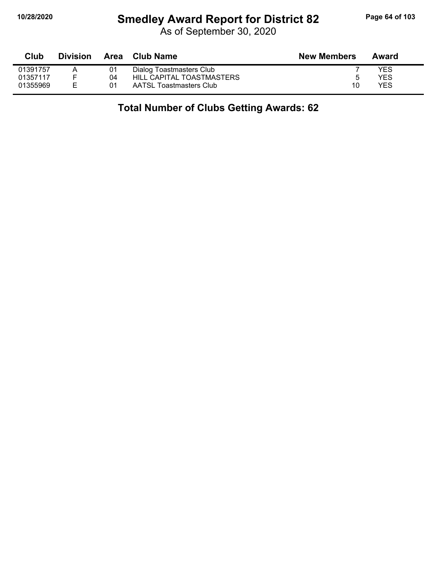# **10/28/2020 Smedley Award Report for District 82 Page 64 of 103**

As of September 30, 2020

| Club     | <b>Division</b> | Area | Club Name                 | <b>New Members</b> | Award |
|----------|-----------------|------|---------------------------|--------------------|-------|
| 01391757 |                 | 01   | Dialog Toastmasters Club  |                    | YES   |
| 01357117 |                 | 04   | HILL CAPITAL TOASTMASTERS | 5                  | YES   |
| 01355969 | E               | 01   | AATSL Toastmasters Club   | 10                 | YES   |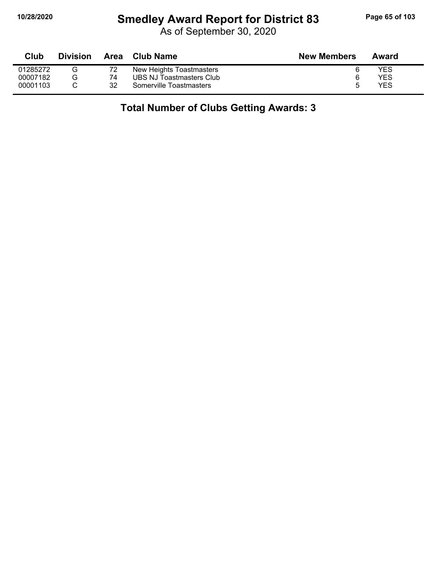# **10/28/2020 Smedley Award Report for District 83 Page 65 of 103**

| Club     | <b>Division</b> |    | Area Club Name           | <b>New Members</b> | Award |
|----------|-----------------|----|--------------------------|--------------------|-------|
| 01285272 | G               |    | New Heights Toastmasters | 6                  | YES   |
| 00007182 | G               | 74 | UBS NJ Toastmasters Club | 6                  | YES   |
| 00001103 |                 | 32 | Somerville Toastmasters  | ხ                  | YES   |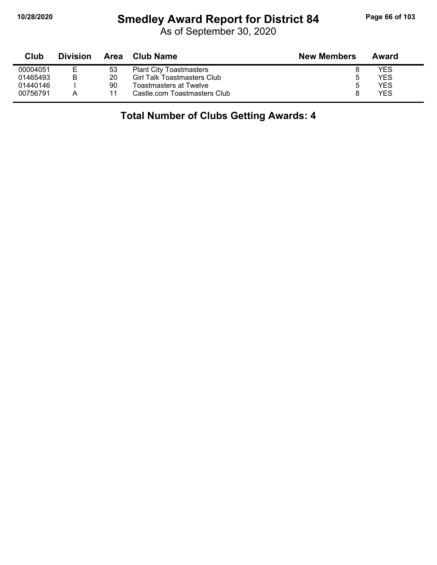### **10/28/2020 Smedley Award Report for District 84 Page 66 of 103**

As of September 30, 2020

| Club     | <b>Division</b> | Area | <b>Club Name</b>                   | <b>New Members</b> | Award |
|----------|-----------------|------|------------------------------------|--------------------|-------|
| 00004051 |                 | 53   | <b>Plant City Toastmasters</b>     |                    | YES   |
| 01465493 | B               | 20   | <b>Girl Talk Toastmasters Club</b> |                    | YES   |
| 01440146 |                 | 90   | Toastmasters at Twelve             | 5                  | YES   |
| 00756791 |                 | 11   | Castle.com Toastmasters Club       |                    | YES   |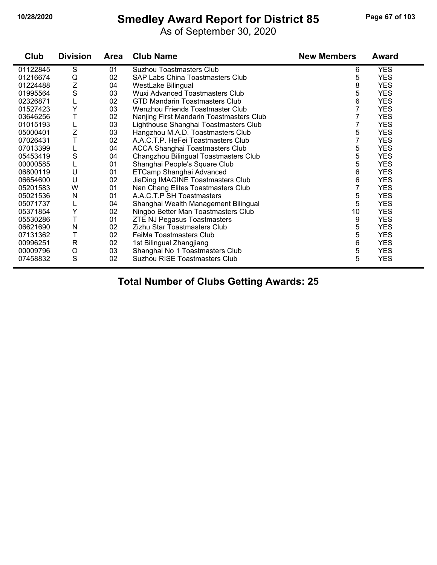# **10/28/2020 Smedley Award Report for District 85 Page 67 of 103**

As of September 30, 2020

| Club     | <b>Division</b> | <b>Area</b> | <b>Club Name</b>                         | <b>New Members</b> | <b>Award</b> |
|----------|-----------------|-------------|------------------------------------------|--------------------|--------------|
| 01122845 | S               | 01          | <b>Suzhou Toastmasters Club</b>          | 6                  | <b>YES</b>   |
| 01216674 | Q               | 02          | SAP Labs China Toastmasters Club         | 5                  | <b>YES</b>   |
| 01224488 | Z               | 04          | WestLake Bilingual                       | 8                  | <b>YES</b>   |
| 01995564 | S               | 03          | <b>Wuxi Advanced Toastmasters Club</b>   | 5                  | <b>YES</b>   |
| 02326871 | L               | 02          | GTD Mandarin Toastmasters Club           | 6                  | <b>YES</b>   |
| 01527423 | Y               | 03          | Wenzhou Friends Toastmaster Club         |                    | <b>YES</b>   |
| 03646256 | T               | 02          | Nanjing First Mandarin Toastmasters Club | 7                  | <b>YES</b>   |
| 01015193 | L               | 03          | Lighthouse Shanghai Toastmasters Club    | 7                  | <b>YES</b>   |
| 05000401 | Z               | 03          | Hangzhou M.A.D. Toastmasters Club        | 5                  | <b>YES</b>   |
| 07026431 | T               | 02          | A.A.C.T.P. HeFei Toastmasters Club       |                    | <b>YES</b>   |
| 07013399 | L               | 04          | <b>ACCA Shanghai Toastmasters Club</b>   | 5                  | <b>YES</b>   |
| 05453419 | S               | 04          | Changzhou Bilingual Toastmasters Club    | 5                  | <b>YES</b>   |
| 00000585 | L               | 01          | Shanghai People's Square Club            | 5                  | <b>YES</b>   |
| 06800119 | U               | 01          | ETCamp Shanghai Advanced                 | 6                  | <b>YES</b>   |
| 06654600 | U               | 02          | JiaDing IMAGINE Toastmasters Club        | 6                  | <b>YES</b>   |
| 05201583 | W               | 01          | Nan Chang Elites Toastmasters Club       | 7                  | <b>YES</b>   |
| 05021536 | N               | 01          | A.A.C.T.P SH Toastmasters                | 5                  | <b>YES</b>   |
| 05071737 | L               | 04          | Shanghai Wealth Management Bilingual     | 5                  | <b>YES</b>   |
| 05371854 | Υ               | 02          | Ningbo Better Man Toastmasters Club      | 10                 | <b>YES</b>   |
| 05530286 | T               | 01          | <b>ZTE NJ Pegasus Toastmasters</b>       | 9                  | <b>YES</b>   |
| 06621690 | N               | 02          | Zizhu Star Toastmasters Club             | 5                  | <b>YES</b>   |
| 07131362 | T               | 02          | FeiMa Toastmasters Club                  | 5                  | <b>YES</b>   |
| 00996251 | $\mathsf{R}$    | 02          | 1st Bilingual Zhangjiang                 | 6                  | <b>YES</b>   |
| 00009796 | O               | 03          | Shanghai No 1 Toastmasters Club          | 5                  | <b>YES</b>   |
| 07458832 | S               | 02          | Suzhou RISE Toastmasters Club            | 5                  | <b>YES</b>   |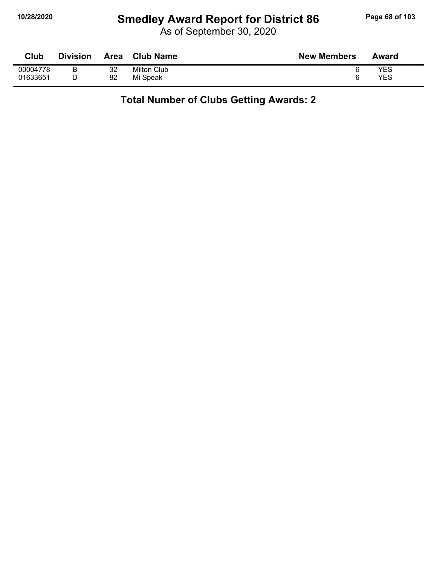# **10/28/2020 Smedley Award Report for District 86 Page 68 of 103**

As of September 30, 2020

| Club     | <b>Division</b> | Area | <b>Club Name</b>   | <b>New Members</b> | Award |
|----------|-----------------|------|--------------------|--------------------|-------|
| 00004778 | ◡               | 32   | <b>Milton Club</b> |                    | YES   |
| 01633651 |                 | 82   | Mi Speak           |                    | YES   |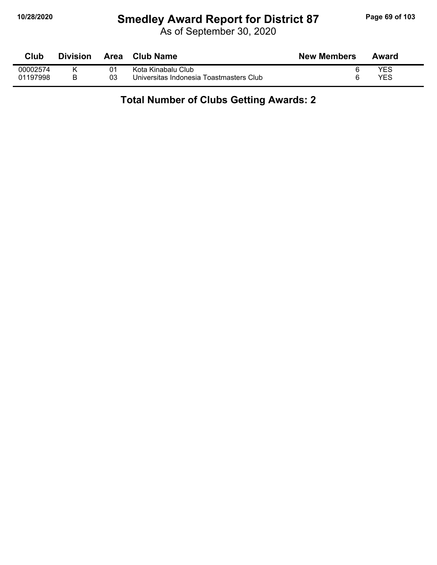# **10/28/2020 Smedley Award Report for District 87 Page 69 of 103**

As of September 30, 2020

| Club     | <b>Division</b> | Area | <b>Club Name</b>                        | <b>New Members</b> | Award |  |
|----------|-----------------|------|-----------------------------------------|--------------------|-------|--|
| 00002574 |                 | 01   | Kota Kinabalu Club                      |                    | YES   |  |
| 01197998 |                 | 03   | Universitas Indonesia Toastmasters Club |                    | YES   |  |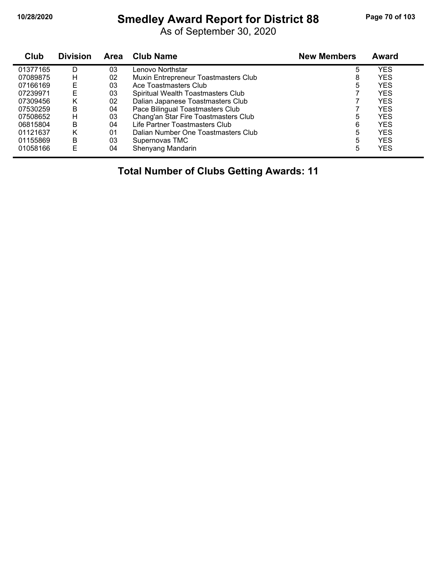# **10/28/2020 Smedley Award Report for District 88 Page 70 of 103**

As of September 30, 2020

| Club     | <b>Division</b> | Area | <b>Club Name</b>                     | <b>New Members</b> | Award      |
|----------|-----------------|------|--------------------------------------|--------------------|------------|
| 01377165 | D               | 03   | Lenovo Northstar                     | 5                  | YES        |
| 07089875 | н               | 02   | Muxin Entrepreneur Toastmasters Club | 8                  | <b>YES</b> |
| 07166169 | E               | 03   | Ace Toastmasters Club                | 5                  | <b>YES</b> |
| 07239971 | E               | 03   | Spiritual Wealth Toastmasters Club   |                    | <b>YES</b> |
| 07309456 | Κ               | 02   | Dalian Japanese Toastmasters Club    |                    | <b>YES</b> |
| 07530259 | B               | 04   | Pace Bilingual Toastmasters Club     |                    | <b>YES</b> |
| 07508652 | H               | 03   | Chang'an Star Fire Toastmasters Club | 5                  | <b>YES</b> |
| 06815804 | В               | 04   | Life Partner Toastmasters Club       | 6                  | <b>YES</b> |
| 01121637 | κ               | 01   | Dalian Number One Toastmasters Club  | 5                  | <b>YES</b> |
| 01155869 | В               | 03   | Supernovas TMC                       | 5                  | <b>YES</b> |
| 01058166 | E               | 04   | Shenyang Mandarin                    | 5                  | YES        |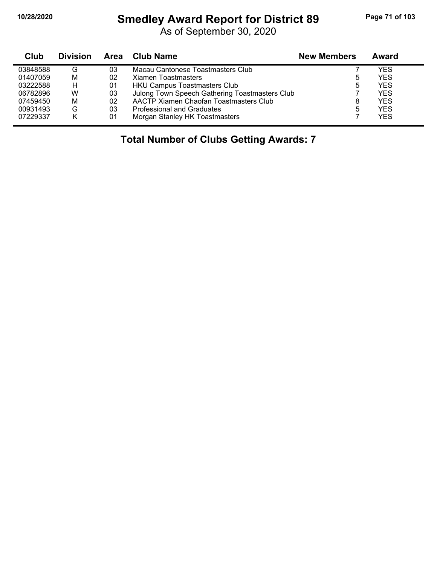# **10/28/2020 Smedley Award Report for District 89 Page 71 of 103**

As of September 30, 2020

| Club     | <b>Division</b> | Area | Club Name                                      | <b>New Members</b> | Award |
|----------|-----------------|------|------------------------------------------------|--------------------|-------|
| 03848588 | G               | 03   | Macau Cantonese Toastmasters Club              |                    | YES   |
| 01407059 | M               | 02   | Xiamen Toastmasters                            | 5                  | YES   |
| 03222588 | н               | 01   | HKU Campus Toastmasters Club                   | 5                  | YES   |
| 06782896 | W               | 03   | Julong Town Speech Gathering Toastmasters Club |                    | YES   |
| 07459450 | М               | 02   | AACTP Xiamen Chaofan Toastmasters Club         | 8                  | YFS   |
| 00931493 | G               | 03   | <b>Professional and Graduates</b>              | 5                  | YES   |
| 07229337 | Κ               | 01   | Morgan Stanley HK Toastmasters                 |                    | YES   |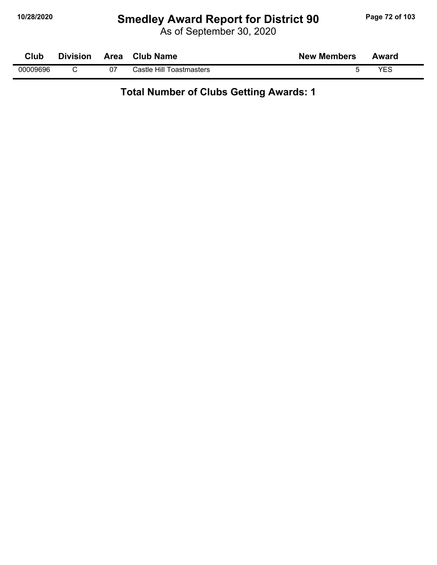# **10/28/2020 Smedley Award Report for District 90 Page 72 of 103**

As of September 30, 2020

| Club     | <b>Division</b> | Area | <b>Club Name</b>         | <b>New Members</b> | Award |  |
|----------|-----------------|------|--------------------------|--------------------|-------|--|
| 00009696 |                 | 07   | Castle Hill Toastmasters |                    | VEC   |  |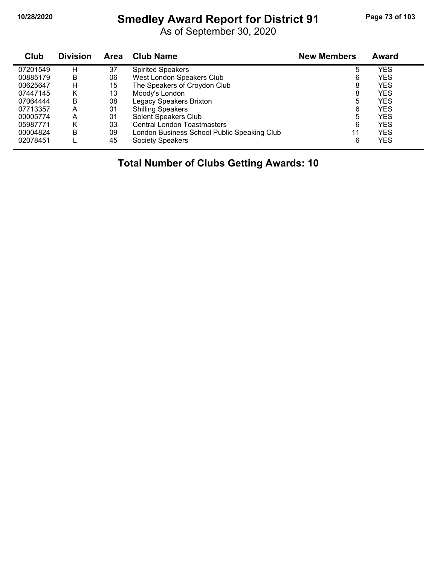# **10/28/2020 Smedley Award Report for District 91 Page 73 of 103**

As of September 30, 2020

| Club     | <b>Division</b> | <b>Area</b> | <b>Club Name</b>                            | <b>New Members</b> | <b>Award</b> |  |
|----------|-----------------|-------------|---------------------------------------------|--------------------|--------------|--|
| 07201549 | н               | 37          | <b>Spirited Speakers</b>                    | 5                  | <b>YES</b>   |  |
| 00885179 | B               | 06          | West London Speakers Club                   | 6                  | <b>YES</b>   |  |
| 00625647 | н               | 15          | The Speakers of Croydon Club                | 8                  | <b>YES</b>   |  |
| 07447145 | Κ               | 13          | Moody's London                              | 8                  | <b>YES</b>   |  |
| 07064444 | B               | 08          | Legacy Speakers Brixton                     | 5                  | <b>YES</b>   |  |
| 07713357 | А               | 01          | <b>Shilling Speakers</b>                    | 6                  | <b>YES</b>   |  |
| 00005774 | А               | 01          | Solent Speakers Club                        | 5                  | <b>YES</b>   |  |
| 05987771 | Κ               | 03          | <b>Central London Toastmasters</b>          | 6                  | <b>YES</b>   |  |
| 00004824 | B               | 09          | London Business School Public Speaking Club | 11                 | <b>YES</b>   |  |
| 02078451 |                 | 45          | <b>Society Speakers</b>                     | 6                  | <b>YES</b>   |  |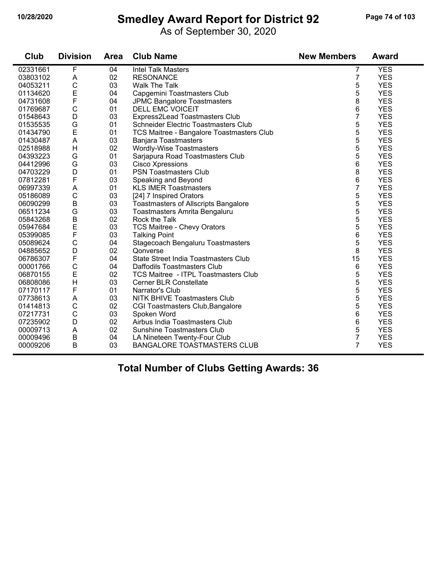## **10/28/2020 Smedley Award Report for District 92 Page 74 of 103**

As of September 30, 2020

| Club     | <b>Division</b> | <b>Area</b> | <b>Club Name</b>                            | <b>New Members</b> | <b>Award</b> |
|----------|-----------------|-------------|---------------------------------------------|--------------------|--------------|
| 02331661 | F               | 04          | <b>Intel Talk Masters</b>                   | 7                  | <b>YES</b>   |
| 03803102 | A               | 02          | <b>RESONANCE</b>                            | 7                  | <b>YES</b>   |
| 04053211 | $\mathsf{C}$    | 03          | <b>Walk The Talk</b>                        | 5                  | <b>YES</b>   |
| 01134620 | E               | 04          | Capgemini Toastmasters Club                 | 5                  | <b>YES</b>   |
| 04731608 | F               | 04          | <b>JPMC Bangalore Toastmasters</b>          | 8                  | <b>YES</b>   |
| 01769687 | $\mathsf C$     | 01          | <b>DELL EMC VOICEIT</b>                     | 6                  | <b>YES</b>   |
| 01548643 | D               | 03          | Express2Lead Toastmasters Club              | $\overline{7}$     | <b>YES</b>   |
| 01535535 | G               | 01          | Schneider Electric Toastmasters Club        | 5                  | <b>YES</b>   |
| 01434790 | E               | 01          | TCS Maitree - Bangalore Toastmasters Club   | 5                  | <b>YES</b>   |
| 01430487 | A               | 03          | <b>Banjara Toastmasters</b>                 | 5                  | <b>YES</b>   |
| 02518988 | H               | 02          | Wordly-Wise Toastmasters                    | 5                  | <b>YES</b>   |
| 04393223 | G               | 01          | Sarjapura Road Toastmasters Club            | 5                  | <b>YES</b>   |
| 04412996 | G               | 03          | <b>Cisco Xpressions</b>                     | 6                  | <b>YES</b>   |
| 04703229 | $\mathsf D$     | 01          | <b>PSN Toastmasters Club</b>                | 8                  | <b>YES</b>   |
| 07812281 | F               | 03          | Speaking and Beyond                         | 6                  | <b>YES</b>   |
| 06997339 | A               | 01          | <b>KLS IMER Toastmasters</b>                | 7                  | <b>YES</b>   |
| 05186089 | $\mathsf C$     | 03          | [24] 7 Inspired Orators                     | 5                  | <b>YES</b>   |
| 06090299 | $\sf B$         | 03          | <b>Toastmasters of Allscripts Bangalore</b> | 5                  | <b>YES</b>   |
| 06511234 | G               | 03          | Toastmasters Amrita Bengaluru               | 5                  | <b>YES</b>   |
| 05843268 | $\sf B$         | 02          | Rock the Talk                               | 5                  | <b>YES</b>   |
| 05947684 | E               | 03          | <b>TCS Maitree - Chevy Orators</b>          | 5                  | <b>YES</b>   |
| 05399085 | F               | 03          | <b>Talking Point</b>                        | 6                  | <b>YES</b>   |
| 05089624 | $\mathsf{C}$    | 04          | Stagecoach Bengaluru Toastmasters           | 5                  | <b>YES</b>   |
| 04885652 | D               | 02          | Qonverse                                    | 8                  | <b>YES</b>   |
| 06786307 | $\mathsf{F}$    | 04          | State Street India Toastmasters Club        | 15                 | <b>YES</b>   |
| 00001766 | $\mathsf C$     | 04          | Daffodils Toastmasters Club                 | 6                  | <b>YES</b>   |
| 06870155 | E               | 02          | <b>TCS Maitree - ITPL Toastmasters Club</b> | 5                  | <b>YES</b>   |
| 06808086 | H               | 03          | <b>Cerner BLR Constellate</b>               | 5                  | <b>YES</b>   |
| 07170117 | $\mathsf{F}$    | 01          | Narrator's Club                             | 5                  | <b>YES</b>   |
| 07738613 | A               | 03          | <b>NITK BHIVE Toastmasters Club</b>         | 5                  | <b>YES</b>   |
| 01414813 | $\mathsf C$     | 02          | <b>CGI Toastmasters Club, Bangalore</b>     | 5                  | <b>YES</b>   |
| 07217731 | $\mathsf{C}$    | 03          | Spoken Word                                 | 6                  | <b>YES</b>   |
| 07235902 | D               | 02          | Airbus India Toastmasters Club              | 6                  | <b>YES</b>   |
| 00009713 | A               | 02          | <b>Sunshine Toastmasters Club</b>           | 5                  | <b>YES</b>   |
| 00009496 | B               | 04          | LA Nineteen Twenty-Four Club                | $\overline{7}$     | <b>YES</b>   |
| 00009206 | B               | 03          | <b>BANGALORE TOASTMASTERS CLUB</b>          | $\overline{7}$     | <b>YES</b>   |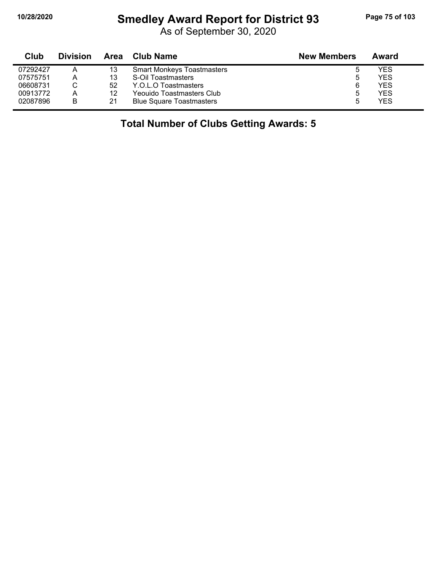## **10/28/2020 Smedley Award Report for District 93 Page 75 of 103**

As of September 30, 2020

| Club     | <b>Division</b> | Area | <b>Club Name</b>                  | <b>New Members</b> | Award      |
|----------|-----------------|------|-----------------------------------|--------------------|------------|
| 07292427 | Α               | 13   | <b>Smart Monkeys Toastmasters</b> |                    | YES        |
| 07575751 | Α               | 13   | S-Oil Toastmasters                |                    | <b>YES</b> |
| 06608731 |                 | 52   | Y.O.L.O Toastmasters              | 6                  | <b>YES</b> |
| 00913772 | Α               | 12   | Yeouido Toastmasters Club         |                    | <b>YES</b> |
| 02087896 | В               | 21   | <b>Blue Square Toastmasters</b>   |                    | <b>YES</b> |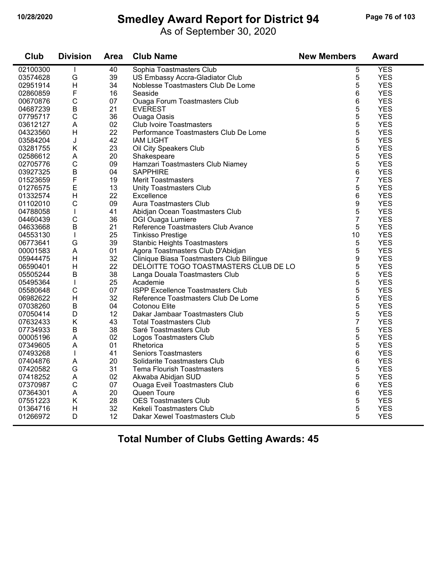## **10/28/2020 Smedley Award Report for District 94 Page 76 of 103**

As of September 30, 2020

| Club     | <b>Division</b> | <b>Area</b> | <b>Club Name</b>                          | <b>New Members</b> | <b>Award</b>             |
|----------|-----------------|-------------|-------------------------------------------|--------------------|--------------------------|
| 02100300 |                 | 40          | Sophia Toastmasters Club                  | 5                  | <b>YES</b>               |
| 03574628 | G               | 39          | US Embassy Accra-Gladiator Club           | 5                  | <b>YES</b>               |
| 02951914 | $\overline{H}$  | 34          | Noblesse Toastmasters Club De Lome        | 5                  | <b>YES</b>               |
| 02860859 | F               | 16          | Seaside                                   | 6                  | <b>YES</b>               |
| 00670876 | $\mathsf C$     | 07          | Ouaga Forum Toastmasters Club             | 6                  | <b>YES</b>               |
| 04687239 | $\sf B$         | 21          | <b>EVEREST</b>                            | 5                  | <b>YES</b>               |
| 07795717 | $\mathsf{C}$    | 36          | <b>Ouaga Oasis</b>                        | 5                  | <b>YES</b>               |
| 03612127 | A               | 02          | <b>Club Ivoire Toastmasters</b>           | 5                  | <b>YES</b>               |
| 04323560 | H               | 22          | Performance Toastmasters Club De Lome     | 5                  | <b>YES</b>               |
| 03584204 | J               | 42          | <b>IAM LIGHT</b>                          | 5                  | <b>YES</b>               |
| 03281755 | Κ               | 23          | Oil City Speakers Club                    | 5                  | <b>YES</b>               |
| 02586612 | A               | 20          | Shakespeare                               | 5                  | <b>YES</b>               |
| 02705776 | $\mathsf{C}$    | 09          | Hamzari Toastmasters Club Niamey          | 5                  | <b>YES</b>               |
| 03927325 | $\sf B$         | 04          | <b>SAPPHIRE</b>                           | 6                  | <b>YES</b>               |
| 01523659 | F               | 19          | <b>Merit Toastmasters</b>                 | 7                  | <b>YES</b>               |
| 01276575 | E               | 13          | Unity Toastmasters Club                   | 5                  | <b>YES</b>               |
| 01332574 | H               | 22          | Excellence                                | 6                  | <b>YES</b>               |
| 01102010 | $\mathsf C$     | 09          | Aura Toastmasters Club                    | 9                  | <b>YES</b>               |
| 04788058 | T               | 41          | Abidjan Ocean Toastmasters Club           | 5                  | <b>YES</b>               |
| 04460439 | $\mathsf{C}$    | 36          | <b>DGI Ouaga Lumiere</b>                  | $\overline{7}$     | <b>YES</b>               |
| 04633668 | B               | 21          | Reference Toastmasters Club Avance        | 5                  | <b>YES</b>               |
| 04553130 | $\mathsf{I}$    | 25          | <b>Tinkisso Prestige</b>                  | 10                 | <b>YES</b>               |
| 06773641 | G               | 39          | <b>Stanbic Heights Toastmasters</b>       | 5                  | <b>YES</b>               |
| 00001583 | A               | 01          | Agora Toastmasters Club D'Abidjan         | 5                  | <b>YES</b>               |
| 05944475 | H               | 32          | Clinique Biasa Toastmasters Club Bilingue | 9                  | <b>YES</b>               |
| 06590401 | H               | 22          | DELOITTE TOGO TOASTMASTERS CLUB DE LO     | 5                  | <b>YES</b>               |
| 05505244 | $\sf B$         | 38          | Langa Douala Toastmasters Club            | 5                  | <b>YES</b>               |
| 05495364 | $\mathbf{I}$    | 25          | Academie                                  | 5                  | <b>YES</b>               |
| 05580648 | C               | 07          | <b>ISPP Excellence Toastmasters Club</b>  | 5                  | <b>YES</b>               |
| 06982622 | H               | 32          | Reference Toastmasters Club De Lome       | 5                  | <b>YES</b>               |
| 07038260 | $\sf B$         | 04          | Cotonou Elite                             | 5                  | <b>YES</b>               |
| 07050414 | D               | 12          | Dakar Jambaar Toastmasters Club           | 5                  | <b>YES</b>               |
| 07632433 | K               | 43          | <b>Total Toastmasters Club</b>            | 7                  | <b>YES</b>               |
| 07734933 | $\mathsf B$     | 38          | Saré Toastmasters Club                    | 5                  | <b>YES</b>               |
| 00005196 | A               | 02          | Logos Toastmasters Club                   | 5                  | <b>YES</b>               |
| 07349605 | A               | 01          | Rhetorica                                 | 5                  | <b>YES</b>               |
| 07493268 | $\mathbf{I}$    | 41          | <b>Seniors Toastmasters</b>               | 6                  | <b>YES</b>               |
| 07404876 | A               | 20          | Solidarite Toastmasters Club              | 6                  | <b>YES</b>               |
|          | G               | 31          | <b>Tema Flourish Toastmasters</b>         | 5                  | <b>YES</b>               |
| 07420582 | A               | 02          |                                           | 5                  | <b>YES</b>               |
| 07418252 | $\mathsf{C}$    | 07          | Akwaba Abidjan SUD                        |                    |                          |
| 07370987 |                 |             | <b>Ouaga Eveil Toastmasters Club</b>      | 6                  | <b>YES</b><br><b>YES</b> |
| 07364301 | Α               | 20          | Queen Toure                               | 6                  |                          |
| 07551223 | K               | 28          | <b>OES Toastmasters Club</b>              | 5                  | <b>YES</b>               |
| 01364716 | H               | 32          | Kekeli Toastmasters Club                  | 5                  | <b>YES</b>               |
| 01266972 | D               | 12          | Dakar Xewel Toastmasters Club             | 5                  | <b>YES</b>               |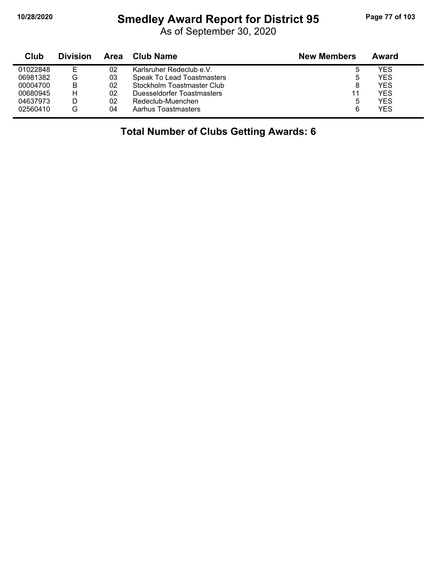$\blacksquare$ 

#### **10/28/2020 Smedley Award Report for District 95 Page 77 of 103**

As of September 30, 2020

| Club     | <b>Division</b> | Area | Club Name                  | <b>New Members</b> | Award      |
|----------|-----------------|------|----------------------------|--------------------|------------|
| 01022848 | E               | 02   | Karlsruher Redeclub e.V.   |                    | YES        |
| 06981382 | G               | 03   | Speak To Lead Toastmasters | ხ                  | <b>YFS</b> |
| 00004700 | B               | 02   | Stockholm Toastmaster Club | 8                  | <b>YFS</b> |
| 00680945 | н               | 02   | Duesseldorfer Toastmasters | 11                 | YFS        |
| 04637973 |                 | 02   | Redeclub-Muenchen          | ხ                  | YFS        |
| 02560410 | G               | 04   | Aarhus Toastmasters        | 6                  | YES        |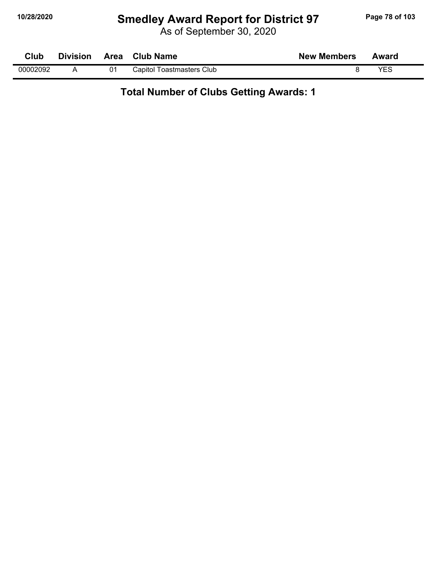## **10/28/2020 Smedley Award Report for District 97 Page 78 of 103**

As of September 30, 2020

| Club     | <b>Division</b> | Area | <b>Club Name</b>          | <b>New Members</b> | Award |
|----------|-----------------|------|---------------------------|--------------------|-------|
| 00002092 |                 | 01   | Capitol Toastmasters Club |                    | VEC   |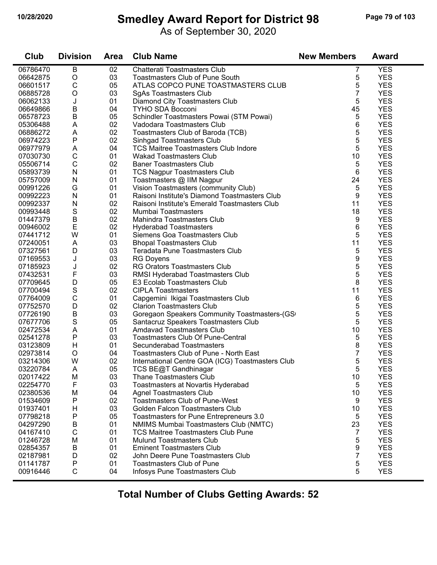## **10/28/2020 Smedley Award Report for District 98 Page 79 of 103**

As of September 30, 2020

| Club                 | <b>Division</b>   | <b>Area</b> | <b>Club Name</b>                                 | <b>New Members</b> | <b>Award</b> |
|----------------------|-------------------|-------------|--------------------------------------------------|--------------------|--------------|
| 06786470             | B                 | 02          | Chatterati Toastmasters Club                     | 7                  | <b>YES</b>   |
| 06642875             | $\mathsf O$       | 03          | <b>Toastmasters Club of Pune South</b>           | 5                  | <b>YES</b>   |
| 06601517             | $\mathsf C$       | 05          | ATLAS COPCO PUNE TOASTMASTERS CLUB               | 5                  | <b>YES</b>   |
| 06885728             | $\circ$           | 03          | <b>SgAs Toastmasters Club</b>                    | 7                  | <b>YES</b>   |
| 06062133             | J                 | 01          | Diamond City Toastmasters Club                   | 5                  | <b>YES</b>   |
| 06649866             | B                 | 04          | <b>TYHO SDA Bocconi</b>                          | 45                 | <b>YES</b>   |
| 06578723             | B                 | 05          | Schindler Toastmasters Powai (STM Powai)         | 5                  | <b>YES</b>   |
| 05306488             | A                 | 02          | Vadodara Toastmasters Club                       | 6                  | <b>YES</b>   |
| 06886272             | A                 | 02          | Toastmasters Club of Baroda (TCB)                | 5                  | <b>YES</b>   |
| 06974223             | ${\sf P}$         | 02          | Sinhgad Toastmasters Club                        | 5                  | <b>YES</b>   |
| 06977979             | Α                 | 04          | <b>TCS Maitree Toastmasters Club Indore</b>      | 5                  | <b>YES</b>   |
| 07030730             | $\mathsf C$       | 01          | <b>Wakad Toastmasters Club</b>                   | 10                 | <b>YES</b>   |
| 05506714             | $\mathsf C$       | 02          | <b>Baner Toastmasters Club</b>                   | 5                  | <b>YES</b>   |
| 05893739             | $\mathsf{N}$      | 01          | <b>TCS Nagpur Toastmasters Club</b>              | 6                  | <b>YES</b>   |
| 05757009             | N                 | 01          | Toastmasters @ IIM Nagpur                        | 24                 | <b>YES</b>   |
| 00991226             | G                 | 01          | Vision Toastmasters (community Club)             | 5                  | <b>YES</b>   |
| 00992223             | N                 | 01          | Raisoni Institute's Diamond Toastmasters Club    | 9                  | <b>YES</b>   |
| 00992337             | N                 | 02          | Raisoni Institute's Emerald Toastmasters Club    | 11                 | <b>YES</b>   |
| 00993448             | S                 | 02          | Mumbai Toastmasters                              | 18                 | <b>YES</b>   |
| 01447379             | $\sf B$           | 02          | Mahindra Toastmasters Club                       | 9                  | <b>YES</b>   |
| 00946002             | $\mathsf E$       | 02          | <b>Hyderabad Toastmasters</b>                    | 6                  | <b>YES</b>   |
| 07441712             | W                 | 01          | Siemens Goa Toastmasters Club                    | 5                  | <b>YES</b>   |
| 07240051             | A                 | 03          | <b>Bhopal Toastmasters Club</b>                  | 11                 | <b>YES</b>   |
| 07327561             | D                 | 03          | Teradata Pune Toastmasters Club                  | 5                  | <b>YES</b>   |
| 07169553             | J                 | 03          | <b>RG Doyens</b>                                 | 9                  | <b>YES</b>   |
| 07185923             | J                 | 02          | RG Orators Toastmasters Club                     | 5                  | <b>YES</b>   |
| 07432531             | F                 | 03          | RMSI Hyderabad Toastmasters Club                 | 5                  | <b>YES</b>   |
| 07709645             | D                 | 05          | E3 Ecolab Toastmasters Club                      | 8                  | <b>YES</b>   |
| 07700494             | $\mathbf S$       | 02          | <b>CIPLA Toastmasters</b>                        | 11                 | <b>YES</b>   |
| 07764009             | $\mathsf C$       | 01          | Capgemini Ikigai Toastmasters Club               | 6                  | <b>YES</b>   |
| 07752570             | D                 | 02          | <b>Clarion Toastmasters Club</b>                 | 5                  | <b>YES</b>   |
| 07726190             | B                 | 03          | Goregaon Speakers Community Toastmasters-(GS     | 5                  | <b>YES</b>   |
| 07677706             | S                 | 05          | Santacruz Speakers Toastmasters Club             | 5                  | <b>YES</b>   |
| 02472534             | A                 | 01          | <b>Amdavad Toastmasters Club</b>                 | 10                 | <b>YES</b>   |
| 02541278             | ${\sf P}$         | 03          | <b>Toastmasters Club Of Pune-Central</b>         | 5                  | <b>YES</b>   |
| 03123809             | H                 | 01          | Secunderabad Toastmasters                        | 8                  | <b>YES</b>   |
| 02973814             | O                 | 04          | Toastmasters Club of Pune - North East           | 7                  | <b>YES</b>   |
| 03214306             | W                 | 02          | International Centre GOA (ICG) Toastmasters Club | 5                  | <b>YES</b>   |
| 03220784             | A                 | 05          | TCS BE@T Gandhinagar                             | 5                  | <b>YES</b>   |
| 02017422             | M                 | 03          | <b>Thane Toastmasters Club</b>                   | 10                 | <b>YES</b>   |
| 02254770             | F                 | 03          | Toastmasters at Novartis Hyderabad               | 5                  | <b>YES</b>   |
| 02380536             | M                 | 04          | <b>Agnel Toastmasters Club</b>                   | 10                 | <b>YES</b>   |
| 01534609             | Ρ                 | 02          | Toastmasters Club of Pune-West                   | 9                  | <b>YES</b>   |
| 01937401             | н                 | 03          | Golden Falcon Toastmasters Club                  | 10                 | <b>YES</b>   |
| 07798218             | Ρ                 | 05          | Toastmasters for Pune Entrepreneurs 3.0          | 5                  | <b>YES</b>   |
| 04297290             | B                 | 01          | NMIMS Mumbai Toastmasters Club (NMTC)            | 23                 | <b>YES</b>   |
| 04167410             | $\mathsf C$       | 01          | <b>TCS Maitree Toastmasters Club Pune</b>        | 7                  | <b>YES</b>   |
| 01246728             | M                 | 01          | <b>Mulund Toastmasters Club</b>                  | 5                  | <b>YES</b>   |
| 02854357             | Β                 | 01          | <b>Eminent Toastmasters Club</b>                 | 9                  | <b>YES</b>   |
| 02187981             | D                 | 02          | John Deere Pune Toastmasters Club                | 7                  | <b>YES</b>   |
|                      |                   | 01          | <b>Toastmasters Club of Pune</b>                 | 5                  | <b>YES</b>   |
| 01141787<br>00916446 | Ρ<br>$\mathsf{C}$ | 04          | Infosys Pune Toastmasters Club                   | 5                  | <b>YES</b>   |
|                      |                   |             |                                                  |                    |              |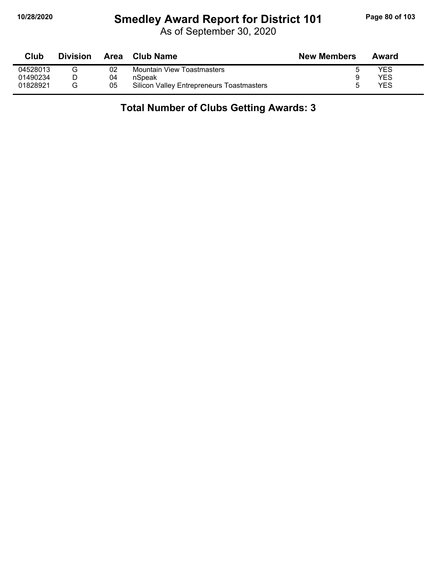## **10/28/2020 Smedley Award Report for District 101 Page 80 of 103**

As of September 30, 2020

| Club     | <b>Division</b> | Area | Club Name                                        | <b>New Members</b> | Award |
|----------|-----------------|------|--------------------------------------------------|--------------------|-------|
| 04528013 |                 | 02   | <b>Mountain View Toastmasters</b>                |                    | YES   |
| 01490234 |                 | 04   | nSpeak                                           |                    | YES   |
| 01828921 |                 | 05   | <b>Silicon Valley Entrepreneurs Toastmasters</b> |                    | YES   |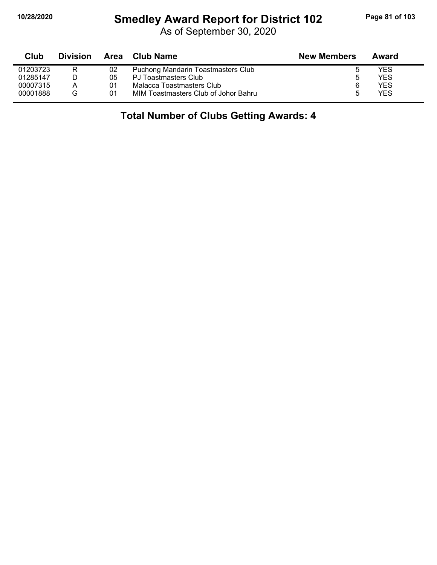#### **10/28/2020 Smedley Award Report for District 102 Page 81 of 103**

As of September 30, 2020

| Club     | <b>Division</b> |    | Area Club Name                       | <b>New Members</b> | Award |  |
|----------|-----------------|----|--------------------------------------|--------------------|-------|--|
| 01203723 | R               | 02 | Puchong Mandarin Toastmasters Club   |                    | YES   |  |
| 01285147 |                 | 05 | PJ Toastmasters Club                 | ა                  | YES   |  |
| 00007315 | А               | 01 | Malacca Toastmasters Club            | 6                  | YES   |  |
| 00001888 | G               | 01 | MIM Toastmasters Club of Johor Bahru |                    | YES   |  |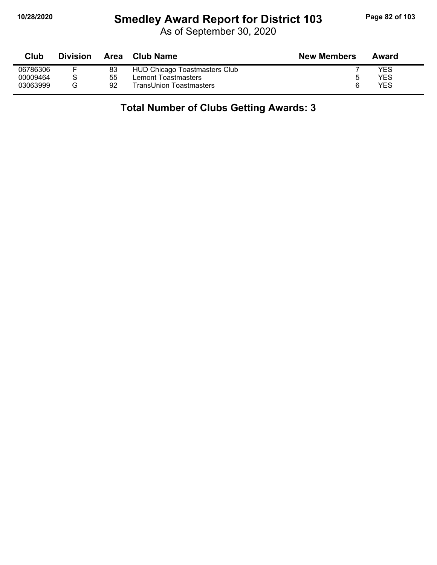## **10/28/2020 Smedley Award Report for District 103 Page 82 of 103**

As of September 30, 2020

| Club     | <b>Division</b> | Area | Club Name                     | <b>New Members</b> | Award |
|----------|-----------------|------|-------------------------------|--------------------|-------|
| 06786306 |                 | 83   | HUD Chicago Toastmasters Club |                    | YES   |
| 00009464 |                 | 55   | Lemont Toastmasters           | b                  | YES   |
| 03063999 | G               | 92   | TransUnion Toastmasters       | 6                  | YES   |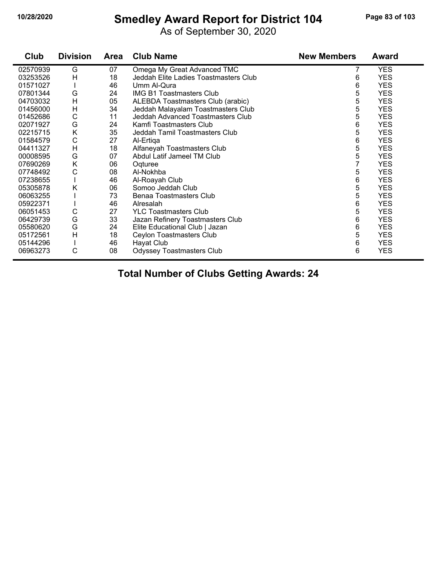## **10/28/2020 Smedley Award Report for District 104 Page 83 of 103**

As of September 30, 2020

| Club     | <b>Division</b> | <b>Area</b> | <b>Club Name</b>                      | <b>New Members</b> | Award      |
|----------|-----------------|-------------|---------------------------------------|--------------------|------------|
| 02570939 | G               | 07          | Omega My Great Advanced TMC           | 7                  | <b>YES</b> |
| 03253526 | H               | 18          | Jeddah Elite Ladies Toastmasters Club | 6                  | <b>YES</b> |
| 01571027 |                 | 46          | Umm Al-Qura                           | 6                  | <b>YES</b> |
| 07801344 | G               | 24          | <b>IMG B1 Toastmasters Club</b>       | 5                  | <b>YES</b> |
| 04703032 | H               | 05          | ALEBDA Toastmasters Club (arabic)     | 5                  | <b>YES</b> |
| 01456000 | H               | 34          | Jeddah Malayalam Toastmasters Club    | 5                  | <b>YES</b> |
| 01452686 | C               | 11          | Jeddah Advanced Toastmasters Club     | 5                  | <b>YES</b> |
| 02071927 | G               | 24          | Kamfi Toastmasters Club               | 6                  | <b>YES</b> |
| 02215715 | Κ               | 35          | Jeddah Tamil Toastmasters Club        | 5                  | <b>YES</b> |
| 01584579 | С               | 27          | Al-Ertiga                             | 6                  | <b>YES</b> |
| 04411327 | Η               | 18          | Alfaneyah Toastmasters Club           | 5                  | <b>YES</b> |
| 00008595 | G               | 07          | Abdul Latif Jameel TM Club            | 5                  | <b>YES</b> |
| 07690269 | Κ               | 06          | Oqturee                               | 7                  | <b>YES</b> |
| 07748492 | С               | 08          | Al-Nokhba                             | 5                  | <b>YES</b> |
| 07238655 |                 | 46          | Al-Roayah Club                        | 6                  | <b>YES</b> |
| 05305878 | Κ               | 06          | Somoo Jeddah Club                     | 5                  | <b>YES</b> |
| 06063255 |                 | 73          | Benaa Toastmasters Club               | 5                  | <b>YES</b> |
| 05922371 |                 | 46          | Alresalah                             | 6                  | <b>YES</b> |
| 06051453 | С               | 27          | <b>YLC Toastmasters Club</b>          | 5                  | <b>YES</b> |
| 06429739 | G               | 33          | Jazan Refinery Toastmasters Club      | 6                  | <b>YES</b> |
| 05580620 | G               | 24          | Elite Educational Club   Jazan        | 6                  | <b>YES</b> |
| 05172561 | $\overline{H}$  | 18          | Ceylon Toastmasters Club              | 5                  | <b>YES</b> |
| 05144296 |                 | 46          | Hayat Club                            | 6                  | <b>YES</b> |
| 06963273 | C               | 08          | <b>Odyssey Toastmasters Club</b>      | 6                  | <b>YES</b> |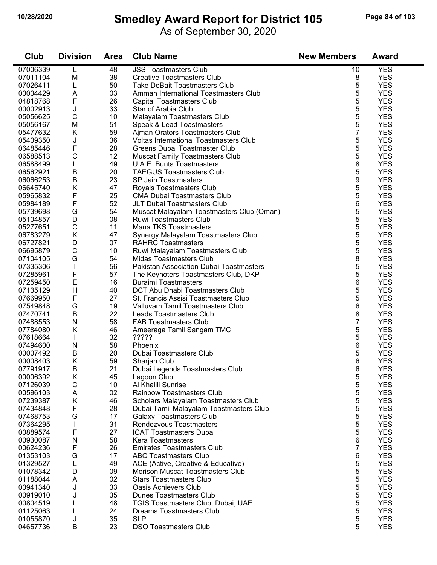#### **10/28/2020 Smedley Award Report for District 105 Page 84 of 103**

As of September 30, 2020

| Club                 | <b>Division</b> | <b>Area</b> | <b>Club Name</b>                                                    | <b>New Members</b> | <b>Award</b>             |
|----------------------|-----------------|-------------|---------------------------------------------------------------------|--------------------|--------------------------|
| 07006339             | L               | 48          | <b>JSS Toastmasters Club</b>                                        | 10                 | <b>YES</b>               |
| 07011104             | M               | 38          | <b>Creative Toastmasters Club</b>                                   | 8                  | <b>YES</b>               |
| 07026411             | L               | 50          | <b>Take DeBait Toastmasters Club</b>                                | 5                  | <b>YES</b>               |
| 00004429             | A               | 03          | Amman International Toastmasters Club                               | 5                  | <b>YES</b>               |
| 04818768             | F               | 26          | <b>Capital Toastmasters Club</b>                                    | 5                  | <b>YES</b>               |
| 00002913             | J               | 33          | Star of Arabia Club                                                 | 5                  | <b>YES</b>               |
| 05056625             | C               | 10          | Malayalam Toastmasters Club                                         | 5                  | <b>YES</b>               |
| 05056167             | M               | 51          | Speak & Lead Toastmasters                                           | 5                  | <b>YES</b>               |
| 05477632             | K               | 59          | Ajman Orators Toastmasters Club                                     | 7                  | <b>YES</b>               |
| 05409350             | J               | 36          | Voltas International Toastmasters Club                              | 5                  | <b>YES</b>               |
| 06485446             | F               | 28          | Greens Dubai Toastmaster Club                                       | 5                  | <b>YES</b>               |
| 06588513             | С               | 12          | <b>Muscat Family Toastmasters Club</b>                              | 5                  | <b>YES</b>               |
| 06588499             | L               | 49          | <b>U.A.E. Bunts Toastmasters</b>                                    | 8                  | <b>YES</b>               |
| 06562921             | B               | 20          | <b>TAEGUS Toastmasters Club</b>                                     | 5                  | <b>YES</b>               |
| 06066253             | $\sf B$         | 23          | SP Jain Toastmasters                                                | 9                  | <b>YES</b>               |
| 06645740             | Κ               | 47          | Royals Toastmasters Club                                            | 5                  | <b>YES</b>               |
| 05965832             | F               | 25          | <b>CMA Dubai Toastmasters Club</b>                                  | 5                  | <b>YES</b>               |
| 05984189             | F               | 52          | JLT Dubai Toastmasters Club                                         | 6                  | <b>YES</b>               |
| 05739698             | G               | 54          | Muscat Malayalam Toastmasters Club (Oman)                           | 5                  | <b>YES</b>               |
| 05104857             | D               | 08          | <b>Ruwi Toastmasters Club</b>                                       | 5                  | <b>YES</b>               |
| 05277651             | C               | 11          | Mana TKS Toastmasters                                               | 5                  | <b>YES</b>               |
| 06783279             | Κ               | 47          | Synergy Malayalam Toastmasters Club                                 | 5                  | <b>YES</b>               |
| 06727821             | D               | 07          | <b>RAHRC Toastmasters</b>                                           | 5                  | <b>YES</b>               |
| 06695879             | C               | 10          | Ruwi Malayalam Toastmasters Club                                    | 5                  | <b>YES</b>               |
| 07104105             | G               | 54          | Midas Toastmasters Club                                             | 8                  | <b>YES</b>               |
| 07335306             |                 | 56          | Pakistan Association Dubai Toastmasters                             | 5                  | <b>YES</b>               |
| 07285961             | F<br>E          | 57<br>16    | The Keynoters Toastmasters Club, DKP<br><b>Buraimi Toastmasters</b> | 5<br>6             | <b>YES</b><br><b>YES</b> |
| 07259450<br>07135129 | $\overline{H}$  | 40          | DCT Abu Dhabi Toastmasters Club                                     | 5                  | <b>YES</b>               |
| 07669950             | F               | 27          | St. Francis Assisi Toastmasters Club                                | 5                  | <b>YES</b>               |
| 07549848             | G               | 19          | Valluvam Tamil Toastmasters Club                                    | 6                  | <b>YES</b>               |
| 07470741             | B               | 22          | Leads Toastmasters Club                                             | 8                  | <b>YES</b>               |
| 07488553             | $\mathsf{N}$    | 58          | <b>FAB Toastmasters Club</b>                                        | 7                  | <b>YES</b>               |
| 07784080             | Κ               | 46          | Ameeraga Tamil Sangam TMC                                           | 5                  | <b>YES</b>               |
| 07618664             | T               | 32          | ?????                                                               | 5                  | <b>YES</b>               |
| 07494600             | N               | 58          | Phoenix                                                             | 6                  | <b>YES</b>               |
| 00007492             | B               | 20          | Dubai Toastmasters Club                                             | 5                  | <b>YES</b>               |
| 00008403             | Κ               | 59          | Sharjah Club                                                        | 6                  | <b>YES</b>               |
| 07791917             | B               | 21          | Dubai Legends Toastmasters Club                                     | 6                  | <b>YES</b>               |
| 00006392             | K               | 45          | Lagoon Club                                                         | 5                  | <b>YES</b>               |
| 07126039             | C               | 10          | Al Khalili Sunrise                                                  | 5                  | <b>YES</b>               |
| 00596103             | A               | 02          | <b>Rainbow Toastmasters Club</b>                                    | 5                  | <b>YES</b>               |
| 07239387             | Κ               | 46          | Scholars Malayalam Toastmasters Club                                | 5                  | <b>YES</b>               |
| 07434848             | F               | 28          | Dubai Tamil Malayalam Toastmasters Club                             | 5                  | <b>YES</b>               |
| 07468753             | G               | 17          | <b>Galaxy Toastmasters Club</b>                                     | 5                  | <b>YES</b>               |
| 07364295             | L               | 31          | Rendezvous Toastmasters                                             | 5                  | <b>YES</b>               |
| 00889574             | F               | 27          | <b>ICAT Toastmasters Dubai</b>                                      | 5                  | <b>YES</b>               |
| 00930087             | N               | 58          | Kera Toastmasters                                                   | 6                  | <b>YES</b>               |
| 00624236             | F               | 26          | <b>Emirates Toastmasters Club</b>                                   | 7                  | <b>YES</b>               |
| 01353103             | G               | 17          | <b>ABC Toastmasters Club</b>                                        | 6                  | <b>YES</b>               |
| 01329527             |                 | 49          | ACE (Active, Creative & Educative)                                  | 5                  | <b>YES</b>               |
| 01078342             | D               | 09          | Morison Muscat Toastmasters Club                                    | 5                  | <b>YES</b>               |
| 01188044             | Α               | 02          | <b>Stars Toastmasters Club</b>                                      | 5                  | <b>YES</b>               |
| 00941340             | J               | 33          | <b>Oasis Achievers Club</b>                                         | 5                  | <b>YES</b>               |
| 00919010             | J               | 35          | <b>Dunes Toastmasters Club</b>                                      | 5                  | <b>YES</b>               |
| 00804519             |                 | 48          | TGIS Toastmasters Club, Dubai, UAE                                  | 5                  | <b>YES</b>               |
| 01125063             |                 | 24          | <b>Dreams Toastmasters Club</b>                                     | 5                  | <b>YES</b>               |
| 01055870             | J               | 35          | <b>SLP</b>                                                          | 5                  | <b>YES</b>               |
| 04657736             | B               | 23          | <b>DSO Toastmasters Club</b>                                        | 5                  | <b>YES</b>               |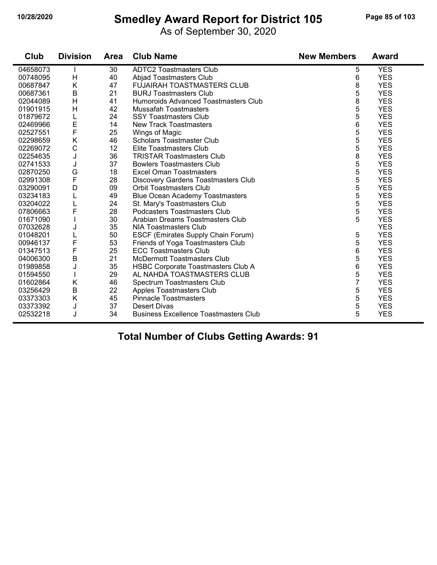## **10/28/2020 Smedley Award Report for District 105 Page 85 of 103**

As of September 30, 2020

| Club     | <b>Division</b> | <b>Area</b> | <b>Club Name</b>                             | <b>New Members</b> | <b>Award</b> |
|----------|-----------------|-------------|----------------------------------------------|--------------------|--------------|
| 04658073 |                 | 30          | <b>ADTC2 Toastmasters Club</b>               | 5                  | <b>YES</b>   |
| 00748095 | H               | 40          | <b>Abjad Toastmasters Club</b>               | 6                  | <b>YES</b>   |
| 00687847 | K               | 47          | <b>FUJAIRAH TOASTMASTERS CLUB</b>            | 8                  | <b>YES</b>   |
| 00687361 | B               | 21          | <b>BURJ Toastmasters Club</b>                | 5                  | <b>YES</b>   |
| 02044089 | H               | 41          | Humoroids Advanced Toastmasters Club         | 8                  | <b>YES</b>   |
| 01901915 | H               | 42          | <b>Mussafah Toastmasters</b>                 | 5                  | <b>YES</b>   |
| 01879672 | L               | 24          | <b>SSY Toastmasters Club</b>                 | 5                  | <b>YES</b>   |
| 02469966 | E               | 14          | <b>New Track Toastmasters</b>                | 6                  | <b>YES</b>   |
| 02527551 | F               | 25          | Wings of Magic                               | 5                  | <b>YES</b>   |
| 02298659 | $\sf K$         | 46          | <b>Scholars Toastmaster Club</b>             | 5                  | <b>YES</b>   |
| 02269072 | C               | 12          | Elite Toastmasters Club                      | 5                  | <b>YES</b>   |
| 02254635 | J               | 36          | <b>TRISTAR Toastmasters Club</b>             | 8                  | <b>YES</b>   |
| 02741533 | J               | 37          | <b>Bowlers Toastmasters Club</b>             | 5                  | <b>YES</b>   |
| 02870250 | G               | 18          | <b>Excel Oman Toastmasters</b>               | 5                  | <b>YES</b>   |
| 02991308 | F               | 28          | Discovery Gardens Toastmasters Club          | 5                  | <b>YES</b>   |
| 03290091 | D               | 09          | <b>Orbit Toastmasters Club</b>               | 5                  | <b>YES</b>   |
| 03234183 | L               | 49          | <b>Blue Ocean Academy Toastmasters</b>       | 5                  | <b>YES</b>   |
| 03204022 |                 | 24          | St. Mary's Toastmasters Club                 | 5                  | <b>YES</b>   |
| 07806663 | F               | 28          | Podcasters Toastmasters Club                 | 5                  | <b>YES</b>   |
| 01671090 |                 | 30          | Arabian Dreams Toastmasters Club             | 5                  | <b>YES</b>   |
| 07032628 | J               | 35          | <b>NIA Toastmasters Club</b>                 |                    | <b>YES</b>   |
| 01048201 |                 | 50          | ESCF (Emirates Supply Chain Forum)           | 5                  | <b>YES</b>   |
| 00946137 | F               | 53          | Friends of Yoga Toastmasters Club            | 5                  | <b>YES</b>   |
| 01347513 | $\mathsf F$     | 25          | <b>ECC Toastmasters Club</b>                 | 6                  | <b>YES</b>   |
| 04006300 | B               | 21          | <b>McDermott Toastmasters Club</b>           | 5                  | <b>YES</b>   |
| 01989858 | J               | 35          | HSBC Corporate Toastmasters Club A           | 6                  | <b>YES</b>   |
| 01594550 |                 | 29          | AL NAHDA TOASTMASTERS CLUB                   | 5                  | <b>YES</b>   |
| 01602864 | K               | 46          | Spectrum Toastmasters Club                   | 7                  | <b>YES</b>   |
| 03256429 | B               | 22          | <b>Apples Toastmasters Club</b>              | 5                  | <b>YES</b>   |
| 03373303 | Κ               | 45          | <b>Pinnacle Toastmasters</b>                 | 5                  | <b>YES</b>   |
| 03373392 | J               | 37          | <b>Desert Divas</b>                          | 5                  | <b>YES</b>   |
| 02532218 | J               | 34          | <b>Business Excellence Toastmasters Club</b> | 5                  | <b>YES</b>   |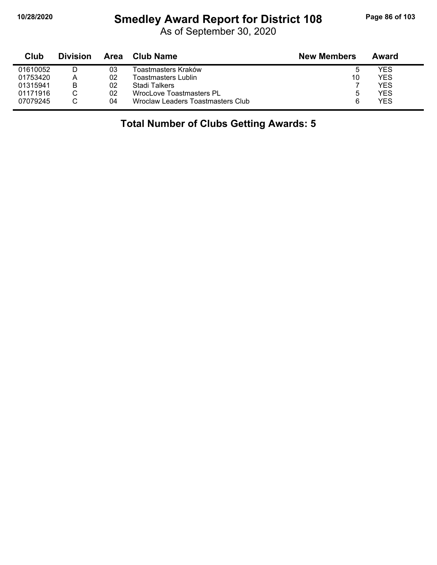## **10/28/2020 Smedley Award Report for District 108 Page 86 of 103**

As of September 30, 2020

| Club     | <b>Division</b> | Area | Club Name                         | <b>New Members</b> | Award |
|----------|-----------------|------|-----------------------------------|--------------------|-------|
| 01610052 |                 | 03   | Toastmasters Kraków               | b                  | YES   |
| 01753420 | Α               | 02   | Toastmasters Lublin               | 10                 | YES   |
| 01315941 | в               | 02   | Stadi Talkers                     |                    | YES   |
| 01171916 |                 | 02   | WrocLove Toastmasters PL          |                    | YES   |
| 07079245 |                 | 04   | Wroclaw Leaders Toastmasters Club | 6                  | YES.  |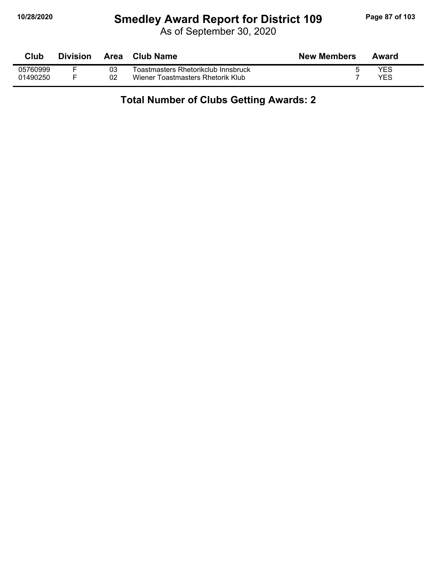#### **10/28/2020 Smedley Award Report for District 109 Page 87 of 103**

As of September 30, 2020

| Club     | <b>Division</b> | Area | Club Name                           | <b>New Members</b> | Award      |
|----------|-----------------|------|-------------------------------------|--------------------|------------|
| 05760999 |                 | 03   | Toastmasters Rhetorikclub Innsbruck |                    | <b>YES</b> |
| 01490250 |                 | 02   | Wiener Toastmasters Rhetorik Klub   |                    | <b>YES</b> |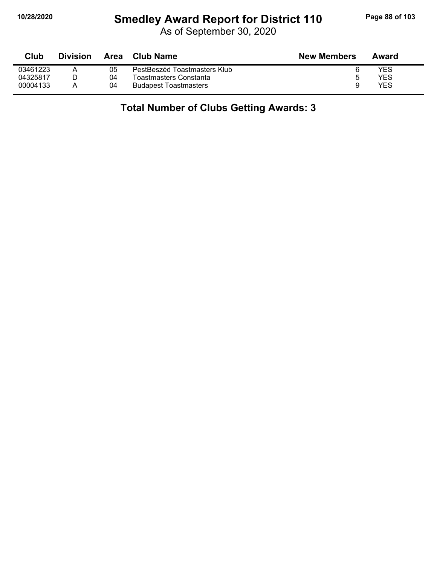## **10/28/2020 Smedley Award Report for District 110 Page 88 of 103**

As of September 30, 2020

| Club     | <b>Division</b> | Area | <b>Club Name</b>             | <b>New Members</b> | Award |
|----------|-----------------|------|------------------------------|--------------------|-------|
| 03461223 |                 | 05   | PestBeszéd Toastmasters Klub |                    | YES   |
| 04325817 |                 | 04   | Toastmasters Constanta       |                    | YES   |
| 00004133 |                 | 04   | <b>Budapest Toastmasters</b> |                    | YES   |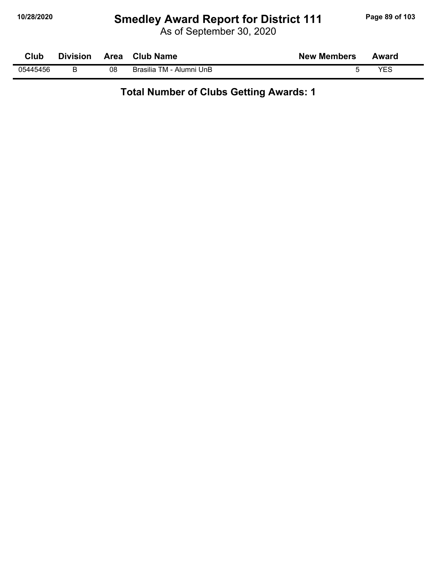## **10/28/2020 Smedley Award Report for District 111 Page 89 of 103**

As of September 30, 2020

| Club     | <b>Division</b> | Area | <b>Club Name</b>         | <b>New Members</b> | Award |
|----------|-----------------|------|--------------------------|--------------------|-------|
| 05445456 |                 | 08   | Brasilia TM - Alumni UnB |                    | VES   |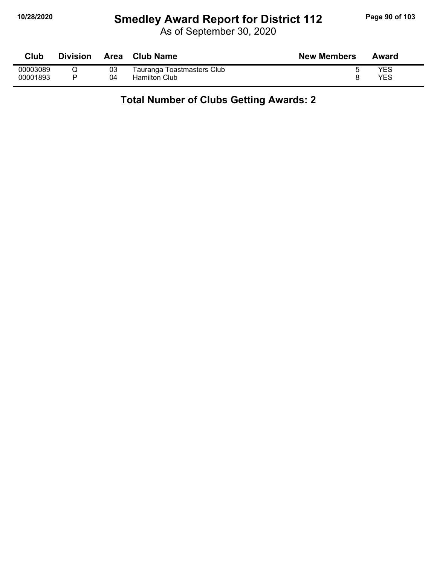## **10/28/2020 Smedley Award Report for District 112 Page 90 of 103**

As of September 30, 2020

| Club     | <b>Division</b> | Area | Club Name                  | <b>New Members</b> | Award |
|----------|-----------------|------|----------------------------|--------------------|-------|
| 00003089 |                 | 03   | Tauranga Toastmasters Club |                    | YES   |
| 00001893 |                 | 04   | <b>Hamilton Club</b>       |                    | YES   |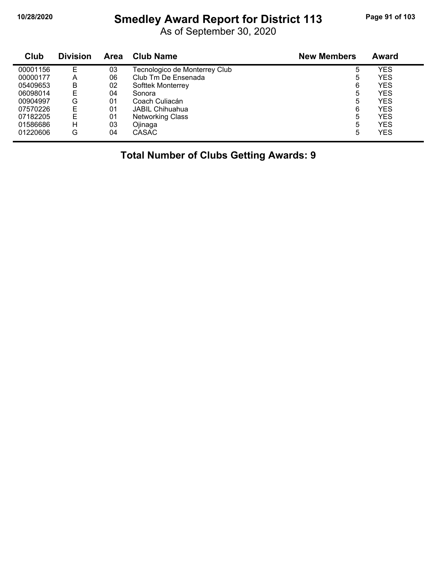## **10/28/2020 Smedley Award Report for District 113 Page 91 of 103**

As of September 30, 2020

| Club     | <b>Division</b> | <b>Area</b> | <b>Club Name</b>              | <b>New Members</b> | Award      |
|----------|-----------------|-------------|-------------------------------|--------------------|------------|
| 00001156 | Е               | 03          | Tecnologico de Monterrey Club | 5                  | YES        |
| 00000177 | Α               | 06          | Club Tm De Ensenada           | 5                  | YES        |
| 05409653 | В               | 02          | <b>Softtek Monterrey</b>      | 6                  | YES        |
| 06098014 | E               | 04          | Sonora                        | 5                  | YES        |
| 00904997 | G               | 01          | Coach Culiacán                | 5                  | YES        |
| 07570226 | E               | 01          | <b>JABIL Chihuahua</b>        | 6                  | <b>YES</b> |
| 07182205 | E               | 01          | <b>Networking Class</b>       | 5                  | YES        |
| 01586686 | н               | 03          | Ojinaga                       | 5                  | YES        |
| 01220606 | G               | 04          | <b>CASAC</b>                  | 5                  | YES        |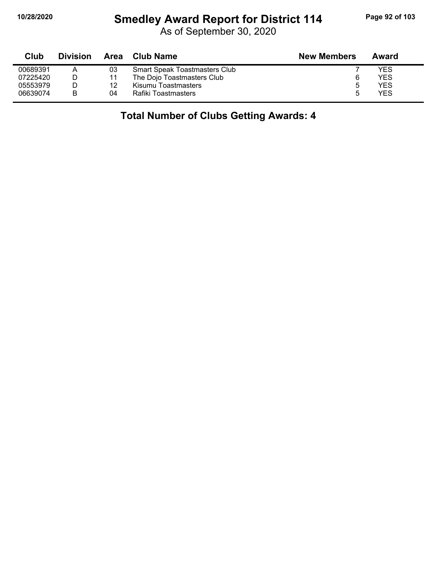#### **10/28/2020 Smedley Award Report for District 114 Page 92 of 103**

As of September 30, 2020

| Club     | <b>Division</b> |    | Area Club Name                | <b>New Members</b> | Award      |
|----------|-----------------|----|-------------------------------|--------------------|------------|
| 00689391 |                 | 03 | Smart Speak Toastmasters Club |                    | <b>YES</b> |
| 07225420 |                 | 11 | The Dojo Toastmasters Club    |                    | <b>YES</b> |
| 05553979 |                 | 12 | Kisumu Toastmasters           | 5                  | <b>YES</b> |
| 06639074 | B               | 04 | Rafiki Toastmasters           | Б.                 | <b>YES</b> |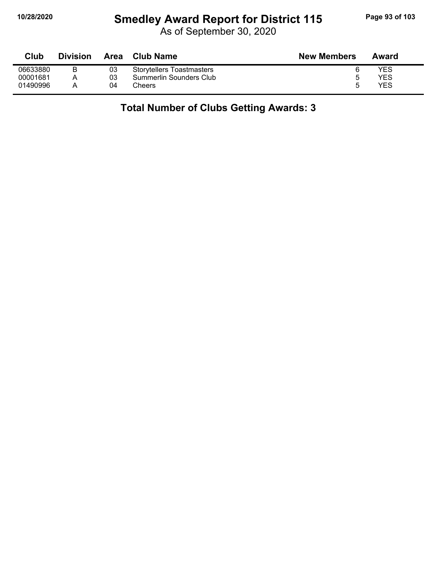## **10/28/2020 Smedley Award Report for District 115 Page 93 of 103**

As of September 30, 2020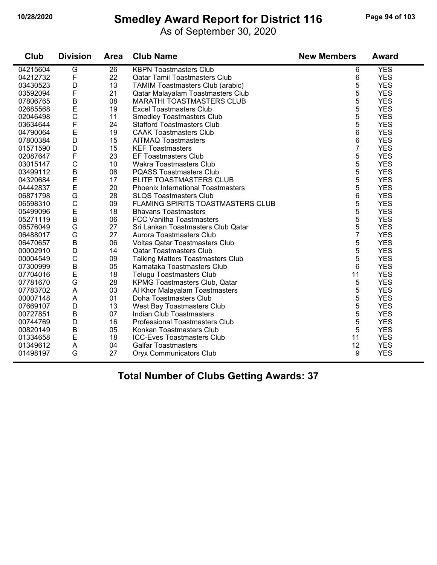## **10/28/2020 Smedley Award Report for District 116 Page 94 of 103**

As of September 30, 2020

| Club     | <b>Division</b> | Area | <b>Club Name</b>                         | <b>New Members</b> | Award      |
|----------|-----------------|------|------------------------------------------|--------------------|------------|
| 04215604 | G               | 26   | <b>KBPN</b> Toastmasters Club            | 6                  | <b>YES</b> |
| 04212732 | F               | 22   | <b>Qatar Tamil Toastmasters Club</b>     | 6                  | <b>YES</b> |
| 03430523 | D               | 13   | TAMIM Toastmasters Club (arabic)         | 5                  | <b>YES</b> |
| 03592094 | F               | 21   | Qatar Malayalam Toastmasters Club        | 5                  | <b>YES</b> |
| 07806765 | $\overline{B}$  | 08   | <b>MARATHI TOASTMASTERS CLUB</b>         | 5                  | <b>YES</b> |
| 02685568 | E               | 19   | <b>Excel Toastmasters Club</b>           | 5                  | <b>YES</b> |
| 02046498 | $\mathsf{C}$    | 11   | <b>Smedley Toastmasters Club</b>         | 5                  | <b>YES</b> |
| 03634644 | $\mathsf F$     | 24   | <b>Stafford Toastmasters Club</b>        | 5                  | <b>YES</b> |
| 04790064 | E               | 19   | <b>CAAK Toastmasters Club</b>            | 6                  | <b>YES</b> |
| 07800384 | D               | 15   | <b>AITMAQ Toastmasters</b>               | 6                  | <b>YES</b> |
| 01571590 | D               | 15   | <b>KEF Toastmasters</b>                  | $\overline{7}$     | <b>YES</b> |
| 02087647 | $\mathsf F$     | 23   | <b>EF Toastmasters Club</b>              | 5                  | <b>YES</b> |
| 03015147 | $\mathsf{C}$    | 10   | Wakra Toastmasters Club                  | 5                  | <b>YES</b> |
| 03499112 | B               | 08   | <b>PQASS Toastmasters Club</b>           | 5                  | <b>YES</b> |
| 04320684 | E               | 17   | ELITE TOASTMASTERS CLUB                  | 5                  | <b>YES</b> |
| 04442837 | E               | 20   | Phoenix International Toastmasters       | 5                  | <b>YES</b> |
| 06871798 | G               | 28   | <b>SLQS Toastmasters Club</b>            | 6                  | <b>YES</b> |
| 06598310 | $\mathsf{C}$    | 09   | <b>FLAMING SPIRITS TOASTMASTERS CLUB</b> | 5                  | <b>YES</b> |
| 05499096 | E               | 18   | <b>Bhavans Toastmasters</b>              | 5                  | <b>YES</b> |
| 05271119 | $\overline{B}$  | 06   | <b>FCC Vanitha Toastmasters</b>          | 5                  | <b>YES</b> |
| 06576049 | G               | 27   | Sri Lankan Toastmasters Club Qatar       | 5                  | <b>YES</b> |
| 06488017 | G               | 27   | Aurora Toastmasters Club                 | $\overline{7}$     | <b>YES</b> |
| 06470657 | B               | 06   | <b>Voltas Qatar Toastmasters Club</b>    | 5                  | <b>YES</b> |
| 00002910 | D               | 14   | <b>Qatar Toastmasters Club</b>           | 5                  | <b>YES</b> |
| 00004549 | $\mathsf{C}$    | 09   | <b>Talking Matters Toastmasters Club</b> | 5                  | <b>YES</b> |
| 07300999 | $\mathsf B$     | 05   | Karnataka Toastmasters Club              | 6                  | <b>YES</b> |
| 07704016 | E               | 18   | <b>Telugu Toastmasters Club</b>          | 11                 | <b>YES</b> |
| 07781670 | G               | 28   | KPMG Toastmasters Club, Qatar            | 5                  | <b>YES</b> |
| 07783702 | A               | 03   | Al Khor Malayalam Toastmasters           | 5                  | <b>YES</b> |
| 00007148 | A               | 01   | Doha Toastmasters Club                   | 5                  | <b>YES</b> |
| 07669107 | D               | 13   | West Bay Toastmasters Club               | 5                  | <b>YES</b> |
| 00727851 | B               | 07   | Indian Club Toastmasters                 | 5                  | <b>YES</b> |
| 00744769 | D               | 16   | <b>Professional Toastmasters Club</b>    | 5                  | <b>YES</b> |
| 00820149 | $\sf B$         | 05   | Konkan Toastmasters Club                 | 5                  | <b>YES</b> |
| 01334658 | E               | 18   | <b>ICC-Eves Toastmasters Club</b>        | 11                 | <b>YES</b> |
| 01349612 | A               | 04   | <b>Galfar Toastmasters</b>               | 12                 | <b>YES</b> |
| 01498197 | G               | 27   | <b>Oryx Communicators Club</b>           | 9                  | <b>YES</b> |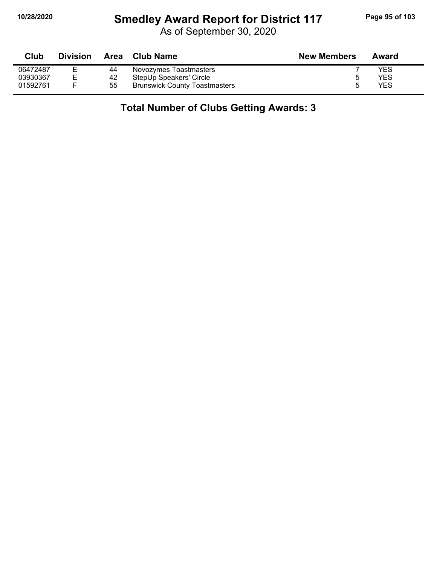## **10/28/2020 Smedley Award Report for District 117 Page 95 of 103**

As of September 30, 2020

| Club     | <b>Division</b> |    | Area Club Name                       | <b>New Members</b> | Award |
|----------|-----------------|----|--------------------------------------|--------------------|-------|
| 06472487 |                 | 44 | Novozymes Toastmasters               |                    | YES   |
| 03930367 |                 | 42 | StepUp Speakers' Circle              |                    | YES   |
| 01592761 |                 | 55 | <b>Brunswick County Toastmasters</b> |                    | YES   |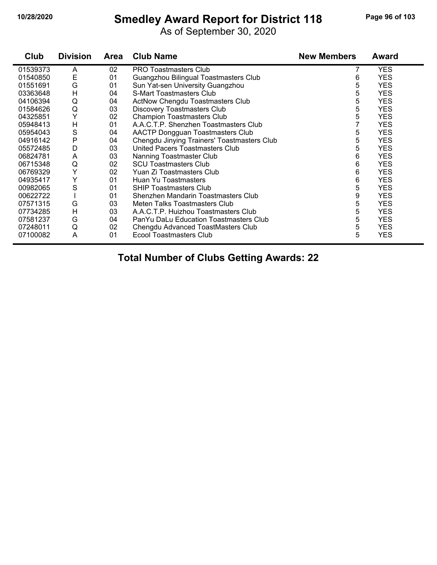## **10/28/2020 Smedley Award Report for District 118 Page 96 of 103**

As of September 30, 2020

| Club     | <b>Division</b> | Area | <b>Club Name</b>                            | <b>New Members</b> | Award      |
|----------|-----------------|------|---------------------------------------------|--------------------|------------|
| 01539373 | A               | 02   | <b>PRO Toastmasters Club</b>                |                    | <b>YES</b> |
| 01540850 | Ε               | 01   | Guangzhou Bilingual Toastmasters Club       | 6                  | <b>YES</b> |
| 01551691 | G               | 01   | Sun Yat-sen University Guangzhou            | 5                  | <b>YES</b> |
| 03363648 | $\mathsf{H}$    | 04   | S-Mart Toastmasters Club                    | 5                  | <b>YES</b> |
| 04106394 | Q               | 04   | ActNow Chengdu Toastmasters Club            | 5                  | <b>YES</b> |
| 01584626 | Q               | 03   | <b>Discovery Toastmasters Club</b>          | 5                  | <b>YES</b> |
| 04325851 | Y               | 02   | <b>Champion Toastmasters Club</b>           | 5                  | <b>YES</b> |
| 05948413 | Н               | 01   | A.A.C.T.P. Shenzhen Toastmasters Club       |                    | <b>YES</b> |
| 05954043 | $\mathbf S$     | 04   | <b>AACTP Dongguan Toastmasters Club</b>     | 5                  | <b>YES</b> |
| 04916142 | P               | 04   | Chengdu Jinying Trainers' Toastmasters Club | 5                  | <b>YES</b> |
| 05572485 | D               | 03   | United Pacers Toastmasters Club             | 5                  | <b>YES</b> |
| 06824781 | A               | 03   | Nanning Toastmaster Club                    | 6                  | <b>YES</b> |
| 06715348 | Q               | 02   | <b>SCU Toastmasters Club</b>                | 6                  | <b>YES</b> |
| 06769329 | Y               | 02   | Yuan Zi Toastmasters Club                   | 6                  | <b>YES</b> |
| 04935417 | Υ               | 01   | Huan Yu Toastmasters                        | 6                  | <b>YES</b> |
| 00982065 | S               | 01   | <b>SHIP Toastmasters Club</b>               | 5                  | <b>YES</b> |
| 00622722 |                 | 01   | Shenzhen Mandarin Toastmasters Club         | 9                  | <b>YES</b> |
| 07571315 | G               | 03   | Meten Talks Toastmasters Club               | 5                  | <b>YES</b> |
| 07734285 | $\overline{H}$  | 03   | A.A.C.T.P. Huizhou Toastmasters Club        | 5                  | <b>YES</b> |
| 07581237 | G               | 04   | PanYu DaLu Education Toastmasters Club      | 5                  | <b>YES</b> |
| 07248011 | Q               | 02   | Chengdu Advanced ToastMasters Club          | 5                  | <b>YES</b> |
| 07100082 | A               | 01   | Ecool Toastmasters Club                     | 5                  | <b>YES</b> |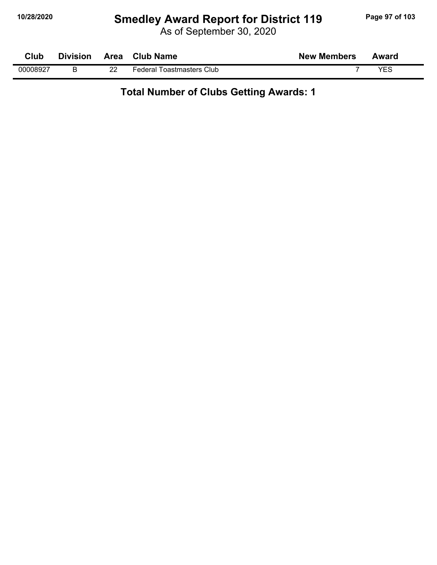## **10/28/2020 Smedley Award Report for District 119 Page 97 of 103**

As of September 30, 2020

**Club Division Area Club Name New Members Award** 00008927 B 22 Federal Toastmasters Club 7 YES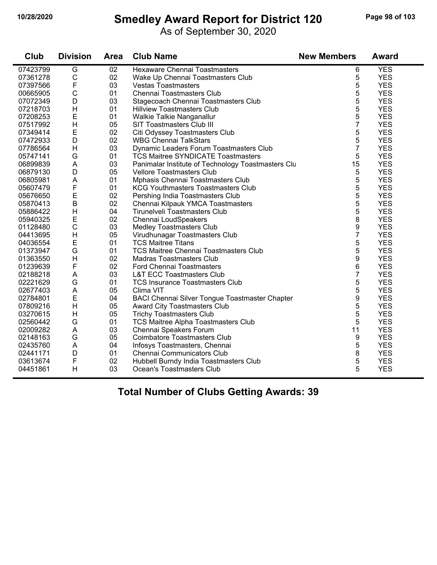## **10/28/2020 Smedley Award Report for District 120 Page 98 of 103**

As of September 30, 2020

| Club     | <b>Division</b> | <b>Area</b> | <b>Club Name</b>                                      | <b>New Members</b> | <b>Award</b> |
|----------|-----------------|-------------|-------------------------------------------------------|--------------------|--------------|
| 07423799 | G               | 02          | <b>Hexaware Chennai Toastmasters</b>                  | 6                  | <b>YES</b>   |
| 07361278 | $\mathsf C$     | 02          | Wake Up Chennai Toastmasters Club                     | 5                  | <b>YES</b>   |
| 07397566 | $\mathsf F$     | 03          | <b>Vestas Toastmasters</b>                            | 5                  | <b>YES</b>   |
| 00665905 | $\mathsf{C}$    | 01          | Chennai Toastmasters Club                             | 5                  | <b>YES</b>   |
| 07072349 | D               | 03          | Stagecoach Chennai Toastmasters Club                  | 5                  | <b>YES</b>   |
| 07218703 | $\sf H$         | 01          | <b>Hillview Toastmasters Club</b>                     | 5                  | <b>YES</b>   |
| 07208253 | E               | 01          | Walkie Talkie Nanganallur                             | 5                  | <b>YES</b>   |
| 07517992 | H               | 05          | SIT Toastmasters Club III                             | $\overline{7}$     | <b>YES</b>   |
| 07349414 | $\mathsf E$     | 02          | Citi Odyssey Toastmasters Club                        | 5                  | <b>YES</b>   |
| 07472933 | D               | 02          | <b>WBG Chennai TalkStars</b>                          | 5                  | <b>YES</b>   |
| 07786564 | H               | 03          | Dynamic Leaders Forum Toastmasters Club               | $\overline{7}$     | <b>YES</b>   |
| 05747141 | G               | 01          | <b>TCS Maitree SYNDICATE Toastmasters</b>             | 5                  | <b>YES</b>   |
| 06899839 | A               | 03          | Panimalar Institute of Technology Toastmasters Clu    | 15                 | <b>YES</b>   |
| 06879130 | D               | 05          | <b>Vellore Toastmasters Club</b>                      | 5                  | <b>YES</b>   |
| 06805981 | A               | 01          | Mphasis Chennai Toastmasters Club                     | 5                  | <b>YES</b>   |
| 05607479 | F               | 01          | <b>KCG Youthmasters Toastmasters Club</b>             | 5                  | <b>YES</b>   |
| 05676650 | E               | 02          | Pershing India Toastmasters Club                      | 5                  | <b>YES</b>   |
| 05870413 | $\mathsf B$     | 02          | Chennai Kilpauk YMCA Toastmasters                     | 5                  | <b>YES</b>   |
| 05886422 | $\sf H$         | 04          | Tirunelveli Toastmasters Club                         | 5                  | <b>YES</b>   |
| 05940325 | Ε               | 02          | Chennai LoudSpeakers                                  | 8                  | <b>YES</b>   |
| 01128480 | $\mathsf{C}$    | 03          | <b>Medley Toastmasters Club</b>                       | 9                  | <b>YES</b>   |
| 04413695 | H               | 05          | Virudhunagar Toastmasters Club                        | $\overline{7}$     | <b>YES</b>   |
| 04036554 | E               | 01          | <b>TCS Maitree Titans</b>                             | 5                  | <b>YES</b>   |
| 01373947 | G               | 01          | TCS Maitree Chennai Toastmasters Club                 | 5                  | <b>YES</b>   |
| 01363550 | H               | 02          | <b>Madras Toastmasters Club</b>                       | 9                  | <b>YES</b>   |
| 01239639 | F               | 02          | <b>Ford Chennai Toastmasters</b>                      | 6                  | <b>YES</b>   |
| 02188218 | A               | 03          | <b>L&amp;T ECC Toastmasters Club</b>                  | $\overline{7}$     | <b>YES</b>   |
| 02221629 | G               | 01          | <b>TCS Insurance Toastmasters Club</b>                | 5                  | <b>YES</b>   |
| 02677403 | $\mathsf A$     | 05          | Clima VIT                                             | 5                  | <b>YES</b>   |
| 02784801 | E               | 04          | <b>BACI Chennai Silver Tongue Toastmaster Chapter</b> | 9                  | <b>YES</b>   |
| 07809216 | $\mathsf{H}$    | 05          | Award City Toastmasters Club                          | 5                  | <b>YES</b>   |
| 03270615 | H               | 05          | <b>Trichy Toastmasters Club</b>                       | 5                  | <b>YES</b>   |
| 02560442 | G               | 01          | <b>TCS Maitree Alpha Toastmasters Club</b>            | 5                  | <b>YES</b>   |
| 02009282 | A               | 03          | Chennai Speakers Forum                                | 11                 | <b>YES</b>   |
| 02148163 | G               | 05          | <b>Coimbatore Toastmasters Club</b>                   | 9                  | <b>YES</b>   |
| 02435760 | A               | 04          | Infosys Toastmasters, Chennai                         | 5                  | <b>YES</b>   |
| 02441171 | D               | 01          | <b>Chennai Communicators Club</b>                     | 8                  | <b>YES</b>   |
| 03613674 | F               | 02          | Hubbell Burndy India Toastmasters Club                | 5                  | <b>YES</b>   |
| 04451861 | H               | 03          | Ocean's Toastmasters Club                             | 5                  | <b>YES</b>   |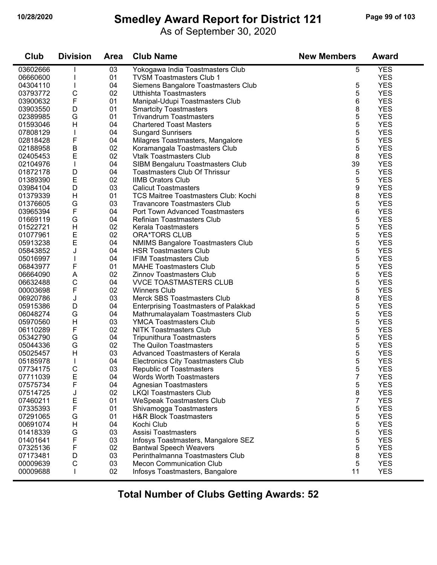## **10/28/2020 Smedley Award Report for District 121 Page 99 of 103**

As of September 30, 2020

| Club     | <b>Division</b> | <b>Area</b> | <b>Club Name</b>                             | <b>New Members</b> | <b>Award</b> |
|----------|-----------------|-------------|----------------------------------------------|--------------------|--------------|
| 03602666 |                 | 03          | Yokogawa India Toastmasters Club             | 5                  | <b>YES</b>   |
| 06660600 |                 | 01          | <b>TVSM Toastmasters Club 1</b>              |                    | <b>YES</b>   |
| 04304110 |                 | 04          | Siemens Bangalore Toastmasters Club          | 5                  | <b>YES</b>   |
| 03793772 | C               | 02          | Utthishta Toastmasters                       | 5                  | <b>YES</b>   |
| 03900632 | F               | 01          | Manipal-Udupi Toastmasters Club              | 6                  | <b>YES</b>   |
| 03903550 | D               | 01          | <b>Smartcity Toastmasters</b>                | 8                  | <b>YES</b>   |
| 02389985 | G               | 01          | <b>Trivandrum Toastmasters</b>               | 5                  | <b>YES</b>   |
| 01593046 | H               | 04          | <b>Chartered Toast Masters</b>               | 5                  | <b>YES</b>   |
| 07808129 |                 | 04          | <b>Sungard Sunrisers</b>                     | 5                  | <b>YES</b>   |
| 02818428 | F               | 04          | Milagres Toastmasters, Mangalore             | 5                  | <b>YES</b>   |
| 02188958 | Β               | 02          | Koramangala Toastmasters Club                | 5                  | <b>YES</b>   |
| 02405453 | E               | 02          | <b>Vtalk Toastmasters Club</b>               | 8                  | <b>YES</b>   |
| 02104976 | $\mathbf{I}$    | 04          | SIBM Bengaluru Toastmasters Club             | 39                 | <b>YES</b>   |
| 01872178 | D               | 04          | <b>Toastmasters Club Of Thrissur</b>         | 5                  | <b>YES</b>   |
| 01389390 | E               | 02          | <b>IIMB Orators Club</b>                     | 5                  | <b>YES</b>   |
| 03984104 | D               | 03          | <b>Calicut Toastmasters</b>                  | 9                  | <b>YES</b>   |
| 01379339 | H               | 01          | <b>TCS Maitree Toastmasters Club: Kochi</b>  | 8                  | <b>YES</b>   |
| 01376605 | G               | 03          | <b>Travancore Toastmasters Club</b>          | 5                  | <b>YES</b>   |
| 03965394 | F               | 04          | <b>Port Town Advanced Toastmasters</b>       | 6                  | <b>YES</b>   |
| 01669119 | G               | 04          | <b>Refinian Toastmasters Club</b>            | 5                  | <b>YES</b>   |
| 01522721 | H               | 02          | Kerala Toastmasters                          | 5                  | <b>YES</b>   |
| 01077961 | E               | 02          | <b>ORA*TORS CLUB</b>                         | 5                  | <b>YES</b>   |
| 05913238 | E               | 04          | <b>NMIMS Bangalore Toastmasters Club</b>     | 5                  | <b>YES</b>   |
| 05843852 | J               | 04          | <b>HSR Toastmasters Club</b>                 | 5                  | <b>YES</b>   |
| 05016997 |                 | 04          | <b>IFIM Toastmasters Club</b>                | 5                  | <b>YES</b>   |
| 06843977 | F               | 01          | <b>MAHE Toastmasters Club</b>                | 5                  | <b>YES</b>   |
| 06664090 | A               | 02          | <b>Zinnov Toastmasters Club</b>              | 5                  | <b>YES</b>   |
| 06632488 | $\mathsf{C}$    | 04          | <b>VVCE TOASTMASTERS CLUB</b>                | 5                  | <b>YES</b>   |
| 00003698 | F               | 02          | <b>Winners Club</b>                          | 5                  | <b>YES</b>   |
| 06920786 | J               | 03          | Merck SBS Toastmasters Club                  | 8                  | <b>YES</b>   |
| 05915386 | D               | 04          | <b>Enterprising Toastmasters of Palakkad</b> | 5                  | <b>YES</b>   |
| 06048274 | G               | 04          | Mathrumalayalam Toastmasters Club            | 5                  | <b>YES</b>   |
| 05970560 | H               | 03          | <b>YMCA Toastmasters Club</b>                | 5                  | <b>YES</b>   |
| 06110289 | F               | 02          | <b>NITK Toastmasters Club</b>                | 5                  | <b>YES</b>   |
| 05342790 | G               | 04          | <b>Tripunithura Toastmasters</b>             | 5                  | <b>YES</b>   |
| 05044336 | G               | 02          | The Quilon Toastmasters                      | 5                  | <b>YES</b>   |
| 05025457 | H               | 03          | Advanced Toastmasters of Kerala              | 5                  | <b>YES</b>   |
| 05185978 |                 | 04          | <b>Electronics City Toastmasters Club</b>    | 5                  | <b>YES</b>   |
| 07734175 | $\mathsf C$     | 03          | <b>Republic of Toastmasters</b>              | 5                  | <b>YES</b>   |
| 07711039 | E               | 04          | <b>Words Worth Toastmasters</b>              | 7                  | <b>YES</b>   |
| 07575734 | F               | 04          | <b>Agnesian Toastmasters</b>                 | 5                  | <b>YES</b>   |
| 07514725 | J               | 02          | <b>LKQI Toastmasters Club</b>                | 8                  | <b>YES</b>   |
| 07460211 | E               | 01          | <b>WeSpeak Toastmasters Club</b>             | 7                  | <b>YES</b>   |
| 07335393 | F               | 01          | Shivamogga Toastmasters                      | 5                  | <b>YES</b>   |
| 07291065 | G               | 01          | <b>H&amp;R Block Toastmasters</b>            | 5                  | <b>YES</b>   |
| 00691074 | H               | 04          | Kochi Club                                   | 5                  | <b>YES</b>   |
| 01418339 | G               | 03          | <b>Assisi Toastmasters</b>                   | 5                  | <b>YES</b>   |
| 01401641 | F               | 03          | Infosys Toastmasters, Mangalore SEZ          | 5                  | <b>YES</b>   |
| 07325136 | F               | 02          | <b>Bantwal Speech Weavers</b>                | 5                  | <b>YES</b>   |
| 07173481 | D               | 03          | Perinthalmanna Toastmasters Club             | 8                  | <b>YES</b>   |
| 00009639 | $\mathsf C$     | 03          | <b>Mecon Communication Club</b>              | 5                  | <b>YES</b>   |
| 00009688 |                 | 02          | Infosys Toastmasters, Bangalore              | 11                 | <b>YES</b>   |
|          |                 |             |                                              |                    |              |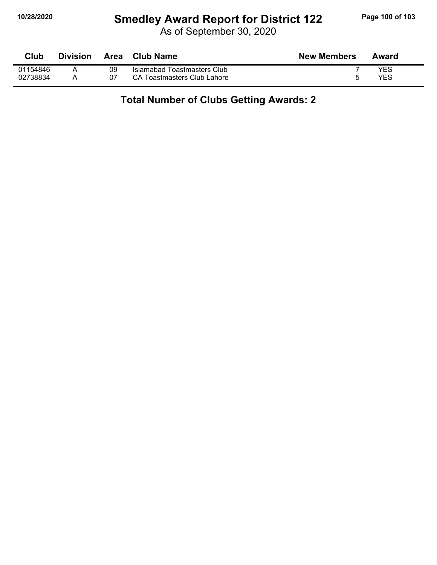## **10/28/2020 Smedley Award Report for District 122 Page 100 of 103**

As of September 30, 2020

| Club     | <b>Division</b> | Area | Club Name                   | <b>New Members</b> | Award |
|----------|-----------------|------|-----------------------------|--------------------|-------|
| 01154846 |                 | 09   | Islamabad Toastmasters Club |                    | YES   |
| 02738834 |                 | 07   | CA Toastmasters Club Lahore |                    | YES   |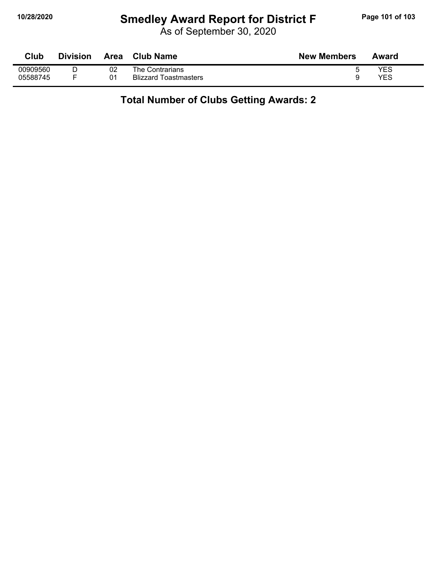## **10/28/2020 Smedley Award Report for District F Page 101 of 103**

As of September 30, 2020

| Club     | <b>Division</b> | <b>Area</b> | <b>Club Name</b>      | <b>New Members</b> | Award |
|----------|-----------------|-------------|-----------------------|--------------------|-------|
| 00909560 |                 | 02          | The Contrarians       |                    | YES   |
| 05588745 |                 | 01          | Blizzard Toastmasters |                    | YES   |